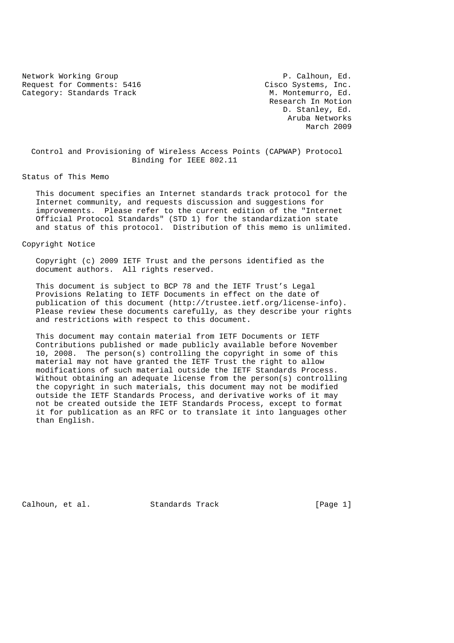Network Working Group **P. Calhoun, Ed.** Request for Comments: 5416 Cisco Systems, Inc.<br>
Category: Standards Track M. Montemurro, Ed. Category: Standards Track

 Research In Motion D. Stanley, Ed. Aruba Networks March 2009

 Control and Provisioning of Wireless Access Points (CAPWAP) Protocol Binding for IEEE 802.11

Status of This Memo

 This document specifies an Internet standards track protocol for the Internet community, and requests discussion and suggestions for improvements. Please refer to the current edition of the "Internet Official Protocol Standards" (STD 1) for the standardization state and status of this protocol. Distribution of this memo is unlimited.

## Copyright Notice

 Copyright (c) 2009 IETF Trust and the persons identified as the document authors. All rights reserved.

 This document is subject to BCP 78 and the IETF Trust's Legal Provisions Relating to IETF Documents in effect on the date of publication of this document (http://trustee.ietf.org/license-info). Please review these documents carefully, as they describe your rights and restrictions with respect to this document.

 This document may contain material from IETF Documents or IETF Contributions published or made publicly available before November 10, 2008. The person(s) controlling the copyright in some of this material may not have granted the IETF Trust the right to allow modifications of such material outside the IETF Standards Process. Without obtaining an adequate license from the person(s) controlling the copyright in such materials, this document may not be modified outside the IETF Standards Process, and derivative works of it may not be created outside the IETF Standards Process, except to format it for publication as an RFC or to translate it into languages other than English.

Calhoun, et al. Standards Track [Page 1]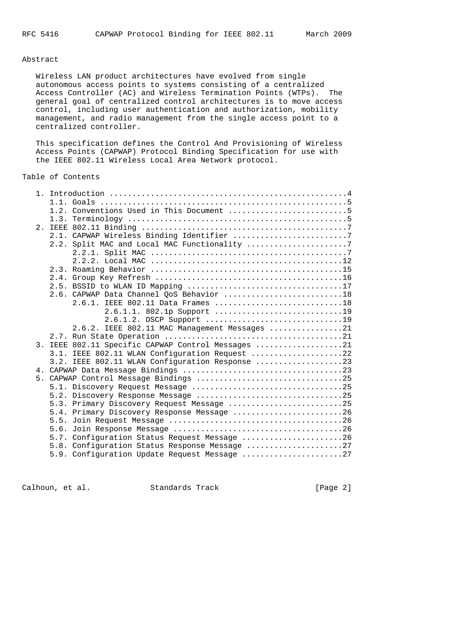#### Abstract

 Wireless LAN product architectures have evolved from single autonomous access points to systems consisting of a centralized Access Controller (AC) and Wireless Termination Points (WTPs). The general goal of centralized control architectures is to move access control, including user authentication and authorization, mobility management, and radio management from the single access point to a centralized controller.

 This specification defines the Control And Provisioning of Wireless Access Points (CAPWAP) Protocol Binding Specification for use with the IEEE 802.11 Wireless Local Area Network protocol.

# Table of Contents

|  | 1.2. Conventions Used in This Document 5                                                      |  |
|--|-----------------------------------------------------------------------------------------------|--|
|  |                                                                                               |  |
|  |                                                                                               |  |
|  | 2.1. CAPWAP Wireless Binding Identifier 7                                                     |  |
|  | 2.2. Split MAC and Local MAC Functionality 7                                                  |  |
|  |                                                                                               |  |
|  |                                                                                               |  |
|  |                                                                                               |  |
|  |                                                                                               |  |
|  |                                                                                               |  |
|  | 2.6. CAPWAP Data Channel QoS Behavior 18                                                      |  |
|  |                                                                                               |  |
|  | 2.6.1.1. 802.1p Support 19                                                                    |  |
|  | 2.6.1.2. DSCP Support 19                                                                      |  |
|  | 2.6.2. IEEE 802.11 MAC Management Messages 21                                                 |  |
|  |                                                                                               |  |
|  | 3. IEEE 802.11 Specific CAPWAP Control Messages 21                                            |  |
|  | 3.1. IEEE 802.11 WLAN Configuration Request 22                                                |  |
|  | 3.2. IEEE 802.11 WLAN Configuration Response 23                                               |  |
|  |                                                                                               |  |
|  | 5. CAPWAP Control Message Bindings 25                                                         |  |
|  |                                                                                               |  |
|  | 5.2. Discovery Response Message 25                                                            |  |
|  | 5.3. Primary Discovery Request Message 25                                                     |  |
|  | 5.4. Primary Discovery Response Message 26<br>5.5.                                            |  |
|  | 5.6.                                                                                          |  |
|  |                                                                                               |  |
|  | 5.7. Configuration Status Request Message 26<br>5.8. Configuration Status Response Message 27 |  |
|  | 5.9. Configuration Update Request Message 27                                                  |  |
|  |                                                                                               |  |

Calhoun, et al. Standards Track [Page 2]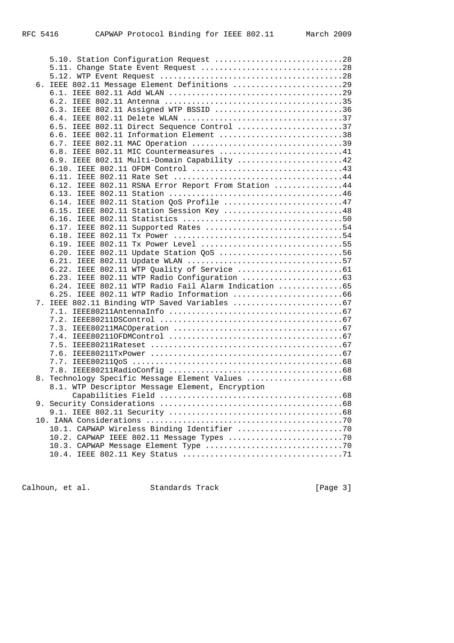|  | 5.10. Station Configuration Request 28               |    |
|--|------------------------------------------------------|----|
|  | 5.11. Change State Event Request 28                  |    |
|  |                                                      |    |
|  | 6. IEEE 802.11 Message Element Definitions 29        |    |
|  |                                                      |    |
|  |                                                      |    |
|  | 6.3. IEEE 802.11 Assigned WTP BSSID 36               |    |
|  |                                                      |    |
|  | 6.5. IEEE 802.11 Direct Sequence Control 37          |    |
|  | 6.6. IEEE 802.11 Information Element 38              |    |
|  |                                                      |    |
|  | 6.8. IEEE 802.11 MIC Countermeasures 41              |    |
|  | 6.9. IEEE 802.11 Multi-Domain Capability 42          |    |
|  |                                                      |    |
|  |                                                      |    |
|  | 6.12. IEEE 802.11 RSNA Error Report From Station 44  |    |
|  |                                                      |    |
|  | 6.14. IEEE 802.11 Station QoS Profile 47             |    |
|  | 6.15. IEEE 802.11 Station Session Key 48             |    |
|  |                                                      |    |
|  | 6.17. IEEE 802.11 Supported Rates 54                 |    |
|  |                                                      |    |
|  | 6.19. IEEE 802.11 Tx Power Level 55                  |    |
|  | 6.20. IEEE 802.11 Update Station QoS 56              |    |
|  |                                                      |    |
|  |                                                      |    |
|  |                                                      |    |
|  | 6.24. IEEE 802.11 WTP Radio Fail Alarm Indication 65 |    |
|  | 6.25. IEEE 802.11 WTP Radio Information 66           |    |
|  |                                                      |    |
|  |                                                      |    |
|  |                                                      |    |
|  |                                                      |    |
|  |                                                      |    |
|  |                                                      |    |
|  |                                                      |    |
|  |                                                      |    |
|  |                                                      |    |
|  | 8. Technology Specific Message Element Values 68     |    |
|  | 8.1. WTP Descriptor Message Element, Encryption      |    |
|  | Capabilities Field                                   | 68 |
|  |                                                      |    |
|  |                                                      |    |
|  |                                                      |    |
|  | 10.1. CAPWAP Wireless Binding Identifier 70          |    |
|  |                                                      |    |
|  |                                                      |    |
|  |                                                      |    |
|  |                                                      |    |

Calhoun, et al. Standards Track [Page 3]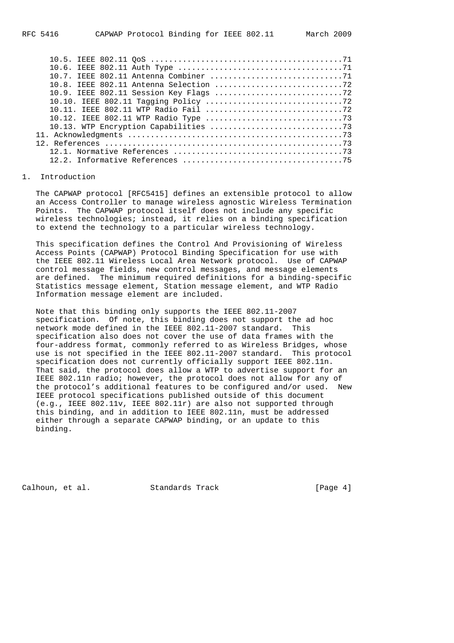#### 1. Introduction

 The CAPWAP protocol [RFC5415] defines an extensible protocol to allow an Access Controller to manage wireless agnostic Wireless Termination Points. The CAPWAP protocol itself does not include any specific wireless technologies; instead, it relies on a binding specification to extend the technology to a particular wireless technology.

 This specification defines the Control And Provisioning of Wireless Access Points (CAPWAP) Protocol Binding Specification for use with the IEEE 802.11 Wireless Local Area Network protocol. Use of CAPWAP control message fields, new control messages, and message elements are defined. The minimum required definitions for a binding-specific Statistics message element, Station message element, and WTP Radio Information message element are included.

 Note that this binding only supports the IEEE 802.11-2007 specification. Of note, this binding does not support the ad hoc network mode defined in the IEEE 802.11-2007 standard. This specification also does not cover the use of data frames with the four-address format, commonly referred to as Wireless Bridges, whose use is not specified in the IEEE 802.11-2007 standard. This protocol specification does not currently officially support IEEE 802.11n. That said, the protocol does allow a WTP to advertise support for an IEEE 802.11n radio; however, the protocol does not allow for any of the protocol's additional features to be configured and/or used. New IEEE protocol specifications published outside of this document (e.g., IEEE 802.11v, IEEE 802.11r) are also not supported through this binding, and in addition to IEEE 802.11n, must be addressed either through a separate CAPWAP binding, or an update to this binding.

Calhoun, et al. Standards Track [Page 4]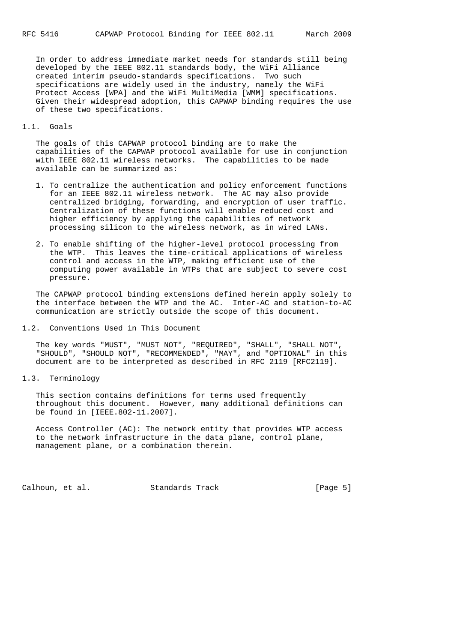In order to address immediate market needs for standards still being developed by the IEEE 802.11 standards body, the WiFi Alliance created interim pseudo-standards specifications. Two such specifications are widely used in the industry, namely the WiFi Protect Access [WPA] and the WiFi MultiMedia [WMM] specifications. Given their widespread adoption, this CAPWAP binding requires the use of these two specifications.

### 1.1. Goals

 The goals of this CAPWAP protocol binding are to make the capabilities of the CAPWAP protocol available for use in conjunction with IEEE 802.11 wireless networks. The capabilities to be made available can be summarized as:

- 1. To centralize the authentication and policy enforcement functions for an IEEE 802.11 wireless network. The AC may also provide centralized bridging, forwarding, and encryption of user traffic. Centralization of these functions will enable reduced cost and higher efficiency by applying the capabilities of network processing silicon to the wireless network, as in wired LANs.
- 2. To enable shifting of the higher-level protocol processing from the WTP. This leaves the time-critical applications of wireless control and access in the WTP, making efficient use of the computing power available in WTPs that are subject to severe cost pressure.

 The CAPWAP protocol binding extensions defined herein apply solely to the interface between the WTP and the AC. Inter-AC and station-to-AC communication are strictly outside the scope of this document.

1.2. Conventions Used in This Document

 The key words "MUST", "MUST NOT", "REQUIRED", "SHALL", "SHALL NOT", "SHOULD", "SHOULD NOT", "RECOMMENDED", "MAY", and "OPTIONAL" in this document are to be interpreted as described in RFC 2119 [RFC2119].

1.3. Terminology

 This section contains definitions for terms used frequently throughout this document. However, many additional definitions can be found in [IEEE.802-11.2007].

 Access Controller (AC): The network entity that provides WTP access to the network infrastructure in the data plane, control plane, management plane, or a combination therein.

Calhoun, et al. Standards Track [Page 5]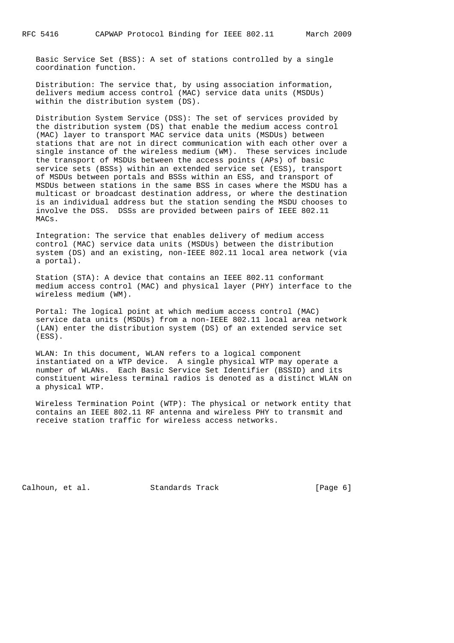Basic Service Set (BSS): A set of stations controlled by a single coordination function.

 Distribution: The service that, by using association information, delivers medium access control (MAC) service data units (MSDUs) within the distribution system (DS).

 Distribution System Service (DSS): The set of services provided by the distribution system (DS) that enable the medium access control (MAC) layer to transport MAC service data units (MSDUs) between stations that are not in direct communication with each other over a single instance of the wireless medium (WM). These services include the transport of MSDUs between the access points (APs) of basic service sets (BSSs) within an extended service set (ESS), transport of MSDUs between portals and BSSs within an ESS, and transport of MSDUs between stations in the same BSS in cases where the MSDU has a multicast or broadcast destination address, or where the destination is an individual address but the station sending the MSDU chooses to involve the DSS. DSSs are provided between pairs of IEEE 802.11 MACs.

 Integration: The service that enables delivery of medium access control (MAC) service data units (MSDUs) between the distribution system (DS) and an existing, non-IEEE 802.11 local area network (via a portal).

 Station (STA): A device that contains an IEEE 802.11 conformant medium access control (MAC) and physical layer (PHY) interface to the wireless medium (WM).

 Portal: The logical point at which medium access control (MAC) service data units (MSDUs) from a non-IEEE 802.11 local area network (LAN) enter the distribution system (DS) of an extended service set (ESS).

 WLAN: In this document, WLAN refers to a logical component instantiated on a WTP device. A single physical WTP may operate a number of WLANs. Each Basic Service Set Identifier (BSSID) and its constituent wireless terminal radios is denoted as a distinct WLAN on a physical WTP.

 Wireless Termination Point (WTP): The physical or network entity that contains an IEEE 802.11 RF antenna and wireless PHY to transmit and receive station traffic for wireless access networks.

Calhoun, et al. Standards Track [Page 6]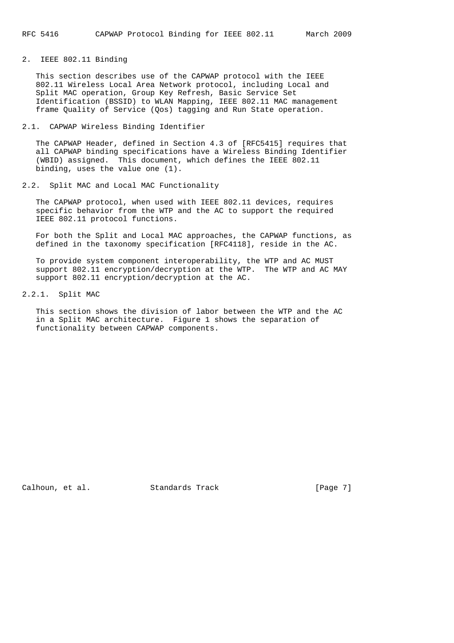2. IEEE 802.11 Binding

 This section describes use of the CAPWAP protocol with the IEEE 802.11 Wireless Local Area Network protocol, including Local and Split MAC operation, Group Key Refresh, Basic Service Set Identification (BSSID) to WLAN Mapping, IEEE 802.11 MAC management frame Quality of Service (Qos) tagging and Run State operation.

#### 2.1. CAPWAP Wireless Binding Identifier

 The CAPWAP Header, defined in Section 4.3 of [RFC5415] requires that all CAPWAP binding specifications have a Wireless Binding Identifier (WBID) assigned. This document, which defines the IEEE 802.11 binding, uses the value one (1).

2.2. Split MAC and Local MAC Functionality

 The CAPWAP protocol, when used with IEEE 802.11 devices, requires specific behavior from the WTP and the AC to support the required IEEE 802.11 protocol functions.

 For both the Split and Local MAC approaches, the CAPWAP functions, as defined in the taxonomy specification [RFC4118], reside in the AC.

 To provide system component interoperability, the WTP and AC MUST support 802.11 encryption/decryption at the WTP. The WTP and AC MAY support 802.11 encryption/decryption at the AC.

2.2.1. Split MAC

 This section shows the division of labor between the WTP and the AC in a Split MAC architecture. Figure 1 shows the separation of functionality between CAPWAP components.

Calhoun, et al. Standards Track [Page 7]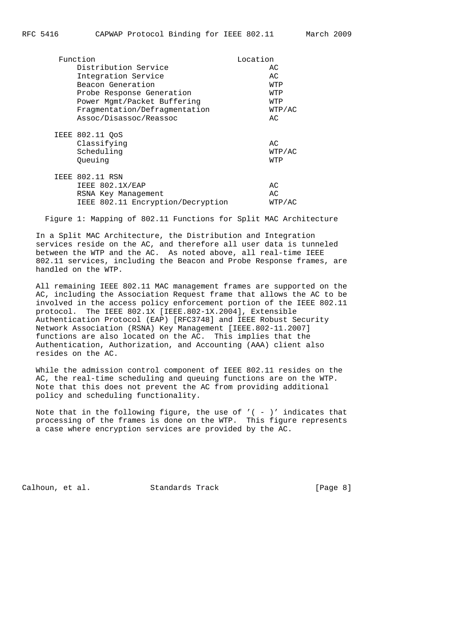| Function | Location                          |        |  |  |  |
|----------|-----------------------------------|--------|--|--|--|
|          | Distribution Service              | AC     |  |  |  |
|          | Integration Service               | AC.    |  |  |  |
|          | Beacon Generation                 | WTP    |  |  |  |
|          | Probe Response Generation         | WTP    |  |  |  |
|          | Power Mgmt/Packet Buffering       | WTP    |  |  |  |
|          | Fragmentation/Defragmentation     | WTP/AC |  |  |  |
|          | Assoc/Disassoc/Reassoc            | AC.    |  |  |  |
|          | IEEE 802.11 QoS                   |        |  |  |  |
|          | Classifying                       | AC.    |  |  |  |
|          | Scheduling                        | WTP/AC |  |  |  |
|          | Oueuing                           | WTP    |  |  |  |
|          | IEEE 802.11 RSN                   |        |  |  |  |
|          | IEEE 802.1X/EAP                   | AC     |  |  |  |
|          | RSNA Key Management               | AC     |  |  |  |
|          | IEEE 802.11 Encryption/Decryption | WTP/AC |  |  |  |
|          |                                   |        |  |  |  |

Figure 1: Mapping of 802.11 Functions for Split MAC Architecture

 In a Split MAC Architecture, the Distribution and Integration services reside on the AC, and therefore all user data is tunneled between the WTP and the AC. As noted above, all real-time IEEE 802.11 services, including the Beacon and Probe Response frames, are handled on the WTP.

 All remaining IEEE 802.11 MAC management frames are supported on the AC, including the Association Request frame that allows the AC to be involved in the access policy enforcement portion of the IEEE 802.11 protocol. The IEEE 802.1X [IEEE.802-1X.2004], Extensible Authentication Protocol (EAP) [RFC3748] and IEEE Robust Security Network Association (RSNA) Key Management [IEEE.802-11.2007] functions are also located on the AC. This implies that the Authentication, Authorization, and Accounting (AAA) client also resides on the AC.

 While the admission control component of IEEE 802.11 resides on the AC, the real-time scheduling and queuing functions are on the WTP. Note that this does not prevent the AC from providing additional policy and scheduling functionality.

Note that in the following figure, the use of  $'$  ( - )' indicates that processing of the frames is done on the WTP. This figure represents a case where encryption services are provided by the AC.

Calhoun, et al. Standards Track [Page 8]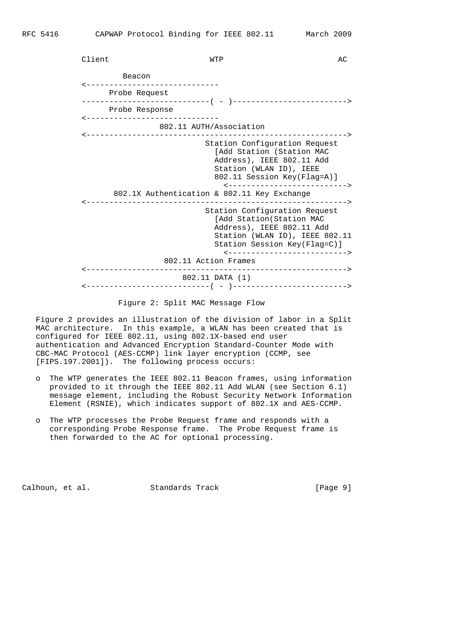| Client |                                                  | WTP                                                                                                                                                                                                                               | AC |
|--------|--------------------------------------------------|-----------------------------------------------------------------------------------------------------------------------------------------------------------------------------------------------------------------------------------|----|
|        | Beacon                                           |                                                                                                                                                                                                                                   |    |
|        | -----------------------------<br>Probe Request   |                                                                                                                                                                                                                                   |    |
|        | Probe Response<br>______________________________ |                                                                                                                                                                                                                                   |    |
|        |                                                  | 802.11 AUTH/Association                                                                                                                                                                                                           |    |
|        |                                                  | Station Configuration Request<br>[Add Station (Station MAC<br>Address), IEEE 802.11 Add<br>Station (WLAN ID), IEEE<br>802.11 Session Key(Flag=A)]<br><---------------------------><br>802.1X Authentication & 802.11 Key Exchange |    |
|        |                                                  | Station Configuration Request<br>[Add Station(Station MAC<br>Address), IEEE 802.11 Add<br>Station (WLAN ID), IEEE 802.11<br>Station Session Key(Flag=C)]<br><--------------------------><br>802.11 Action Frames                  |    |
|        |                                                  | 802.11 DATA (1)                                                                                                                                                                                                                   |    |

## Figure 2: Split MAC Message Flow

 Figure 2 provides an illustration of the division of labor in a Split MAC architecture. In this example, a WLAN has been created that is configured for IEEE 802.11, using 802.1X-based end user authentication and Advanced Encryption Standard-Counter Mode with CBC-MAC Protocol (AES-CCMP) link layer encryption (CCMP, see [FIPS.197.2001]). The following process occurs:

- o The WTP generates the IEEE 802.11 Beacon frames, using information provided to it through the IEEE 802.11 Add WLAN (see Section 6.1) message element, including the Robust Security Network Information Element (RSNIE), which indicates support of 802.1X and AES-CCMP.
- o The WTP processes the Probe Request frame and responds with a corresponding Probe Response frame. The Probe Request frame is then forwarded to the AC for optional processing.

Calhoun, et al. Standards Track [Page 9]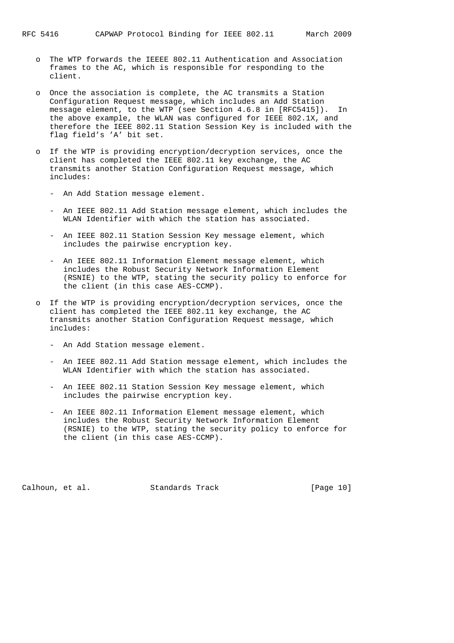- o The WTP forwards the IEEEE 802.11 Authentication and Association frames to the AC, which is responsible for responding to the client.
- o Once the association is complete, the AC transmits a Station Configuration Request message, which includes an Add Station message element, to the WTP (see Section 4.6.8 in [RFC5415]). In the above example, the WLAN was configured for IEEE 802.1X, and therefore the IEEE 802.11 Station Session Key is included with the flag field's 'A' bit set.
- o If the WTP is providing encryption/decryption services, once the client has completed the IEEE 802.11 key exchange, the AC transmits another Station Configuration Request message, which includes:
	- An Add Station message element.
	- An IEEE 802.11 Add Station message element, which includes the WLAN Identifier with which the station has associated.
	- An IEEE 802.11 Station Session Key message element, which includes the pairwise encryption key.
	- An IEEE 802.11 Information Element message element, which includes the Robust Security Network Information Element (RSNIE) to the WTP, stating the security policy to enforce for the client (in this case AES-CCMP).
- o If the WTP is providing encryption/decryption services, once the client has completed the IEEE 802.11 key exchange, the AC transmits another Station Configuration Request message, which includes:
	- An Add Station message element.
	- An IEEE 802.11 Add Station message element, which includes the WLAN Identifier with which the station has associated.
	- An IEEE 802.11 Station Session Key message element, which includes the pairwise encryption key.
	- An IEEE 802.11 Information Element message element, which includes the Robust Security Network Information Element (RSNIE) to the WTP, stating the security policy to enforce for the client (in this case AES-CCMP).

Calhoun, et al. Standards Track [Page 10]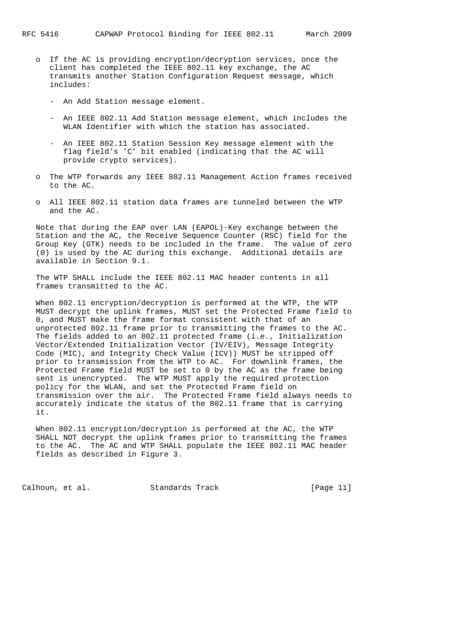- o If the AC is providing encryption/decryption services, once the client has completed the IEEE 802.11 key exchange, the AC transmits another Station Configuration Request message, which includes:
	- An Add Station message element.
	- An IEEE 802.11 Add Station message element, which includes the WLAN Identifier with which the station has associated.
	- An IEEE 802.11 Station Session Key message element with the flag field's 'C' bit enabled (indicating that the AC will provide crypto services).
- o The WTP forwards any IEEE 802.11 Management Action frames received to the AC.
- o All IEEE 802.11 station data frames are tunneled between the WTP and the AC.

 Note that during the EAP over LAN (EAPOL)-Key exchange between the Station and the AC, the Receive Sequence Counter (RSC) field for the Group Key (GTK) needs to be included in the frame. The value of zero (0) is used by the AC during this exchange. Additional details are available in Section 9.1.

 The WTP SHALL include the IEEE 802.11 MAC header contents in all frames transmitted to the AC.

 When 802.11 encryption/decryption is performed at the WTP, the WTP MUST decrypt the uplink frames, MUST set the Protected Frame field to 0, and MUST make the frame format consistent with that of an unprotected 802.11 frame prior to transmitting the frames to the AC. The fields added to an 802.11 protected frame (i.e., Initialization Vector/Extended Initialization Vector (IV/EIV), Message Integrity Code (MIC), and Integrity Check Value (ICV)) MUST be stripped off prior to transmission from the WTP to AC. For downlink frames, the Protected Frame field MUST be set to 0 by the AC as the frame being sent is unencrypted. The WTP MUST apply the required protection policy for the WLAN, and set the Protected Frame field on transmission over the air. The Protected Frame field always needs to accurately indicate the status of the 802.11 frame that is carrying it.

 When 802.11 encryption/decryption is performed at the AC, the WTP SHALL NOT decrypt the uplink frames prior to transmitting the frames to the AC. The AC and WTP SHALL populate the IEEE 802.11 MAC header fields as described in Figure 3.

Calhoun, et al. Standards Track [Page 11]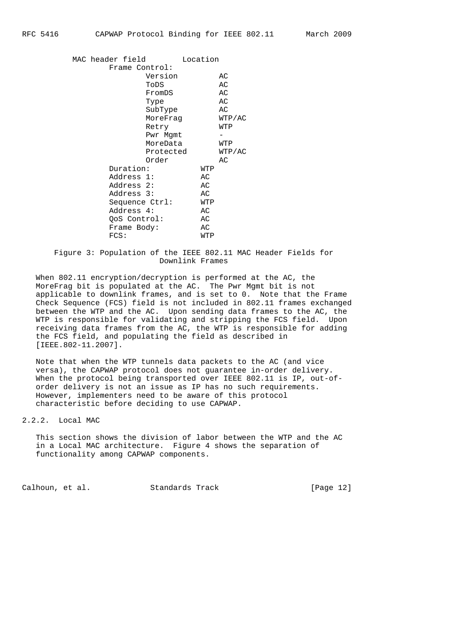|  | MAC header field |              |                | Location |        |
|--|------------------|--------------|----------------|----------|--------|
|  |                  |              | Frame Control: |          |        |
|  |                  |              | Version        |          | AС     |
|  |                  |              | ToDS           |          | AС     |
|  |                  |              | FromDS         |          | АC     |
|  |                  |              | Type           |          | АC     |
|  |                  |              | SubType        |          | АC     |
|  |                  |              | MoreFraq       |          | WTP/AC |
|  |                  |              | Retry          |          | WTP    |
|  |                  |              | Pwr Mgmt       |          |        |
|  |                  |              | MoreData       |          | WTP    |
|  |                  |              | Protected      |          | WTP/AC |
|  |                  |              | Order          |          | AC     |
|  |                  | Duration:    |                | WTP      |        |
|  |                  | Address 1:   |                | AC       |        |
|  |                  | Address 2:   |                | AC       |        |
|  |                  | Address 3:   |                | AC       |        |
|  |                  |              | Sequence Ctrl: | WTP      |        |
|  |                  | Address 4:   |                | АC       |        |
|  |                  | QoS Control: |                | АC       |        |
|  |                  | Frame Body:  |                | АC       |        |
|  |                  | FCS:         |                | WTP      |        |
|  |                  |              |                |          |        |

## Figure 3: Population of the IEEE 802.11 MAC Header Fields for Downlink Frames

 When 802.11 encryption/decryption is performed at the AC, the MoreFrag bit is populated at the AC. The Pwr Mgmt bit is not applicable to downlink frames, and is set to 0. Note that the Frame Check Sequence (FCS) field is not included in 802.11 frames exchanged between the WTP and the AC. Upon sending data frames to the AC, the WTP is responsible for validating and stripping the FCS field. Upon receiving data frames from the AC, the WTP is responsible for adding the FCS field, and populating the field as described in [IEEE.802-11.2007].

 Note that when the WTP tunnels data packets to the AC (and vice versa), the CAPWAP protocol does not guarantee in-order delivery. When the protocol being transported over IEEE 802.11 is IP, out-of order delivery is not an issue as IP has no such requirements. However, implementers need to be aware of this protocol characteristic before deciding to use CAPWAP.

2.2.2. Local MAC

 This section shows the division of labor between the WTP and the AC in a Local MAC architecture. Figure 4 shows the separation of functionality among CAPWAP components.

Calhoun, et al. Standards Track [Page 12]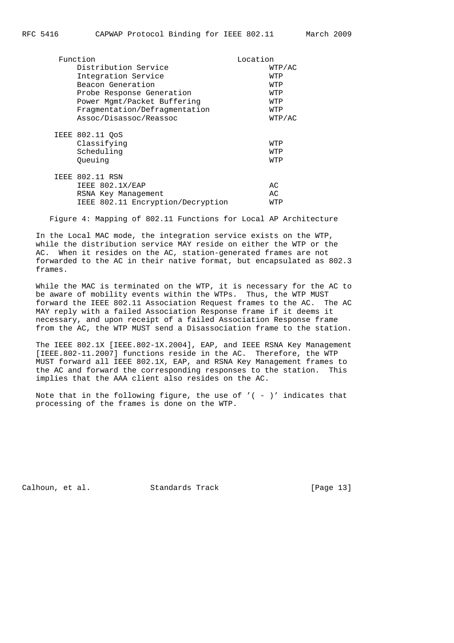| Function                                                                                              | Location          |
|-------------------------------------------------------------------------------------------------------|-------------------|
| Distribution Service                                                                                  | WTP/AC            |
| Integration Service                                                                                   | WTP               |
| Beacon Generation                                                                                     | WTP               |
| Probe Response Generation                                                                             | WTP               |
| Power Mgmt/Packet Buffering                                                                           | WTP               |
| Fragmentation/Defragmentation                                                                         | WTP               |
| Assoc/Disassoc/Reassoc                                                                                | WTP/AC            |
| IEEE 802.11 OoS<br>Classifying<br>Scheduling<br>Oueuing                                               | WTP<br>WTP<br>WTP |
| <b>IEEE 802.11 RSN</b><br>IEEE 802.1X/EAP<br>RSNA Key Management<br>IEEE 802.11 Encryption/Decryption | AC<br>AC.<br>WTP  |

Figure 4: Mapping of 802.11 Functions for Local AP Architecture

 In the Local MAC mode, the integration service exists on the WTP, while the distribution service MAY reside on either the WTP or the AC. When it resides on the AC, station-generated frames are not forwarded to the AC in their native format, but encapsulated as 802.3 frames.

 While the MAC is terminated on the WTP, it is necessary for the AC to be aware of mobility events within the WTPs. Thus, the WTP MUST forward the IEEE 802.11 Association Request frames to the AC. The AC MAY reply with a failed Association Response frame if it deems it necessary, and upon receipt of a failed Association Response frame from the AC, the WTP MUST send a Disassociation frame to the station.

 The IEEE 802.1X [IEEE.802-1X.2004], EAP, and IEEE RSNA Key Management [IEEE.802-11.2007] functions reside in the AC. Therefore, the WTP MUST forward all IEEE 802.1X, EAP, and RSNA Key Management frames to the AC and forward the corresponding responses to the station. This implies that the AAA client also resides on the AC.

Note that in the following figure, the use of  $'$  ( - )' indicates that processing of the frames is done on the WTP.

Calhoun, et al. Standards Track [Page 13]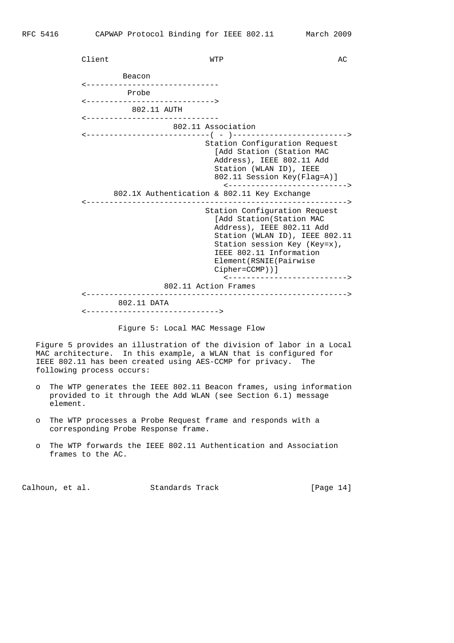Client and MTP and MTP and MTP and MTP and MTP and MTP and MTP and MTP and MTP and MTP and MTP and MTP and MTP and MTP and MTP and MTP and MTP and MTP and MTP and MTP and MTP and MTP and MTP and MTP and MTP and MTP and MTP Beacon <----------------------------- Probe <----------------------------> 802.11 AUTH <----------------------------- 802.11 Association <---------------------------( - )-------------------------> Station Configuration Request [Add Station (Station MAC Address), IEEE 802.11 Add Station (WLAN ID), IEEE 802.11 Session Key(Flag=A)] <--------------------------> 802.1X Authentication & 802.11 Key Exchange <---------------------------------------------------------> Station Configuration Request [Add Station(Station MAC Address), IEEE 802.11 Add Station (WLAN ID), IEEE 802.11 Station session Key (Key=x), IEEE 802.11 Information Element(RSNIE(Pairwise Cipher=CCMP))] <--------------------------> 802.11 Action Frames <---------------------------------------------------------> 802.11 DATA <----------------------------->

Figure 5: Local MAC Message Flow

 Figure 5 provides an illustration of the division of labor in a Local MAC architecture. In this example, a WLAN that is configured for IEEE 802.11 has been created using AES-CCMP for privacy. The following process occurs:

- o The WTP generates the IEEE 802.11 Beacon frames, using information provided to it through the Add WLAN (see Section 6.1) message element.
- o The WTP processes a Probe Request frame and responds with a corresponding Probe Response frame.
- o The WTP forwards the IEEE 802.11 Authentication and Association frames to the AC.

Calhoun, et al. Standards Track [Page 14]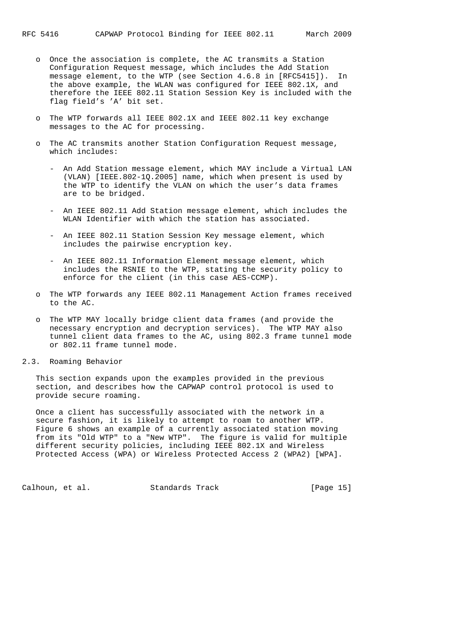- o Once the association is complete, the AC transmits a Station Configuration Request message, which includes the Add Station message element, to the WTP (see Section 4.6.8 in [RFC5415]). In the above example, the WLAN was configured for IEEE 802.1X, and therefore the IEEE 802.11 Station Session Key is included with the flag field's 'A' bit set.
- o The WTP forwards all IEEE 802.1X and IEEE 802.11 key exchange messages to the AC for processing.
- The AC transmits another Station Configuration Request message, which includes:
	- An Add Station message element, which MAY include a Virtual LAN (VLAN) [IEEE.802-1Q.2005] name, which when present is used by the WTP to identify the VLAN on which the user's data frames are to be bridged.
	- An IEEE 802.11 Add Station message element, which includes the WLAN Identifier with which the station has associated.
	- An IEEE 802.11 Station Session Key message element, which includes the pairwise encryption key.
	- An IEEE 802.11 Information Element message element, which includes the RSNIE to the WTP, stating the security policy to enforce for the client (in this case AES-CCMP).
- o The WTP forwards any IEEE 802.11 Management Action frames received to the AC.
- o The WTP MAY locally bridge client data frames (and provide the necessary encryption and decryption services). The WTP MAY also tunnel client data frames to the AC, using 802.3 frame tunnel mode or 802.11 frame tunnel mode.
- 2.3. Roaming Behavior

 This section expands upon the examples provided in the previous section, and describes how the CAPWAP control protocol is used to provide secure roaming.

 Once a client has successfully associated with the network in a secure fashion, it is likely to attempt to roam to another WTP. Figure 6 shows an example of a currently associated station moving from its "Old WTP" to a "New WTP". The figure is valid for multiple different security policies, including IEEE 802.1X and Wireless Protected Access (WPA) or Wireless Protected Access 2 (WPA2) [WPA].

Calhoun, et al. Standards Track [Page 15]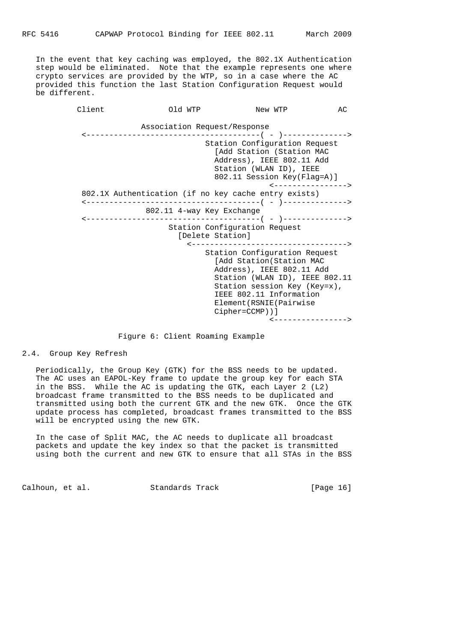In the event that key caching was employed, the 802.1X Authentication step would be eliminated. Note that the example represents one where crypto services are provided by the WTP, so in a case where the AC provided this function the last Station Configuration Request would be different.

> Client Old WTP New WTP AC Association Request/Response <--------------------------------------( - )--------------> Station Configuration Request [Add Station (Station MAC Address), IEEE 802.11 Add Station (WLAN ID), IEEE 802.11 Session Key(Flag=A)] <----------------> 802.1X Authentication (if no key cache entry exists) <--------------------------------------( - )--------------> 802.11 4-way Key Exchange <--------------------------------------( - )--------------> Station Configuration Request [Delete Station] <----------------------------------> Station Configuration Request [Add Station(Station MAC Address), IEEE 802.11 Add Station (WLAN ID), IEEE 802.11 Station session Key (Key=x), IEEE 802.11 Information Element(RSNIE(Pairwise Cipher=CCMP))] <---------------->

#### Figure 6: Client Roaming Example

2.4. Group Key Refresh

 Periodically, the Group Key (GTK) for the BSS needs to be updated. The AC uses an EAPOL-Key frame to update the group key for each STA in the BSS. While the AC is updating the GTK, each Layer 2 (L2) broadcast frame transmitted to the BSS needs to be duplicated and transmitted using both the current GTK and the new GTK. Once the GTK update process has completed, broadcast frames transmitted to the BSS will be encrypted using the new GTK.

 In the case of Split MAC, the AC needs to duplicate all broadcast packets and update the key index so that the packet is transmitted using both the current and new GTK to ensure that all STAs in the BSS

Calhoun, et al. Standards Track [Page 16]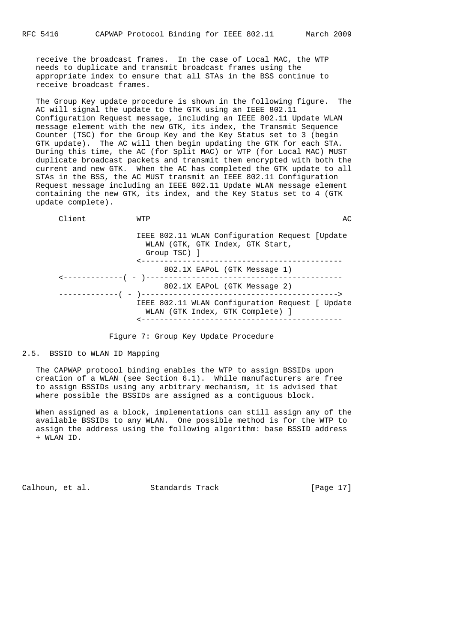receive the broadcast frames. In the case of Local MAC, the WTP needs to duplicate and transmit broadcast frames using the appropriate index to ensure that all STAs in the BSS continue to receive broadcast frames.

 The Group Key update procedure is shown in the following figure. The AC will signal the update to the GTK using an IEEE 802.11 Configuration Request message, including an IEEE 802.11 Update WLAN message element with the new GTK, its index, the Transmit Sequence Counter (TSC) for the Group Key and the Key Status set to 3 (begin GTK update). The AC will then begin updating the GTK for each STA. During this time, the AC (for Split MAC) or WTP (for Local MAC) MUST duplicate broadcast packets and transmit them encrypted with both the current and new GTK. When the AC has completed the GTK update to all STAs in the BSS, the AC MUST transmit an IEEE 802.11 Configuration Request message including an IEEE 802.11 Update WLAN message element containing the new GTK, its index, and the Key Status set to 4 (GTK update complete).

| <b>WTP</b>                                       | AC                                                                                                |
|--------------------------------------------------|---------------------------------------------------------------------------------------------------|
| WLAN (GTK, GTK Index, GTK Start,<br>Group TSC) ] |                                                                                                   |
| 802.1X EAPOL (GTK Message 1)                     |                                                                                                   |
| 802.1X EAPOL (GTK Message 2)                     |                                                                                                   |
| WLAN (GTK Index, GTK Complete) ]                 |                                                                                                   |
|                                                  | IEEE 802.11 WLAN Configuration Request [Update<br>IEEE 802.11 WLAN Configuration Request [ Update |

Figure 7: Group Key Update Procedure

## 2.5. BSSID to WLAN ID Mapping

 The CAPWAP protocol binding enables the WTP to assign BSSIDs upon creation of a WLAN (see Section 6.1). While manufacturers are free to assign BSSIDs using any arbitrary mechanism, it is advised that where possible the BSSIDs are assigned as a contiguous block.

 When assigned as a block, implementations can still assign any of the available BSSIDs to any WLAN. One possible method is for the WTP to assign the address using the following algorithm: base BSSID address + WLAN ID.

Calhoun, et al. Standards Track [Page 17]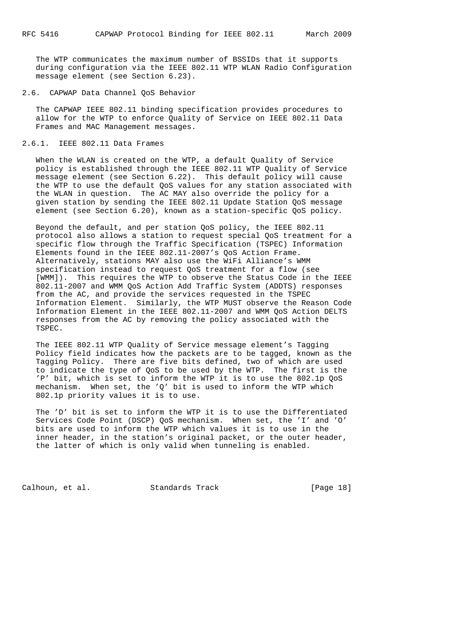The WTP communicates the maximum number of BSSIDs that it supports during configuration via the IEEE 802.11 WTP WLAN Radio Configuration message element (see Section 6.23).

#### 2.6. CAPWAP Data Channel QoS Behavior

 The CAPWAP IEEE 802.11 binding specification provides procedures to allow for the WTP to enforce Quality of Service on IEEE 802.11 Data Frames and MAC Management messages.

## 2.6.1. IEEE 802.11 Data Frames

 When the WLAN is created on the WTP, a default Quality of Service policy is established through the IEEE 802.11 WTP Quality of Service message element (see Section 6.22). This default policy will cause the WTP to use the default QoS values for any station associated with the WLAN in question. The AC MAY also override the policy for a given station by sending the IEEE 802.11 Update Station QoS message element (see Section 6.20), known as a station-specific QoS policy.

 Beyond the default, and per station QoS policy, the IEEE 802.11 protocol also allows a station to request special QoS treatment for a specific flow through the Traffic Specification (TSPEC) Information Elements found in the IEEE 802.11-2007's QoS Action Frame. Alternatively, stations MAY also use the WiFi Alliance's WMM specification instead to request QoS treatment for a flow (see [WMM]). This requires the WTP to observe the Status Code in the IEEE 802.11-2007 and WMM QoS Action Add Traffic System (ADDTS) responses from the AC, and provide the services requested in the TSPEC Information Element. Similarly, the WTP MUST observe the Reason Code Information Element in the IEEE 802.11-2007 and WMM QoS Action DELTS responses from the AC by removing the policy associated with the TSPEC.

 The IEEE 802.11 WTP Quality of Service message element's Tagging Policy field indicates how the packets are to be tagged, known as the Tagging Policy. There are five bits defined, two of which are used to indicate the type of QoS to be used by the WTP. The first is the 'P' bit, which is set to inform the WTP it is to use the 802.1p QoS mechanism. When set, the 'Q' bit is used to inform the WTP which 802.1p priority values it is to use.

 The 'D' bit is set to inform the WTP it is to use the Differentiated Services Code Point (DSCP) QoS mechanism. When set, the 'I' and 'O' bits are used to inform the WTP which values it is to use in the inner header, in the station's original packet, or the outer header, the latter of which is only valid when tunneling is enabled.

Calhoun, et al. Standards Track [Page 18]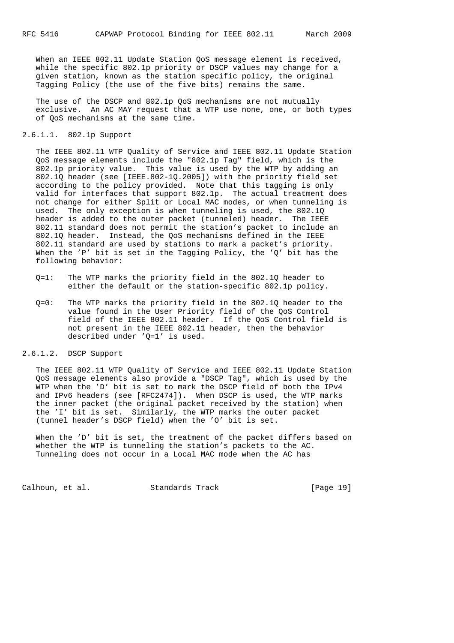When an IEEE 802.11 Update Station QoS message element is received, while the specific 802.1p priority or DSCP values may change for a given station, known as the station specific policy, the original Tagging Policy (the use of the five bits) remains the same.

 The use of the DSCP and 802.1p QoS mechanisms are not mutually exclusive. An AC MAY request that a WTP use none, one, or both types of QoS mechanisms at the same time.

## 2.6.1.1. 802.1p Support

 The IEEE 802.11 WTP Quality of Service and IEEE 802.11 Update Station QoS message elements include the "802.1p Tag" field, which is the 802.1p priority value. This value is used by the WTP by adding an 802.1Q header (see [IEEE.802-1Q.2005]) with the priority field set according to the policy provided. Note that this tagging is only valid for interfaces that support 802.1p. The actual treatment does not change for either Split or Local MAC modes, or when tunneling is used. The only exception is when tunneling is used, the 802.1Q header is added to the outer packet (tunneled) header. The IEEE 802.11 standard does not permit the station's packet to include an 802.1Q header. Instead, the QoS mechanisms defined in the IEEE 802.11 standard are used by stations to mark a packet's priority. When the 'P' bit is set in the Tagging Policy, the 'Q' bit has the following behavior:

- Q=1: The WTP marks the priority field in the 802.1Q header to either the default or the station-specific 802.1p policy.
- Q=0: The WTP marks the priority field in the 802.1Q header to the value found in the User Priority field of the QoS Control field of the IEEE 802.11 header. If the QoS Control field is not present in the IEEE 802.11 header, then the behavior described under 'Q=1' is used.

## 2.6.1.2. DSCP Support

 The IEEE 802.11 WTP Quality of Service and IEEE 802.11 Update Station QoS message elements also provide a "DSCP Tag", which is used by the WTP when the 'D' bit is set to mark the DSCP field of both the IPv4 and IPv6 headers (see [RFC2474]). When DSCP is used, the WTP marks the inner packet (the original packet received by the station) when the 'I' bit is set. Similarly, the WTP marks the outer packet (tunnel header's DSCP field) when the 'O' bit is set.

When the 'D' bit is set, the treatment of the packet differs based on whether the WTP is tunneling the station's packets to the AC. Tunneling does not occur in a Local MAC mode when the AC has

Calhoun, et al. Standards Track [Page 19]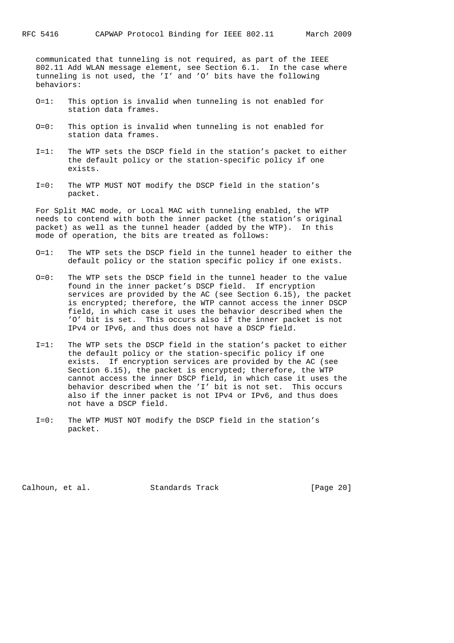communicated that tunneling is not required, as part of the IEEE 802.11 Add WLAN message element, see Section 6.1. In the case where tunneling is not used, the 'I' and 'O' bits have the following behaviors:

- O=1: This option is invalid when tunneling is not enabled for station data frames.
- O=0: This option is invalid when tunneling is not enabled for station data frames.
- I=1: The WTP sets the DSCP field in the station's packet to either the default policy or the station-specific policy if one exists.
- I=0: The WTP MUST NOT modify the DSCP field in the station's packet.

 For Split MAC mode, or Local MAC with tunneling enabled, the WTP needs to contend with both the inner packet (the station's original packet) as well as the tunnel header (added by the WTP). In this mode of operation, the bits are treated as follows:

- O=1: The WTP sets the DSCP field in the tunnel header to either the default policy or the station specific policy if one exists.
- O=0: The WTP sets the DSCP field in the tunnel header to the value found in the inner packet's DSCP field. If encryption services are provided by the AC (see Section 6.15), the packet is encrypted; therefore, the WTP cannot access the inner DSCP field, in which case it uses the behavior described when the 'O' bit is set. This occurs also if the inner packet is not IPv4 or IPv6, and thus does not have a DSCP field.
- I=1: The WTP sets the DSCP field in the station's packet to either the default policy or the station-specific policy if one exists. If encryption services are provided by the AC (see Section 6.15), the packet is encrypted; therefore, the WTP cannot access the inner DSCP field, in which case it uses the behavior described when the 'I' bit is not set. This occurs also if the inner packet is not IPv4 or IPv6, and thus does not have a DSCP field.
- I=0: The WTP MUST NOT modify the DSCP field in the station's packet.

Calhoun, et al. Standards Track [Page 20]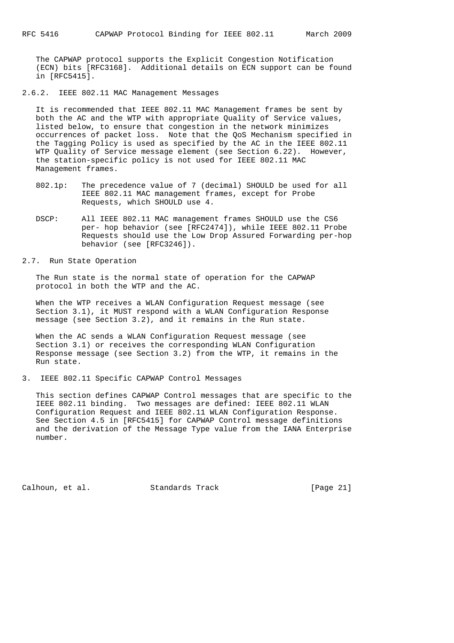The CAPWAP protocol supports the Explicit Congestion Notification (ECN) bits [RFC3168]. Additional details on ECN support can be found in [RFC5415].

2.6.2. IEEE 802.11 MAC Management Messages

 It is recommended that IEEE 802.11 MAC Management frames be sent by both the AC and the WTP with appropriate Quality of Service values, listed below, to ensure that congestion in the network minimizes occurrences of packet loss. Note that the QoS Mechanism specified in the Tagging Policy is used as specified by the AC in the IEEE 802.11 WTP Quality of Service message element (see Section 6.22). However, the station-specific policy is not used for IEEE 802.11 MAC Management frames.

- 802.1p: The precedence value of 7 (decimal) SHOULD be used for all IEEE 802.11 MAC management frames, except for Probe Requests, which SHOULD use 4.
- DSCP: All IEEE 802.11 MAC management frames SHOULD use the CS6 per- hop behavior (see [RFC2474]), while IEEE 802.11 Probe Requests should use the Low Drop Assured Forwarding per-hop behavior (see [RFC3246]).
- 2.7. Run State Operation

 The Run state is the normal state of operation for the CAPWAP protocol in both the WTP and the AC.

 When the WTP receives a WLAN Configuration Request message (see Section 3.1), it MUST respond with a WLAN Configuration Response message (see Section 3.2), and it remains in the Run state.

 When the AC sends a WLAN Configuration Request message (see Section 3.1) or receives the corresponding WLAN Configuration Response message (see Section 3.2) from the WTP, it remains in the Run state.

3. IEEE 802.11 Specific CAPWAP Control Messages

 This section defines CAPWAP Control messages that are specific to the IEEE 802.11 binding. Two messages are defined: IEEE 802.11 WLAN Configuration Request and IEEE 802.11 WLAN Configuration Response. See Section 4.5 in [RFC5415] for CAPWAP Control message definitions and the derivation of the Message Type value from the IANA Enterprise number.

Calhoun, et al. Standards Track [Page 21]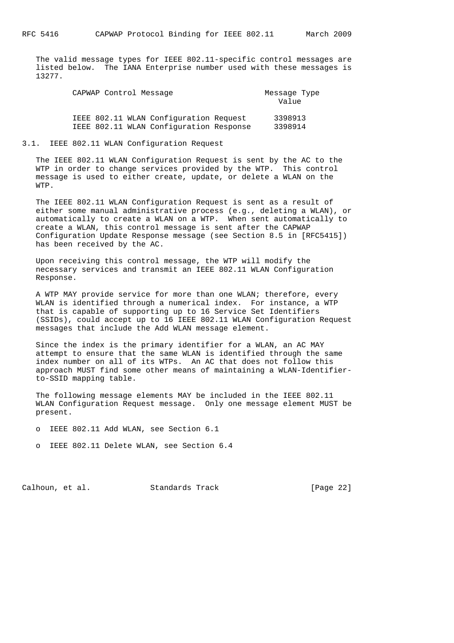The valid message types for IEEE 802.11-specific control messages are listed below. The IANA Enterprise number used with these messages is 13277.

| CAPWAP Control Message |                                         | Message Type<br>Value |
|------------------------|-----------------------------------------|-----------------------|
|                        | IEEE 802.11 WLAN Configuration Request  | 3398913               |
|                        | IEEE 802.11 WLAN Configuration Response | 3398914               |

#### 3.1. IEEE 802.11 WLAN Configuration Request

 The IEEE 802.11 WLAN Configuration Request is sent by the AC to the WTP in order to change services provided by the WTP. This control message is used to either create, update, or delete a WLAN on the WTP.

 The IEEE 802.11 WLAN Configuration Request is sent as a result of either some manual administrative process (e.g., deleting a WLAN), or automatically to create a WLAN on a WTP. When sent automatically to create a WLAN, this control message is sent after the CAPWAP Configuration Update Response message (see Section 8.5 in [RFC5415]) has been received by the AC.

 Upon receiving this control message, the WTP will modify the necessary services and transmit an IEEE 802.11 WLAN Configuration Response.

 A WTP MAY provide service for more than one WLAN; therefore, every WLAN is identified through a numerical index. For instance, a WTP that is capable of supporting up to 16 Service Set Identifiers (SSIDs), could accept up to 16 IEEE 802.11 WLAN Configuration Request messages that include the Add WLAN message element.

 Since the index is the primary identifier for a WLAN, an AC MAY attempt to ensure that the same WLAN is identified through the same index number on all of its WTPs. An AC that does not follow this approach MUST find some other means of maintaining a WLAN-Identifier to-SSID mapping table.

 The following message elements MAY be included in the IEEE 802.11 WLAN Configuration Request message. Only one message element MUST be present.

- o IEEE 802.11 Add WLAN, see Section 6.1
- o IEEE 802.11 Delete WLAN, see Section 6.4

Calhoun, et al. Standards Track [Page 22]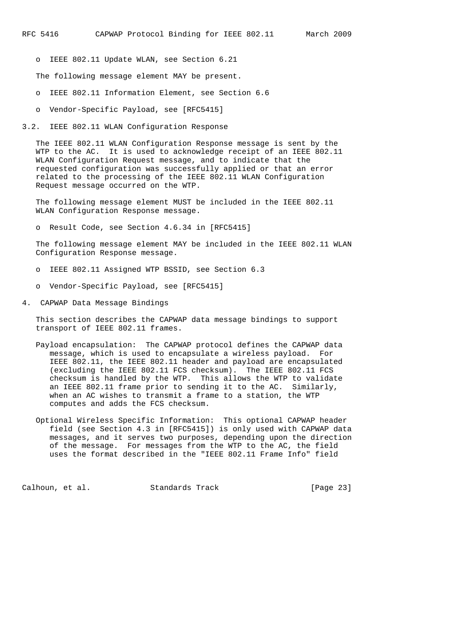o IEEE 802.11 Update WLAN, see Section 6.21

The following message element MAY be present.

- o IEEE 802.11 Information Element, see Section 6.6
- o Vendor-Specific Payload, see [RFC5415]
- 3.2. IEEE 802.11 WLAN Configuration Response

 The IEEE 802.11 WLAN Configuration Response message is sent by the WTP to the AC. It is used to acknowledge receipt of an IEEE 802.11 WLAN Configuration Request message, and to indicate that the requested configuration was successfully applied or that an error related to the processing of the IEEE 802.11 WLAN Configuration Request message occurred on the WTP.

 The following message element MUST be included in the IEEE 802.11 WLAN Configuration Response message.

o Result Code, see Section 4.6.34 in [RFC5415]

 The following message element MAY be included in the IEEE 802.11 WLAN Configuration Response message.

- o IEEE 802.11 Assigned WTP BSSID, see Section 6.3
- o Vendor-Specific Payload, see [RFC5415]
- 4. CAPWAP Data Message Bindings

 This section describes the CAPWAP data message bindings to support transport of IEEE 802.11 frames.

- Payload encapsulation: The CAPWAP protocol defines the CAPWAP data message, which is used to encapsulate a wireless payload. For IEEE 802.11, the IEEE 802.11 header and payload are encapsulated (excluding the IEEE 802.11 FCS checksum). The IEEE 802.11 FCS checksum is handled by the WTP. This allows the WTP to validate an IEEE 802.11 frame prior to sending it to the AC. Similarly, when an AC wishes to transmit a frame to a station, the WTP computes and adds the FCS checksum.
- Optional Wireless Specific Information: This optional CAPWAP header field (see Section 4.3 in [RFC5415]) is only used with CAPWAP data messages, and it serves two purposes, depending upon the direction of the message. For messages from the WTP to the AC, the field uses the format described in the "IEEE 802.11 Frame Info" field

Calhoun, et al. Standards Track [Page 23]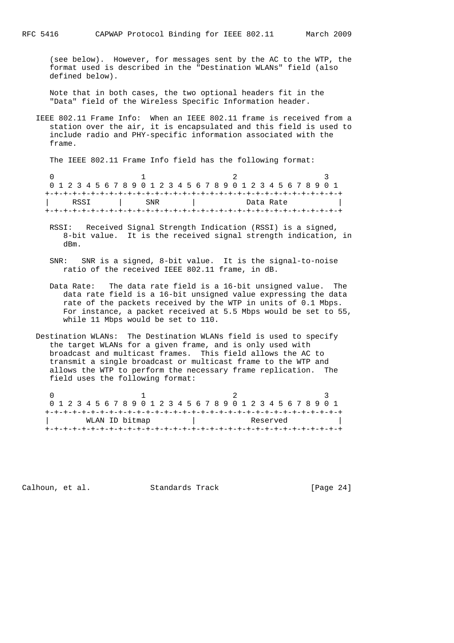(see below). However, for messages sent by the AC to the WTP, the format used is described in the "Destination WLANs" field (also defined below).

 Note that in both cases, the two optional headers fit in the "Data" field of the Wireless Specific Information header.

 IEEE 802.11 Frame Info: When an IEEE 802.11 frame is received from a station over the air, it is encapsulated and this field is used to include radio and PHY-specific information associated with the frame.

The IEEE 802.11 Frame Info field has the following format:

 $0$  and  $1$  and  $2$  3 0 1 2 3 4 5 6 7 8 9 0 1 2 3 4 5 6 7 8 9 0 1 2 3 4 5 6 7 8 9 0 1 +-+-+-+-+-+-+-+-+-+-+-+-+-+-+-+-+-+-+-+-+-+-+-+-+-+-+-+-+-+-+-+-+ | RSSI | SNR | Data Rate +-+-+-+-+-+-+-+-+-+-+-+-+-+-+-+-+-+-+-+-+-+-+-+-+-+-+-+-+-+-+-+-+

- RSSI: Received Signal Strength Indication (RSSI) is a signed, 8-bit value. It is the received signal strength indication, in dBm.
- SNR: SNR is a signed, 8-bit value. It is the signal-to-noise ratio of the received IEEE 802.11 frame, in dB.
- Data Rate: The data rate field is a 16-bit unsigned value. The data rate field is a 16-bit unsigned value expressing the data rate of the packets received by the WTP in units of 0.1 Mbps. For instance, a packet received at 5.5 Mbps would be set to 55, while 11 Mbps would be set to 110.
- Destination WLANs: The Destination WLANs field is used to specify the target WLANs for a given frame, and is only used with broadcast and multicast frames. This field allows the AC to transmit a single broadcast or multicast frame to the WTP and allows the WTP to perform the necessary frame replication. The field uses the following format:

|                |  |  |  |  |  |  |  | 0 1 2 3 4 5 6 7 8 9 0 1 2 3 4 5 6 7 8 9 0 1 2 3 4 5 6 7 8 9 0 1 |          |  |  |  |  |  |  |  |  |  |  |  |  |  |  |  |
|----------------|--|--|--|--|--|--|--|-----------------------------------------------------------------|----------|--|--|--|--|--|--|--|--|--|--|--|--|--|--|--|
|                |  |  |  |  |  |  |  |                                                                 |          |  |  |  |  |  |  |  |  |  |  |  |  |  |  |  |
| WLAN ID bitmap |  |  |  |  |  |  |  |                                                                 | Reserved |  |  |  |  |  |  |  |  |  |  |  |  |  |  |  |
|                |  |  |  |  |  |  |  |                                                                 |          |  |  |  |  |  |  |  |  |  |  |  |  |  |  |  |

Calhoun, et al. Standards Track [Page 24]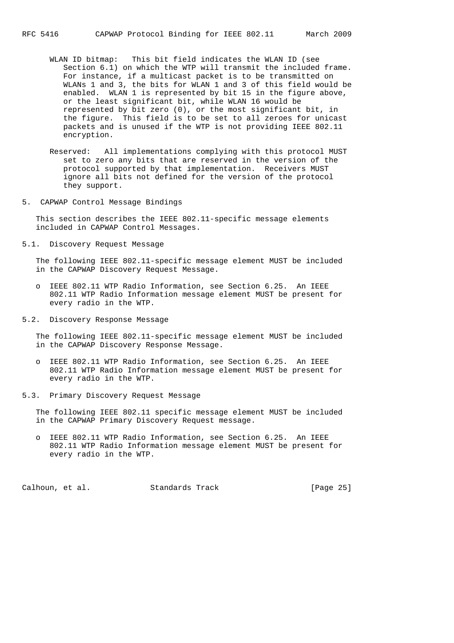- WLAN ID bitmap: This bit field indicates the WLAN ID (see Section 6.1) on which the WTP will transmit the included frame. For instance, if a multicast packet is to be transmitted on WLANs 1 and 3, the bits for WLAN 1 and 3 of this field would be enabled. WLAN 1 is represented by bit 15 in the figure above, or the least significant bit, while WLAN 16 would be represented by bit zero (0), or the most significant bit, in the figure. This field is to be set to all zeroes for unicast packets and is unused if the WTP is not providing IEEE 802.11 encryption.
- Reserved: All implementations complying with this protocol MUST set to zero any bits that are reserved in the version of the protocol supported by that implementation. Receivers MUST ignore all bits not defined for the version of the protocol they support.
- 5. CAPWAP Control Message Bindings

 This section describes the IEEE 802.11-specific message elements included in CAPWAP Control Messages.

5.1. Discovery Request Message

 The following IEEE 802.11-specific message element MUST be included in the CAPWAP Discovery Request Message.

- o IEEE 802.11 WTP Radio Information, see Section 6.25. An IEEE 802.11 WTP Radio Information message element MUST be present for every radio in the WTP.
- 5.2. Discovery Response Message

 The following IEEE 802.11-specific message element MUST be included in the CAPWAP Discovery Response Message.

- o IEEE 802.11 WTP Radio Information, see Section 6.25. An IEEE 802.11 WTP Radio Information message element MUST be present for every radio in the WTP.
- 5.3. Primary Discovery Request Message

 The following IEEE 802.11 specific message element MUST be included in the CAPWAP Primary Discovery Request message.

 o IEEE 802.11 WTP Radio Information, see Section 6.25. An IEEE 802.11 WTP Radio Information message element MUST be present for every radio in the WTP.

Calhoun, et al. Standards Track [Page 25]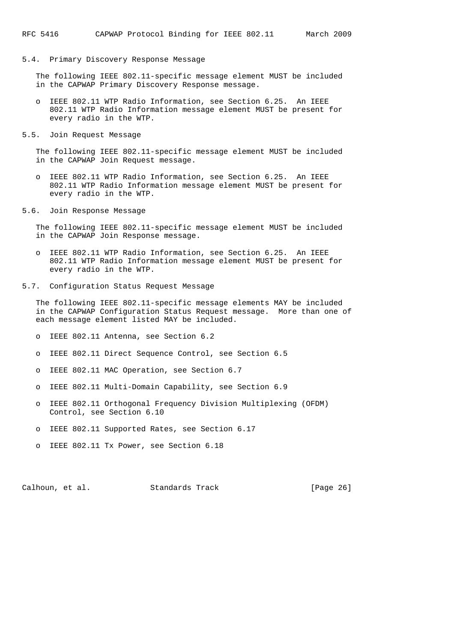## 5.4. Primary Discovery Response Message

 The following IEEE 802.11-specific message element MUST be included in the CAPWAP Primary Discovery Response message.

- o IEEE 802.11 WTP Radio Information, see Section 6.25. An IEEE 802.11 WTP Radio Information message element MUST be present for every radio in the WTP.
- 5.5. Join Request Message

 The following IEEE 802.11-specific message element MUST be included in the CAPWAP Join Request message.

- o IEEE 802.11 WTP Radio Information, see Section 6.25. An IEEE 802.11 WTP Radio Information message element MUST be present for every radio in the WTP.
- 5.6. Join Response Message

 The following IEEE 802.11-specific message element MUST be included in the CAPWAP Join Response message.

- o IEEE 802.11 WTP Radio Information, see Section 6.25. An IEEE 802.11 WTP Radio Information message element MUST be present for every radio in the WTP.
- 5.7. Configuration Status Request Message

 The following IEEE 802.11-specific message elements MAY be included in the CAPWAP Configuration Status Request message. More than one of each message element listed MAY be included.

- o IEEE 802.11 Antenna, see Section 6.2
- o IEEE 802.11 Direct Sequence Control, see Section 6.5
- o IEEE 802.11 MAC Operation, see Section 6.7
- o IEEE 802.11 Multi-Domain Capability, see Section 6.9
- o IEEE 802.11 Orthogonal Frequency Division Multiplexing (OFDM) Control, see Section 6.10
- o IEEE 802.11 Supported Rates, see Section 6.17
- o IEEE 802.11 Tx Power, see Section 6.18

Calhoun, et al. Standards Track [Page 26]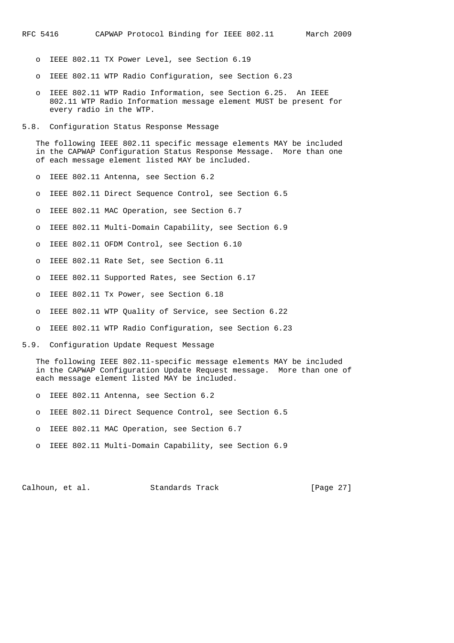- o IEEE 802.11 TX Power Level, see Section 6.19
- o IEEE 802.11 WTP Radio Configuration, see Section 6.23
- o IEEE 802.11 WTP Radio Information, see Section 6.25. An IEEE 802.11 WTP Radio Information message element MUST be present for every radio in the WTP.
- 5.8. Configuration Status Response Message

 The following IEEE 802.11 specific message elements MAY be included in the CAPWAP Configuration Status Response Message. More than one of each message element listed MAY be included.

- o IEEE 802.11 Antenna, see Section 6.2
- o IEEE 802.11 Direct Sequence Control, see Section 6.5
- o IEEE 802.11 MAC Operation, see Section 6.7
- o IEEE 802.11 Multi-Domain Capability, see Section 6.9
- o IEEE 802.11 OFDM Control, see Section 6.10
- o IEEE 802.11 Rate Set, see Section 6.11
- o IEEE 802.11 Supported Rates, see Section 6.17
- o IEEE 802.11 Tx Power, see Section 6.18
- o IEEE 802.11 WTP Quality of Service, see Section 6.22
- o IEEE 802.11 WTP Radio Configuration, see Section 6.23
- 5.9. Configuration Update Request Message

 The following IEEE 802.11-specific message elements MAY be included in the CAPWAP Configuration Update Request message. More than one of each message element listed MAY be included.

- o IEEE 802.11 Antenna, see Section 6.2
- o IEEE 802.11 Direct Sequence Control, see Section 6.5
- o IEEE 802.11 MAC Operation, see Section 6.7
- o IEEE 802.11 Multi-Domain Capability, see Section 6.9

Calhoun, et al. Standards Track [Page 27]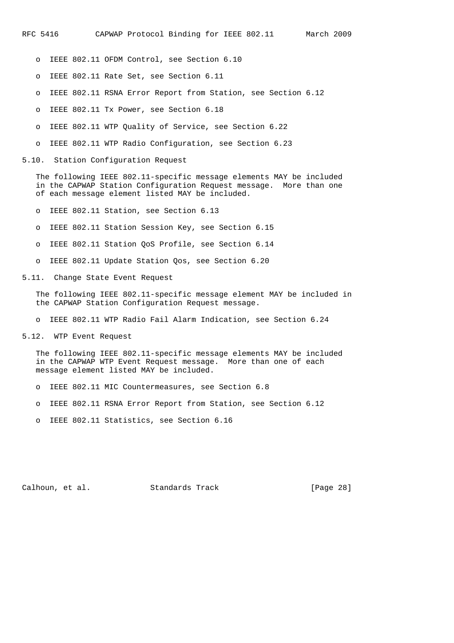- o IEEE 802.11 OFDM Control, see Section 6.10
- o IEEE 802.11 Rate Set, see Section 6.11
- o IEEE 802.11 RSNA Error Report from Station, see Section 6.12
- o IEEE 802.11 Tx Power, see Section 6.18
- o IEEE 802.11 WTP Quality of Service, see Section 6.22
- o IEEE 802.11 WTP Radio Configuration, see Section 6.23
- 5.10. Station Configuration Request

 The following IEEE 802.11-specific message elements MAY be included in the CAPWAP Station Configuration Request message. More than one of each message element listed MAY be included.

- o IEEE 802.11 Station, see Section 6.13
- o IEEE 802.11 Station Session Key, see Section 6.15
- o IEEE 802.11 Station QoS Profile, see Section 6.14
- o IEEE 802.11 Update Station Qos, see Section 6.20
- 5.11. Change State Event Request

 The following IEEE 802.11-specific message element MAY be included in the CAPWAP Station Configuration Request message.

o IEEE 802.11 WTP Radio Fail Alarm Indication, see Section 6.24

5.12. WTP Event Request

 The following IEEE 802.11-specific message elements MAY be included in the CAPWAP WTP Event Request message. More than one of each message element listed MAY be included.

- o IEEE 802.11 MIC Countermeasures, see Section 6.8
- o IEEE 802.11 RSNA Error Report from Station, see Section 6.12
- o IEEE 802.11 Statistics, see Section 6.16

Calhoun, et al. Standards Track [Page 28]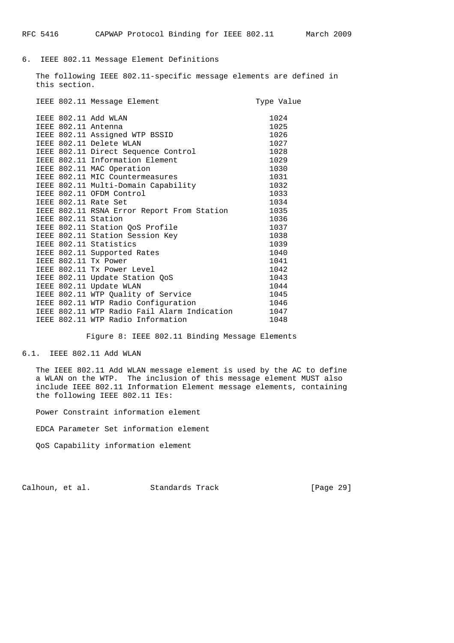## 6. IEEE 802.11 Message Element Definitions

 The following IEEE 802.11-specific message elements are defined in this section.

|  | IEEE 802.11 Message Element                 | Type Value |
|--|---------------------------------------------|------------|
|  | IEEE 802.11 Add WLAN                        | 1024       |
|  | IEEE 802.11 Antenna                         | 1025       |
|  | IEEE 802.11 Assigned WTP BSSID              | 1026       |
|  | IEEE 802.11 Delete WLAN                     | 1027       |
|  | IEEE 802.11 Direct Sequence Control         | 1028       |
|  | IEEE 802.11 Information Element             | 1029       |
|  | IEEE 802.11 MAC Operation                   | 1030       |
|  | IEEE 802.11 MIC Countermeasures             | 1031       |
|  | IEEE 802.11 Multi-Domain Capability         | 1032       |
|  | IEEE 802.11 OFDM Control                    | 1033       |
|  | IEEE 802.11 Rate Set                        | 1034       |
|  | IEEE 802.11 RSNA Error Report From Station  | 1035       |
|  | IEEE 802.11 Station                         | 1036       |
|  | IEEE 802.11 Station QoS Profile             | 1037       |
|  | IEEE 802.11 Station Session Key             | 1038       |
|  | IEEE 802.11 Statistics                      | 1039       |
|  | IEEE 802.11 Supported Rates                 | 1040       |
|  | IEEE 802.11 Tx Power                        | 1041       |
|  | IEEE 802.11 Tx Power Level                  | 1042       |
|  | IEEE 802.11 Update Station QoS              | 1043       |
|  | IEEE 802.11 Update WLAN                     | 1044       |
|  | IEEE 802.11 WTP Quality of Service          | 1045       |
|  | IEEE 802.11 WTP Radio Configuration         | 1046       |
|  | IEEE 802.11 WTP Radio Fail Alarm Indication | 1047       |
|  | IEEE 802.11 WTP Radio Information           | 1048       |

Figure 8: IEEE 802.11 Binding Message Elements

## 6.1. IEEE 802.11 Add WLAN

 The IEEE 802.11 Add WLAN message element is used by the AC to define a WLAN on the WTP. The inclusion of this message element MUST also include IEEE 802.11 Information Element message elements, containing the following IEEE 802.11 IEs:

Power Constraint information element

EDCA Parameter Set information element

QoS Capability information element

Calhoun, et al. Standards Track [Page 29]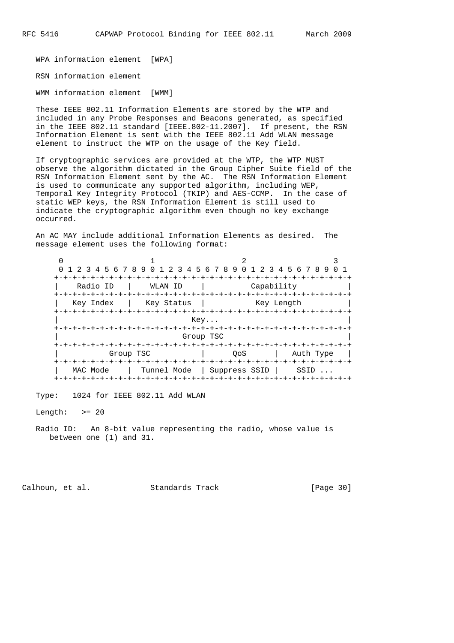WPA information element [WPA]

RSN information element

WMM information element [WMM]

 These IEEE 802.11 Information Elements are stored by the WTP and included in any Probe Responses and Beacons generated, as specified in the IEEE 802.11 standard [IEEE.802-11.2007]. If present, the RSN Information Element is sent with the IEEE 802.11 Add WLAN message element to instruct the WTP on the usage of the Key field.

 If cryptographic services are provided at the WTP, the WTP MUST observe the algorithm dictated in the Group Cipher Suite field of the RSN Information Element sent by the AC. The RSN Information Element is used to communicate any supported algorithm, including WEP, Temporal Key Integrity Protocol (TKIP) and AES-CCMP. In the case of static WEP keys, the RSN Information Element is still used to indicate the cryptographic algorithm even though no key exchange occurred.

 An AC MAY include additional Information Elements as desired. The message element uses the following format:

| 0 1 2 3 4 5 6 7 8 9 0 1 2 3 4 5 6 7 8 9 0 1 2 3 4 5 6 7 8 9 |                            |                                       |                  |  |  |  |  |  |  |  |
|-------------------------------------------------------------|----------------------------|---------------------------------------|------------------|--|--|--|--|--|--|--|
| Radio ID<br>+-+-+-+-+-+                                     | WLAN ID<br>+-+-+-+-+-+-+-+ | Capability<br>+-+-+-+-+-+-+-+-+-+-+   |                  |  |  |  |  |  |  |  |
| Key Index                                                   | Key Status<br>Key Length   |                                       |                  |  |  |  |  |  |  |  |
|                                                             | Key                        |                                       |                  |  |  |  |  |  |  |  |
|                                                             | Group TSC                  | -+-+-+-+-+-+-+-+-+-+-+-+-+-+-+-+-+-+- |                  |  |  |  |  |  |  |  |
| Group TSC                                                   |                            | OoS                                   | Auth Type        |  |  |  |  |  |  |  |
| MAC Mode                                                    | Tunnel Mode                | Suppress SSID                         | SSID<br>$\cdots$ |  |  |  |  |  |  |  |

Type: 1024 for IEEE 802.11 Add WLAN

Length:  $>= 20$ 

 Radio ID: An 8-bit value representing the radio, whose value is between one (1) and 31.

Calhoun, et al. Standards Track [Page 30]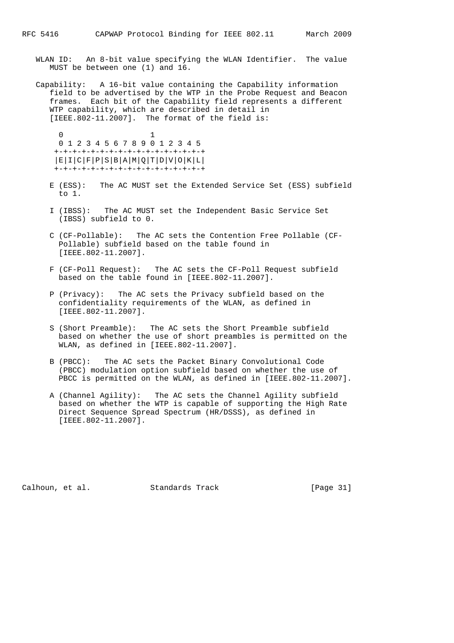- WLAN ID: An 8-bit value specifying the WLAN Identifier. The value MUST be between one (1) and 16.
- Capability: A 16-bit value containing the Capability information field to be advertised by the WTP in the Probe Request and Beacon frames. Each bit of the Capability field represents a different WTP capability, which are described in detail in [IEEE.802-11.2007]. The format of the field is:

 0 1 0 1 2 3 4 5 6 7 8 9 0 1 2 3 4 5 +-+-+-+-+-+-+-+-+-+-+-+-+-+-+-+-+ |E|I|C|F|P|S|B|A|M|Q|T|D|V|O|K|L| +-+-+-+-+-+-+-+-+-+-+-+-+-+-+-+-+

- E (ESS): The AC MUST set the Extended Service Set (ESS) subfield to 1.
- I (IBSS): The AC MUST set the Independent Basic Service Set (IBSS) subfield to 0.
- C (CF-Pollable): The AC sets the Contention Free Pollable (CF- Pollable) subfield based on the table found in [IEEE.802-11.2007].
- F (CF-Poll Request): The AC sets the CF-Poll Request subfield based on the table found in [IEEE.802-11.2007].
- P (Privacy): The AC sets the Privacy subfield based on the confidentiality requirements of the WLAN, as defined in [IEEE.802-11.2007].
- S (Short Preamble): The AC sets the Short Preamble subfield based on whether the use of short preambles is permitted on the WLAN, as defined in [IEEE.802-11.2007].
- B (PBCC): The AC sets the Packet Binary Convolutional Code (PBCC) modulation option subfield based on whether the use of PBCC is permitted on the WLAN, as defined in [IEEE.802-11.2007].
- A (Channel Agility): The AC sets the Channel Agility subfield based on whether the WTP is capable of supporting the High Rate Direct Sequence Spread Spectrum (HR/DSSS), as defined in [IEEE.802-11.2007].

Calhoun, et al. Standards Track [Page 31]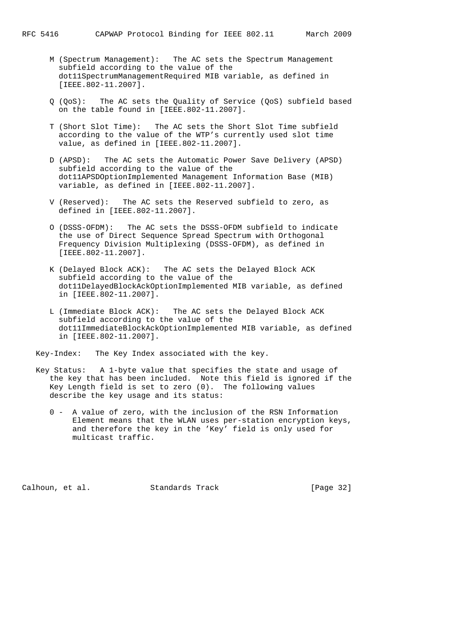- M (Spectrum Management): The AC sets the Spectrum Management subfield according to the value of the dot11SpectrumManagementRequired MIB variable, as defined in [IEEE.802-11.2007].
- Q (QoS): The AC sets the Quality of Service (QoS) subfield based on the table found in [IEEE.802-11.2007].
- T (Short Slot Time): The AC sets the Short Slot Time subfield according to the value of the WTP's currently used slot time value, as defined in [IEEE.802-11.2007].
- D (APSD): The AC sets the Automatic Power Save Delivery (APSD) subfield according to the value of the dot11APSDOptionImplemented Management Information Base (MIB) variable, as defined in [IEEE.802-11.2007].
- V (Reserved): The AC sets the Reserved subfield to zero, as defined in [IEEE.802-11.2007].
- O (DSSS-OFDM): The AC sets the DSSS-OFDM subfield to indicate the use of Direct Sequence Spread Spectrum with Orthogonal Frequency Division Multiplexing (DSSS-OFDM), as defined in [IEEE.802-11.2007].
- K (Delayed Block ACK): The AC sets the Delayed Block ACK subfield according to the value of the dot11DelayedBlockAckOptionImplemented MIB variable, as defined in [IEEE.802-11.2007].
- L (Immediate Block ACK): The AC sets the Delayed Block ACK subfield according to the value of the dot11ImmediateBlockAckOptionImplemented MIB variable, as defined in [IEEE.802-11.2007].

Key-Index: The Key Index associated with the key.

- Key Status: A 1-byte value that specifies the state and usage of the key that has been included. Note this field is ignored if the Key Length field is set to zero (0). The following values describe the key usage and its status:
	- 0 A value of zero, with the inclusion of the RSN Information Element means that the WLAN uses per-station encryption keys, and therefore the key in the 'Key' field is only used for multicast traffic.

Calhoun, et al. Standards Track [Page 32]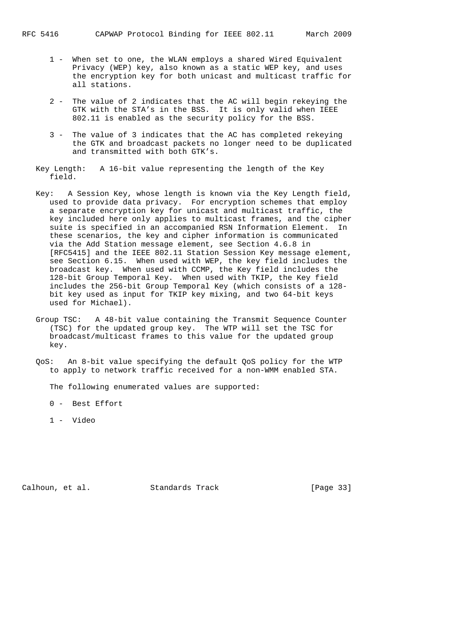- 1 When set to one, the WLAN employs a shared Wired Equivalent Privacy (WEP) key, also known as a static WEP key, and uses the encryption key for both unicast and multicast traffic for all stations.
- 2 The value of 2 indicates that the AC will begin rekeying the GTK with the STA's in the BSS. It is only valid when IEEE 802.11 is enabled as the security policy for the BSS.
- 3 The value of 3 indicates that the AC has completed rekeying the GTK and broadcast packets no longer need to be duplicated and transmitted with both GTK's.
- Key Length: A 16-bit value representing the length of the Key field.
- Key: A Session Key, whose length is known via the Key Length field, used to provide data privacy. For encryption schemes that employ a separate encryption key for unicast and multicast traffic, the key included here only applies to multicast frames, and the cipher suite is specified in an accompanied RSN Information Element. In these scenarios, the key and cipher information is communicated via the Add Station message element, see Section 4.6.8 in [RFC5415] and the IEEE 802.11 Station Session Key message element, see Section 6.15. When used with WEP, the key field includes the broadcast key. When used with CCMP, the Key field includes the 128-bit Group Temporal Key. When used with TKIP, the Key field includes the 256-bit Group Temporal Key (which consists of a 128 bit key used as input for TKIP key mixing, and two 64-bit keys used for Michael).
- Group TSC: A 48-bit value containing the Transmit Sequence Counter (TSC) for the updated group key. The WTP will set the TSC for broadcast/multicast frames to this value for the updated group key.
- QoS: An 8-bit value specifying the default QoS policy for the WTP to apply to network traffic received for a non-WMM enabled STA.

The following enumerated values are supported:

- 0 Best Effort
- 1 Video

Calhoun, et al. Standards Track [Page 33]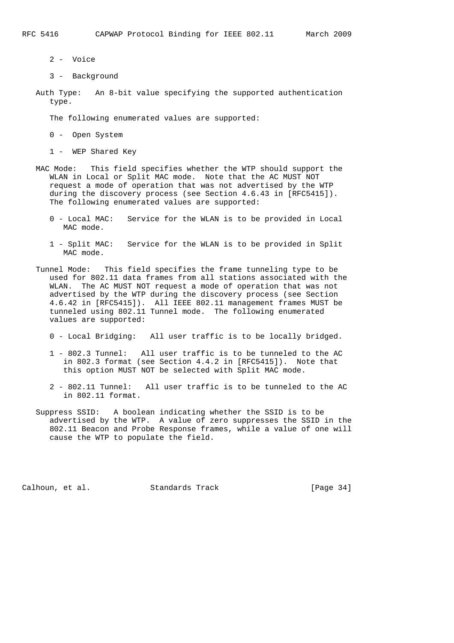- 2 Voice
- 3 Background
- Auth Type: An 8-bit value specifying the supported authentication type.

The following enumerated values are supported:

0 - Open System

1 - WEP Shared Key

- MAC Mode: This field specifies whether the WTP should support the WLAN in Local or Split MAC mode. Note that the AC MUST NOT request a mode of operation that was not advertised by the WTP during the discovery process (see Section 4.6.43 in [RFC5415]). The following enumerated values are supported:
	- 0 Local MAC: Service for the WLAN is to be provided in Local MAC mode.
	- 1 Split MAC: Service for the WLAN is to be provided in Split MAC mode.
- Tunnel Mode: This field specifies the frame tunneling type to be used for 802.11 data frames from all stations associated with the WLAN. The AC MUST NOT request a mode of operation that was not advertised by the WTP during the discovery process (see Section 4.6.42 in [RFC5415]). All IEEE 802.11 management frames MUST be tunneled using 802.11 Tunnel mode. The following enumerated values are supported:
	- 0 Local Bridging: All user traffic is to be locally bridged.
	- 1 802.3 Tunnel: All user traffic is to be tunneled to the AC in 802.3 format (see Section 4.4.2 in [RFC5415]). Note that this option MUST NOT be selected with Split MAC mode.
	- 2 802.11 Tunnel: All user traffic is to be tunneled to the AC in 802.11 format.
- Suppress SSID: A boolean indicating whether the SSID is to be advertised by the WTP. A value of zero suppresses the SSID in the 802.11 Beacon and Probe Response frames, while a value of one will cause the WTP to populate the field.

Calhoun, et al. Standards Track [Page 34]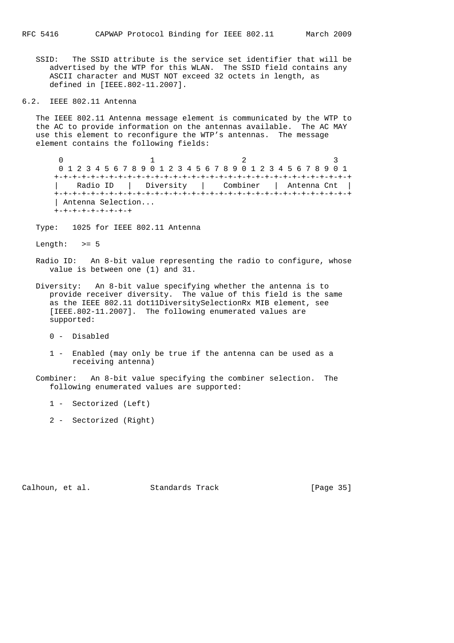SSID: The SSID attribute is the service set identifier that will be advertised by the WTP for this WLAN. The SSID field contains any ASCII character and MUST NOT exceed 32 octets in length, as defined in [IEEE.802-11.2007].

6.2. IEEE 802.11 Antenna

 The IEEE 802.11 Antenna message element is communicated by the WTP to the AC to provide information on the antennas available. The AC MAY use this element to reconfigure the WTP's antennas. The message element contains the following fields:

 $0$  1 2 3 0 1 2 3 4 5 6 7 8 9 0 1 2 3 4 5 6 7 8 9 0 1 2 3 4 5 6 7 8 9 0 1 +-+-+-+-+-+-+-+-+-+-+-+-+-+-+-+-+-+-+-+-+-+-+-+-+-+-+-+-+-+-+-+-+ | Radio ID | Diversity | Combiner | Antenna Cnt | +-+-+-+-+-+-+-+-+-+-+-+-+-+-+-+-+-+-+-+-+-+-+-+-+-+-+-+-+-+-+-+-+ | Antenna Selection... +-+-+-+-+-+-+-+-+

Type: 1025 for IEEE 802.11 Antenna

Length:  $>= 5$ 

 Radio ID: An 8-bit value representing the radio to configure, whose value is between one (1) and 31.

 Diversity: An 8-bit value specifying whether the antenna is to provide receiver diversity. The value of this field is the same as the IEEE 802.11 dot11DiversitySelectionRx MIB element, see [IEEE.802-11.2007]. The following enumerated values are supported:

0 - Disabled

 1 - Enabled (may only be true if the antenna can be used as a receiving antenna)

 Combiner: An 8-bit value specifying the combiner selection. The following enumerated values are supported:

1 - Sectorized (Left)

2 - Sectorized (Right)

Calhoun, et al. Standards Track [Page 35]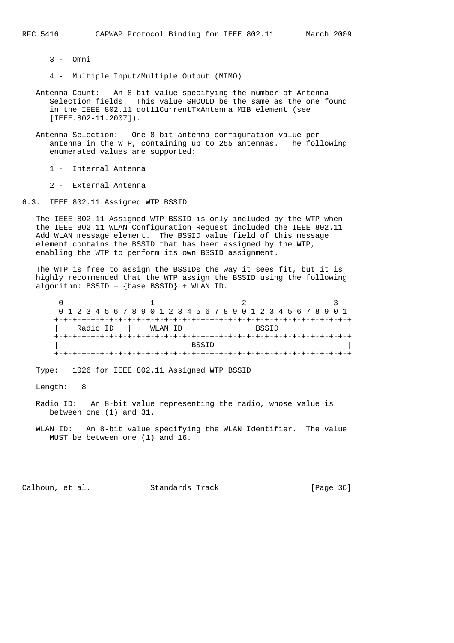3 - Omni

4 - Multiple Input/Multiple Output (MIMO)

- Antenna Count: An 8-bit value specifying the number of Antenna Selection fields. This value SHOULD be the same as the one found in the IEEE 802.11 dot11CurrentTxAntenna MIB element (see [IEEE.802-11.2007]).
- Antenna Selection: One 8-bit antenna configuration value per antenna in the WTP, containing up to 255 antennas. The following enumerated values are supported:

1 - Internal Antenna

2 - External Antenna

6.3. IEEE 802.11 Assigned WTP BSSID

 The IEEE 802.11 Assigned WTP BSSID is only included by the WTP when the IEEE 802.11 WLAN Configuration Request included the IEEE 802.11 Add WLAN message element. The BSSID value field of this message element contains the BSSID that has been assigned by the WTP, enabling the WTP to perform its own BSSID assignment.

 The WTP is free to assign the BSSIDs the way it sees fit, but it is highly recommended that the WTP assign the BSSID using the following algorithm:  $BSSID = \{base BSSID\} + WLAN ID.$ 

|                     |  |  |  |  |  |  |  |  |  |  |  |  |  |              |  |  | 0 1 2 3 4 5 6 7 8 9 0 1 2 3 4 5 6 7 8 9 0 1 2 3 4 5 6 7 8 9 0 1 |  |  |  |  |  |  |  |  |  |  |  |  |
|---------------------|--|--|--|--|--|--|--|--|--|--|--|--|--|--------------|--|--|-----------------------------------------------------------------|--|--|--|--|--|--|--|--|--|--|--|--|
|                     |  |  |  |  |  |  |  |  |  |  |  |  |  |              |  |  |                                                                 |  |  |  |  |  |  |  |  |  |  |  |  |
| Radio ID<br>WLAN ID |  |  |  |  |  |  |  |  |  |  |  |  |  | <b>BSSTD</b> |  |  |                                                                 |  |  |  |  |  |  |  |  |  |  |  |  |
|                     |  |  |  |  |  |  |  |  |  |  |  |  |  |              |  |  | -+-+-+-+-+-+-+-+-+-+-+-+-+-+-+-+-+-+-                           |  |  |  |  |  |  |  |  |  |  |  |  |
| <b>BSSTD</b>        |  |  |  |  |  |  |  |  |  |  |  |  |  |              |  |  |                                                                 |  |  |  |  |  |  |  |  |  |  |  |  |
|                     |  |  |  |  |  |  |  |  |  |  |  |  |  |              |  |  |                                                                 |  |  |  |  |  |  |  |  |  |  |  |  |

Type: 1026 for IEEE 802.11 Assigned WTP BSSID

Length: 8

 Radio ID: An 8-bit value representing the radio, whose value is between one (1) and 31.

 WLAN ID: An 8-bit value specifying the WLAN Identifier. The value MUST be between one (1) and 16.

Calhoun, et al. Standards Track [Page 36]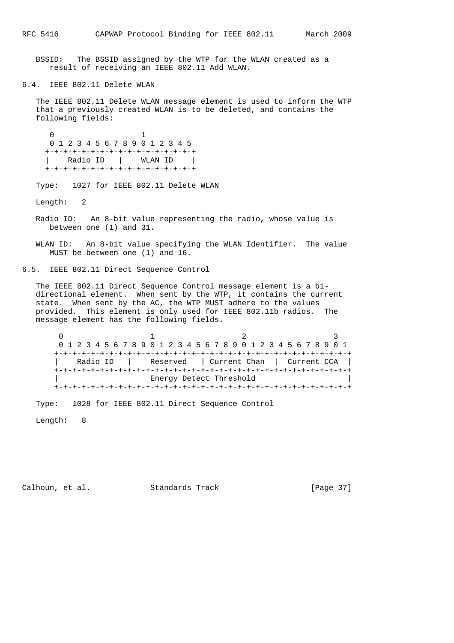BSSID: The BSSID assigned by the WTP for the WLAN created as a result of receiving an IEEE 802.11 Add WLAN.

6.4. IEEE 802.11 Delete WLAN

 The IEEE 802.11 Delete WLAN message element is used to inform the WTP that a previously created WLAN is to be deleted, and contains the following fields:

 0 1 0 1 2 3 4 5 6 7 8 9 0 1 2 3 4 5 +-+-+-+-+-+-+-+-+-+-+-+-+-+-+-+-+ | Radio ID | WLAN ID | +-+-+-+-+-+-+-+-+-+-+-+-+-+-+-+-+

Type: 1027 for IEEE 802.11 Delete WLAN

Length: 2

 Radio ID: An 8-bit value representing the radio, whose value is between one (1) and 31.

 WLAN ID: An 8-bit value specifying the WLAN Identifier. The value MUST be between one (1) and 16.

6.5. IEEE 802.11 Direct Sequence Control

 The IEEE 802.11 Direct Sequence Control message element is a bi directional element. When sent by the WTP, it contains the current state. When sent by the AC, the WTP MUST adhere to the values provided. This element is only used for IEEE 802.11b radios. The message element has the following fields.

 $0$  1 2 3 0 1 2 3 4 5 6 7 8 9 0 1 2 3 4 5 6 7 8 9 0 1 2 3 4 5 6 7 8 9 0 1 +-+-+-+-+-+-+-+-+-+-+-+-+-+-+-+-+-+-+-+-+-+-+-+-+-+-+-+-+-+-+-+-+ | Radio ID | Reserved | Current Chan | Current CCA | +-+-+-+-+-+-+-+-+-+-+-+-+-+-+-+-+-+-+-+-+-+-+-+-+-+-+-+-+-+-+-+-+ Energy Detect Threshold +-+-+-+-+-+-+-+-+-+-+-+-+-+-+-+-+-+-+-+-+-+-+-+-+-+-+-+-+-+-+-+-+

Type: 1028 for IEEE 802.11 Direct Sequence Control

Length: 8

Calhoun, et al. Standards Track [Page 37]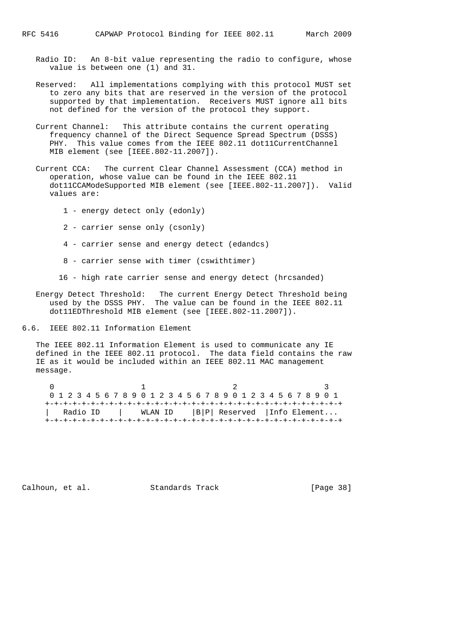- Radio ID: An 8-bit value representing the radio to configure, whose value is between one (1) and 31.
- Reserved: All implementations complying with this protocol MUST set to zero any bits that are reserved in the version of the protocol supported by that implementation. Receivers MUST ignore all bits not defined for the version of the protocol they support.
- Current Channel: This attribute contains the current operating frequency channel of the Direct Sequence Spread Spectrum (DSSS) PHY. This value comes from the IEEE 802.11 dot11CurrentChannel MIB element (see [IEEE.802-11.2007]).
- Current CCA: The current Clear Channel Assessment (CCA) method in operation, whose value can be found in the IEEE 802.11 dot11CCAModeSupported MIB element (see [IEEE.802-11.2007]). Valid values are:
	- 1 energy detect only (edonly)
	- 2 carrier sense only (csonly)
	- 4 carrier sense and energy detect (edandcs)
	- 8 carrier sense with timer (cswithtimer)
	- 16 high rate carrier sense and energy detect (hrcsanded)
- Energy Detect Threshold: The current Energy Detect Threshold being used by the DSSS PHY. The value can be found in the IEEE 802.11 dot11EDThreshold MIB element (see [IEEE.802-11.2007]).
- 6.6. IEEE 802.11 Information Element

 The IEEE 802.11 Information Element is used to communicate any IE defined in the IEEE 802.11 protocol. The data field contains the raw IE as it would be included within an IEEE 802.11 MAC management message.

|                                                    |  |  |  | 0 1 2 3 4 5 6 7 8 9 0 1 2 3 4 5 6 7 8 9 0 1 2 3 4 5 6 7 8 9 0 1 |  |  |  |  |  |  |  |  |  |  |  |  |
|----------------------------------------------------|--|--|--|-----------------------------------------------------------------|--|--|--|--|--|--|--|--|--|--|--|--|
|                                                    |  |  |  |                                                                 |  |  |  |  |  |  |  |  |  |  |  |  |
| Radio ID   WLAN ID    B P  Reserved   Info Element |  |  |  |                                                                 |  |  |  |  |  |  |  |  |  |  |  |  |
|                                                    |  |  |  |                                                                 |  |  |  |  |  |  |  |  |  |  |  |  |

Calhoun, et al. Standards Track [Page 38]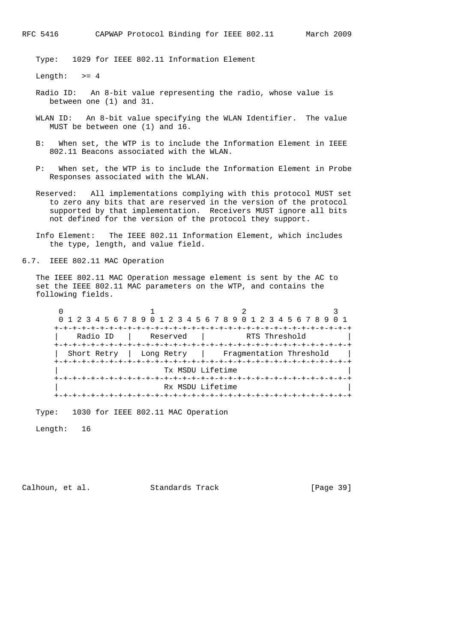Type: 1029 for IEEE 802.11 Information Element

Length:  $>= 4$ 

- Radio ID: An 8-bit value representing the radio, whose value is between one (1) and 31.
- WLAN ID: An 8-bit value specifying the WLAN Identifier. The value MUST be between one (1) and 16.
- B: When set, the WTP is to include the Information Element in IEEE 802.11 Beacons associated with the WLAN.
- P: When set, the WTP is to include the Information Element in Probe Responses associated with the WLAN.
- Reserved: All implementations complying with this protocol MUST set to zero any bits that are reserved in the version of the protocol supported by that implementation. Receivers MUST ignore all bits not defined for the version of the protocol they support.
- Info Element: The IEEE 802.11 Information Element, which includes the type, length, and value field.

6.7. IEEE 802.11 MAC Operation

 The IEEE 802.11 MAC Operation message element is sent by the AC to set the IEEE 802.11 MAC parameters on the WTP, and contains the following fields.

 $0$  1 2 3 0 1 2 3 4 5 6 7 8 9 0 1 2 3 4 5 6 7 8 9 0 1 2 3 4 5 6 7 8 9 0 1 +-+-+-+-+-+-+-+-+-+-+-+-+-+-+-+-+-+-+-+-+-+-+-+-+-+-+-+-+-+-+-+-+ | Radio ID | Reserved | RTS Threshold | +-+-+-+-+-+-+-+-+-+-+-+-+-+-+-+-+-+-+-+-+-+-+-+-+-+-+-+-+-+-+-+-+ | Short Retry | Long Retry | Fragmentation Threshold | +-+-+-+-+-+-+-+-+-+-+-+-+-+-+-+-+-+-+-+-+-+-+-+-+-+-+-+-+-+-+-+-+ Tx MSDU Lifetime +-+-+-+-+-+-+-+-+-+-+-+-+-+-+-+-+-+-+-+-+-+-+-+-+-+-+-+-+-+-+-+-+  $Rx$  MSDU Lifetime +-+-+-+-+-+-+-+-+-+-+-+-+-+-+-+-+-+-+-+-+-+-+-+-+-+-+-+-+-+-+-+-+

Type: 1030 for IEEE 802.11 MAC Operation

Length: 16

Calhoun, et al. Standards Track [Page 39]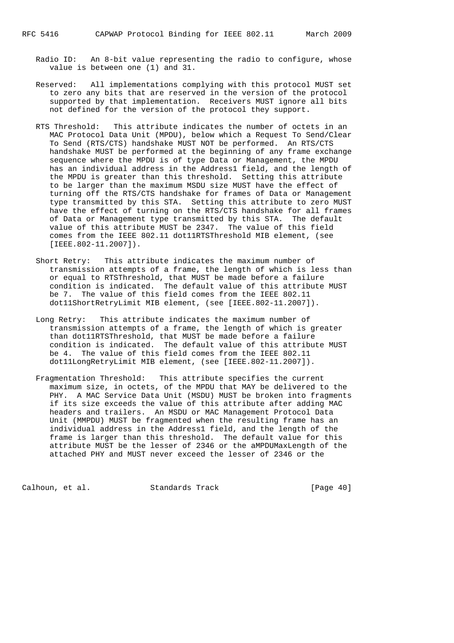- Radio ID: An 8-bit value representing the radio to configure, whose value is between one (1) and 31.
- Reserved: All implementations complying with this protocol MUST set to zero any bits that are reserved in the version of the protocol supported by that implementation. Receivers MUST ignore all bits not defined for the version of the protocol they support.
- RTS Threshold: This attribute indicates the number of octets in an MAC Protocol Data Unit (MPDU), below which a Request To Send/Clear To Send (RTS/CTS) handshake MUST NOT be performed. An RTS/CTS handshake MUST be performed at the beginning of any frame exchange sequence where the MPDU is of type Data or Management, the MPDU has an individual address in the Address1 field, and the length of the MPDU is greater than this threshold. Setting this attribute to be larger than the maximum MSDU size MUST have the effect of turning off the RTS/CTS handshake for frames of Data or Management type transmitted by this STA. Setting this attribute to zero MUST have the effect of turning on the RTS/CTS handshake for all frames of Data or Management type transmitted by this STA. The default value of this attribute MUST be 2347. The value of this field comes from the IEEE 802.11 dot11RTSThreshold MIB element, (see [IEEE.802-11.2007]).
- Short Retry: This attribute indicates the maximum number of transmission attempts of a frame, the length of which is less than or equal to RTSThreshold, that MUST be made before a failure condition is indicated. The default value of this attribute MUST be 7. The value of this field comes from the IEEE 802.11 dot11ShortRetryLimit MIB element, (see [IEEE.802-11.2007]).
- Long Retry: This attribute indicates the maximum number of transmission attempts of a frame, the length of which is greater than dot11RTSThreshold, that MUST be made before a failure condition is indicated. The default value of this attribute MUST be 4. The value of this field comes from the IEEE 802.11 dot11LongRetryLimit MIB element, (see [IEEE.802-11.2007]).
- Fragmentation Threshold: This attribute specifies the current maximum size, in octets, of the MPDU that MAY be delivered to the PHY. A MAC Service Data Unit (MSDU) MUST be broken into fragments if its size exceeds the value of this attribute after adding MAC headers and trailers. An MSDU or MAC Management Protocol Data Unit (MMPDU) MUST be fragmented when the resulting frame has an individual address in the Address1 field, and the length of the frame is larger than this threshold. The default value for this attribute MUST be the lesser of 2346 or the aMPDUMaxLength of the attached PHY and MUST never exceed the lesser of 2346 or the

Calhoun, et al. Standards Track [Page 40]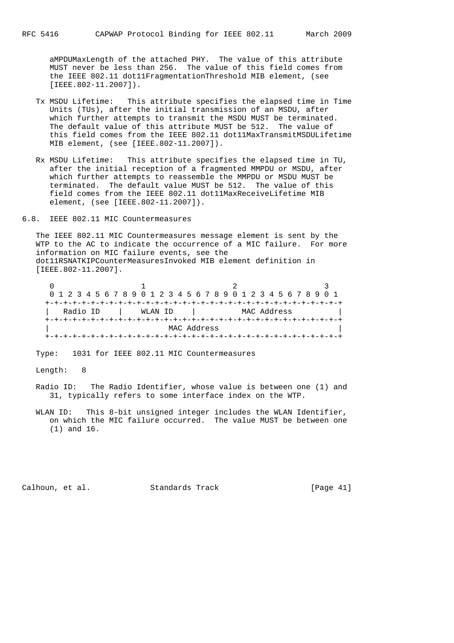aMPDUMaxLength of the attached PHY. The value of this attribute MUST never be less than 256. The value of this field comes from the IEEE 802.11 dot11FragmentationThreshold MIB element, (see [IEEE.802-11.2007]).

- Tx MSDU Lifetime: This attribute specifies the elapsed time in Time Units (TUs), after the initial transmission of an MSDU, after which further attempts to transmit the MSDU MUST be terminated. The default value of this attribute MUST be 512. The value of this field comes from the IEEE 802.11 dot11MaxTransmitMSDULifetime MIB element, (see [IEEE.802-11.2007]).
- Rx MSDU Lifetime: This attribute specifies the elapsed time in TU, after the initial reception of a fragmented MMPDU or MSDU, after which further attempts to reassemble the MMPDU or MSDU MUST be terminated. The default value MUST be 512. The value of this field comes from the IEEE 802.11 dot11MaxReceiveLifetime MIB element, (see [IEEE.802-11.2007]).
- 6.8. IEEE 802.11 MIC Countermeasures

 The IEEE 802.11 MIC Countermeasures message element is sent by the WTP to the AC to indicate the occurrence of a MIC failure. For more information on MIC failure events, see the dot11RSNATKIPCounterMeasuresInvoked MIB element definition in [IEEE.802-11.2007].

 $0$  and  $1$  and  $2$  3 0 1 2 3 4 5 6 7 8 9 0 1 2 3 4 5 6 7 8 9 0 1 2 3 4 5 6 7 8 9 0 1 +-+-+-+-+-+-+-+-+-+-+-+-+-+-+-+-+-+-+-+-+-+-+-+-+-+-+-+-+-+-+-+-+ | Radio ID | WLAN ID | MAC Address | +-+-+-+-+-+-+-+-+-+-+-+-+-+-+-+-+-+-+-+-+-+-+-+-+-+-+-+-+-+-+-+-+ | MAC Address | +-+-+-+-+-+-+-+-+-+-+-+-+-+-+-+-+-+-+-+-+-+-+-+-+-+-+-+-+-+-+-+-+

Type: 1031 for IEEE 802.11 MIC Countermeasures

Length: 8

- Radio ID: The Radio Identifier, whose value is between one (1) and 31, typically refers to some interface index on the WTP.
- WLAN ID: This 8-bit unsigned integer includes the WLAN Identifier, on which the MIC failure occurred. The value MUST be between one (1) and 16.

Calhoun, et al. Standards Track [Page 41]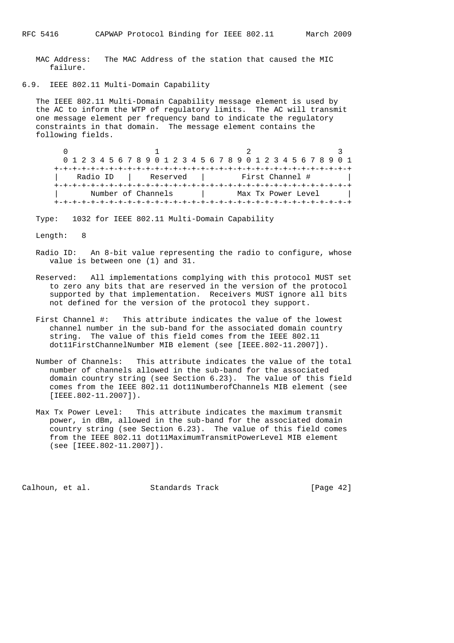MAC Address: The MAC Address of the station that caused the MIC failure.

6.9. IEEE 802.11 Multi-Domain Capability

 The IEEE 802.11 Multi-Domain Capability message element is used by the AC to inform the WTP of regulatory limits. The AC will transmit one message element per frequency band to indicate the regulatory constraints in that domain. The message element contains the following fields.

 $0$  1 2 3 0 1 2 3 4 5 6 7 8 9 0 1 2 3 4 5 6 7 8 9 0 1 2 3 4 5 6 7 8 9 0 1 +-+-+-+-+-+-+-+-+-+-+-+-+-+-+-+-+-+-+-+-+-+-+-+-+-+-+-+-+-+-+-+-+ | Radio ID | Reserved | First Channel # | +-+-+-+-+-+-+-+-+-+-+-+-+-+-+-+-+-+-+-+-+-+-+-+-+-+-+-+-+-+-+-+-+ | Number of Channels | Max Tx Power Level | +-+-+-+-+-+-+-+-+-+-+-+-+-+-+-+-+-+-+-+-+-+-+-+-+-+-+-+-+-+-+-+-+

Type: 1032 for IEEE 802.11 Multi-Domain Capability

Length: 8

- Radio ID: An 8-bit value representing the radio to configure, whose value is between one (1) and 31.
- Reserved: All implementations complying with this protocol MUST set to zero any bits that are reserved in the version of the protocol supported by that implementation. Receivers MUST ignore all bits not defined for the version of the protocol they support.
- First Channel #: This attribute indicates the value of the lowest channel number in the sub-band for the associated domain country string. The value of this field comes from the IEEE 802.11 dot11FirstChannelNumber MIB element (see [IEEE.802-11.2007]).
- Number of Channels: This attribute indicates the value of the total number of channels allowed in the sub-band for the associated domain country string (see Section 6.23). The value of this field comes from the IEEE 802.11 dot11NumberofChannels MIB element (see [IEEE.802-11.2007]).
- Max Tx Power Level: This attribute indicates the maximum transmit power, in dBm, allowed in the sub-band for the associated domain country string (see Section 6.23). The value of this field comes from the IEEE 802.11 dot11MaximumTransmitPowerLevel MIB element (see [IEEE.802-11.2007]).

Calhoun, et al. Standards Track [Page 42]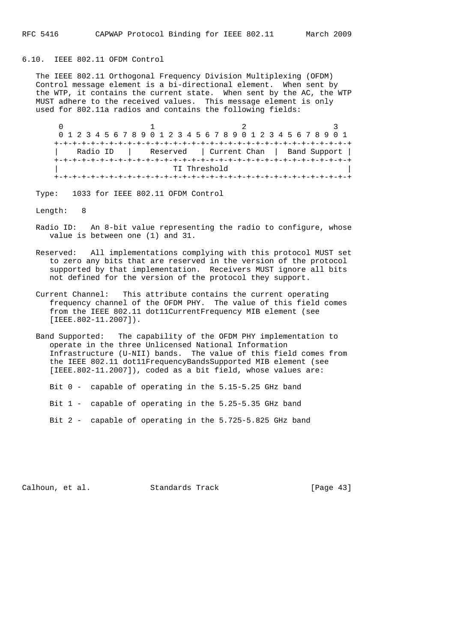### 6.10. IEEE 802.11 OFDM Control

 The IEEE 802.11 Orthogonal Frequency Division Multiplexing (OFDM) Control message element is a bi-directional element. When sent by the WTP, it contains the current state. When sent by the AC, the WTP MUST adhere to the received values. This message element is only used for 802.11a radios and contains the following fields:

 $0$  1 2 3 0 1 2 3 4 5 6 7 8 9 0 1 2 3 4 5 6 7 8 9 0 1 2 3 4 5 6 7 8 9 0 1 +-+-+-+-+-+-+-+-+-+-+-+-+-+-+-+-+-+-+-+-+-+-+-+-+-+-+-+-+-+-+-+-+ | Radio ID | Reserved | Current Chan | Band Support | +-+-+-+-+-+-+-+-+-+-+-+-+-+-+-+-+-+-+-+-+-+-+-+-+-+-+-+-+-+-+-+-+ TI Threshold +-+-+-+-+-+-+-+-+-+-+-+-+-+-+-+-+-+-+-+-+-+-+-+-+-+-+-+-+-+-+-+-+

Type: 1033 for IEEE 802.11 OFDM Control

Length: 8

- Radio ID: An 8-bit value representing the radio to configure, whose value is between one (1) and 31.
- Reserved: All implementations complying with this protocol MUST set to zero any bits that are reserved in the version of the protocol supported by that implementation. Receivers MUST ignore all bits not defined for the version of the protocol they support.
- Current Channel: This attribute contains the current operating frequency channel of the OFDM PHY. The value of this field comes from the IEEE 802.11 dot11CurrentFrequency MIB element (see [IEEE.802-11.2007]).
- Band Supported: The capability of the OFDM PHY implementation to operate in the three Unlicensed National Information Infrastructure (U-NII) bands. The value of this field comes from the IEEE 802.11 dot11FrequencyBandsSupported MIB element (see [IEEE.802-11.2007]), coded as a bit field, whose values are:

Bit 0 - capable of operating in the 5.15-5.25 GHz band

Bit 1 - capable of operating in the 5.25-5.35 GHz band

Bit 2 - capable of operating in the 5.725-5.825 GHz band

Calhoun, et al. Standards Track [Page 43]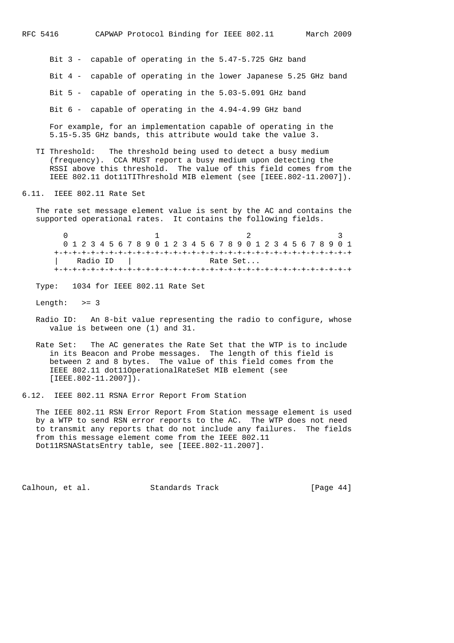Bit 3 - capable of operating in the 5.47-5.725 GHz band Bit 4 - capable of operating in the lower Japanese 5.25 GHz band Bit 5 - capable of operating in the 5.03-5.091 GHz band

Bit 6 - capable of operating in the 4.94-4.99 GHz band

 For example, for an implementation capable of operating in the 5.15-5.35 GHz bands, this attribute would take the value 3.

- TI Threshold: The threshold being used to detect a busy medium (frequency). CCA MUST report a busy medium upon detecting the RSSI above this threshold. The value of this field comes from the IEEE 802.11 dot11TIThreshold MIB element (see [IEEE.802-11.2007]).
- 6.11. IEEE 802.11 Rate Set

 The rate set message element value is sent by the AC and contains the supported operational rates. It contains the following fields.

 $0$  1 2 3 0 1 2 3 4 5 6 7 8 9 0 1 2 3 4 5 6 7 8 9 0 1 2 3 4 5 6 7 8 9 0 1 +-+-+-+-+-+-+-+-+-+-+-+-+-+-+-+-+-+-+-+-+-+-+-+-+-+-+-+-+-+-+-+-+ | Radio ID | Rate Set... +-+-+-+-+-+-+-+-+-+-+-+-+-+-+-+-+-+-+-+-+-+-+-+-+-+-+-+-+-+-+-+-+

Type: 1034 for IEEE 802.11 Rate Set

Length:  $>= 3$ 

- Radio ID: An 8-bit value representing the radio to configure, whose value is between one (1) and 31.
- Rate Set: The AC generates the Rate Set that the WTP is to include in its Beacon and Probe messages. The length of this field is between 2 and 8 bytes. The value of this field comes from the IEEE 802.11 dot11OperationalRateSet MIB element (see [IEEE.802-11.2007]).

6.12. IEEE 802.11 RSNA Error Report From Station

 The IEEE 802.11 RSN Error Report From Station message element is used by a WTP to send RSN error reports to the AC. The WTP does not need to transmit any reports that do not include any failures. The fields from this message element come from the IEEE 802.11 Dot11RSNAStatsEntry table, see [IEEE.802-11.2007].

Calhoun, et al. Standards Track [Page 44]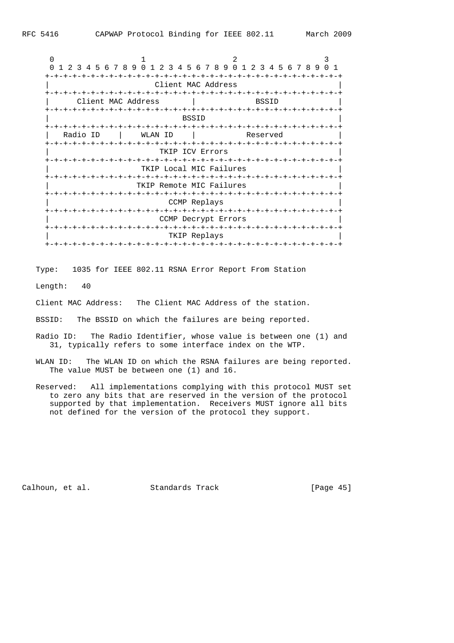$0$  and  $1$  and  $2$  3 0 1 2 3 4 5 6 7 8 9 0 1 2 3 4 5 6 7 8 9 0 1 2 3 4 5 6 7 8 9 0 1 +-+-+-+-+-+-+-+-+-+-+-+-+-+-+-+-+-+-+-+-+-+-+-+-+-+-+-+-+-+-+-+-+ Client MAC Address +-+-+-+-+-+-+-+-+-+-+-+-+-+-+-+-+-+-+-+-+-+-+-+-+-+-+-+-+-+-+-+-+ | Client MAC Address | BSSID +-+-+-+-+-+-+-+-+-+-+-+-+-+-+-+-+-+-+-+-+-+-+-+-+-+-+-+-+-+-+-+-+  $\blacksquare$  BSSID  $\blacksquare$  BSSID  $\blacksquare$  +-+-+-+-+-+-+-+-+-+-+-+-+-+-+-+-+-+-+-+-+-+-+-+-+-+-+-+-+-+-+-+-+ | Radio ID | WLAN ID | Reserved | +-+-+-+-+-+-+-+-+-+-+-+-+-+-+-+-+-+-+-+-+-+-+-+-+-+-+-+-+-+-+-+-+ TKIP ICV Errors +-+-+-+-+-+-+-+-+-+-+-+-+-+-+-+-+-+-+-+-+-+-+-+-+-+-+-+-+-+-+-+-+ TKIP Local MIC Failures +-+-+-+-+-+-+-+-+-+-+-+-+-+-+-+-+-+-+-+-+-+-+-+-+-+-+-+-+-+-+-+-+ TKIP Remote MIC Failures +-+-+-+-+-+-+-+-+-+-+-+-+-+-+-+-+-+-+-+-+-+-+-+-+-+-+-+-+-+-+-+-+ CCMP Replays +-+-+-+-+-+-+-+-+-+-+-+-+-+-+-+-+-+-+-+-+-+-+-+-+-+-+-+-+-+-+-+-+ CCMP Decrypt Errors +-+-+-+-+-+-+-+-+-+-+-+-+-+-+-+-+-+-+-+-+-+-+-+-+-+-+-+-+-+-+-+-+ TKIP Replays +-+-+-+-+-+-+-+-+-+-+-+-+-+-+-+-+-+-+-+-+-+-+-+-+-+-+-+-+-+-+-+-+

Type: 1035 for IEEE 802.11 RSNA Error Report From Station

Length: 40

Client MAC Address: The Client MAC Address of the station.

BSSID: The BSSID on which the failures are being reported.

- Radio ID: The Radio Identifier, whose value is between one (1) and 31, typically refers to some interface index on the WTP.
- WLAN ID: The WLAN ID on which the RSNA failures are being reported. The value MUST be between one (1) and 16.
- Reserved: All implementations complying with this protocol MUST set to zero any bits that are reserved in the version of the protocol supported by that implementation. Receivers MUST ignore all bits not defined for the version of the protocol they support.

Calhoun, et al. Standards Track [Page 45]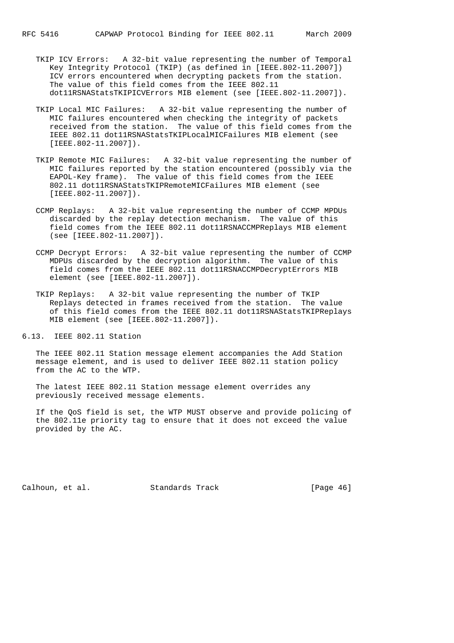- TKIP ICV Errors: A 32-bit value representing the number of Temporal Key Integrity Protocol (TKIP) (as defined in [IEEE.802-11.2007]) ICV errors encountered when decrypting packets from the station. The value of this field comes from the IEEE 802.11 dot11RSNAStatsTKIPICVErrors MIB element (see [IEEE.802-11.2007]).
- TKIP Local MIC Failures: A 32-bit value representing the number of MIC failures encountered when checking the integrity of packets received from the station. The value of this field comes from the IEEE 802.11 dot11RSNAStatsTKIPLocalMICFailures MIB element (see [IEEE.802-11.2007]).
- TKIP Remote MIC Failures: A 32-bit value representing the number of MIC failures reported by the station encountered (possibly via the EAPOL-Key frame). The value of this field comes from the IEEE 802.11 dot11RSNAStatsTKIPRemoteMICFailures MIB element (see [IEEE.802-11.2007]).
- CCMP Replays: A 32-bit value representing the number of CCMP MPDUs discarded by the replay detection mechanism. The value of this field comes from the IEEE 802.11 dot11RSNACCMPReplays MIB element (see [IEEE.802-11.2007]).
- CCMP Decrypt Errors: A 32-bit value representing the number of CCMP MDPUs discarded by the decryption algorithm. The value of this field comes from the IEEE 802.11 dot11RSNACCMPDecryptErrors MIB element (see [IEEE.802-11.2007]).
- TKIP Replays: A 32-bit value representing the number of TKIP Replays detected in frames received from the station. The value of this field comes from the IEEE 802.11 dot11RSNAStatsTKIPReplays MIB element (see [IEEE.802-11.2007]).

6.13. IEEE 802.11 Station

 The IEEE 802.11 Station message element accompanies the Add Station message element, and is used to deliver IEEE 802.11 station policy from the AC to the WTP.

 The latest IEEE 802.11 Station message element overrides any previously received message elements.

 If the QoS field is set, the WTP MUST observe and provide policing of the 802.11e priority tag to ensure that it does not exceed the value provided by the AC.

Calhoun, et al. Standards Track [Page 46]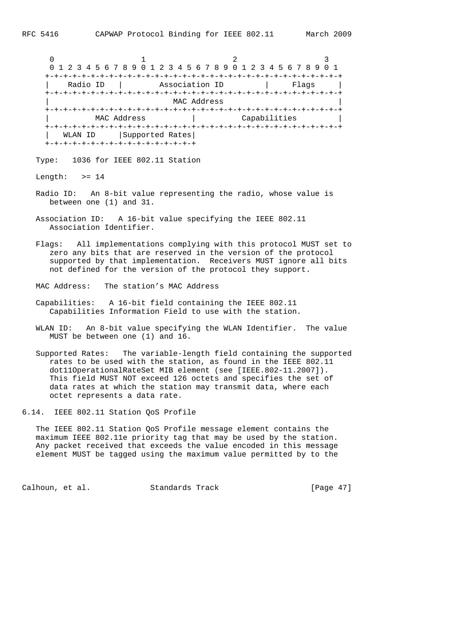|            | 0 1 2 3 4 5 6 7 8 9 0 1 2 3 4 5 6 7 8 9 0 1 2 3 4 5 6 7 8 9 |                |              |       |
|------------|-------------------------------------------------------------|----------------|--------------|-------|
|            |                                                             |                |              |       |
| Radio ID   |                                                             | Association ID |              | Flags |
|            |                                                             |                |              |       |
|            |                                                             | MAC Address    |              |       |
|            |                                                             |                |              |       |
|            | MAC Address                                                 |                | Capabilities |       |
|            |                                                             |                |              |       |
| WLAN<br>ΙD | Supported Rates                                             |                |              |       |
|            | +-+-+-+-+-+-+-+-+-+-+-+-+-+-+-+-+-                          |                |              |       |

Type: 1036 for IEEE 802.11 Station

Length:  $>= 14$ 

- Radio ID: An 8-bit value representing the radio, whose value is between one (1) and 31.
- Association ID: A 16-bit value specifying the IEEE 802.11 Association Identifier.
- Flags: All implementations complying with this protocol MUST set to zero any bits that are reserved in the version of the protocol supported by that implementation. Receivers MUST ignore all bits not defined for the version of the protocol they support.
- MAC Address: The station's MAC Address
- Capabilities: A 16-bit field containing the IEEE 802.11 Capabilities Information Field to use with the station.
- WLAN ID: An 8-bit value specifying the WLAN Identifier. The value MUST be between one (1) and 16.

 Supported Rates: The variable-length field containing the supported rates to be used with the station, as found in the IEEE 802.11 dot11OperationalRateSet MIB element (see [IEEE.802-11.2007]). This field MUST NOT exceed 126 octets and specifies the set of data rates at which the station may transmit data, where each octet represents a data rate.

6.14. IEEE 802.11 Station QoS Profile

 The IEEE 802.11 Station QoS Profile message element contains the maximum IEEE 802.11e priority tag that may be used by the station. Any packet received that exceeds the value encoded in this message element MUST be tagged using the maximum value permitted by to the

Calhoun, et al. Standards Track [Page 47]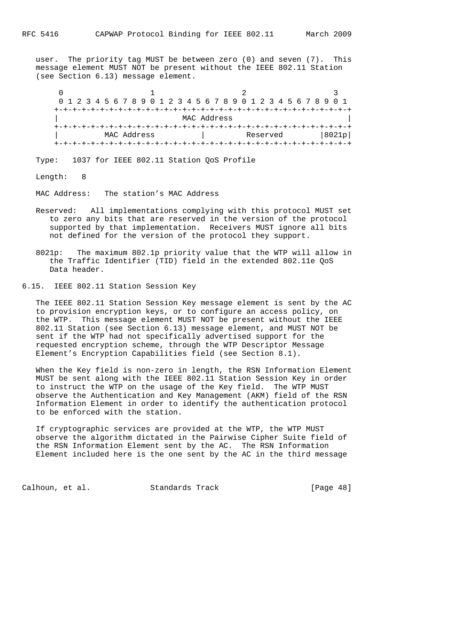user. The priority tag MUST be between zero (0) and seven (7). This message element MUST NOT be present without the IEEE 802.11 Station (see Section 6.13) message element.

|  | 0 1 2 3 4 5 6 7 8 9 0 1 2 3 4 5 6 7 8 9 0 1 2 3 4 5 6 7 8 9 0 1 |  |  |  |  |  |             |  |  |  |  |  |  |  |             |  |  |          |  |  |  |  |       |  |
|--|-----------------------------------------------------------------|--|--|--|--|--|-------------|--|--|--|--|--|--|--|-------------|--|--|----------|--|--|--|--|-------|--|
|  |                                                                 |  |  |  |  |  |             |  |  |  |  |  |  |  |             |  |  |          |  |  |  |  |       |  |
|  |                                                                 |  |  |  |  |  |             |  |  |  |  |  |  |  |             |  |  |          |  |  |  |  |       |  |
|  |                                                                 |  |  |  |  |  |             |  |  |  |  |  |  |  | MAC Address |  |  |          |  |  |  |  |       |  |
|  |                                                                 |  |  |  |  |  |             |  |  |  |  |  |  |  |             |  |  |          |  |  |  |  |       |  |
|  |                                                                 |  |  |  |  |  | MAC Address |  |  |  |  |  |  |  |             |  |  | Reserved |  |  |  |  | 8021p |  |
|  |                                                                 |  |  |  |  |  |             |  |  |  |  |  |  |  |             |  |  |          |  |  |  |  |       |  |

Type: 1037 for IEEE 802.11 Station QoS Profile

Length: 8

MAC Address: The station's MAC Address

- Reserved: All implementations complying with this protocol MUST set to zero any bits that are reserved in the version of the protocol supported by that implementation. Receivers MUST ignore all bits not defined for the version of the protocol they support.
- 8021p: The maximum 802.1p priority value that the WTP will allow in the Traffic Identifier (TID) field in the extended 802.11e QoS Data header.
- 6.15. IEEE 802.11 Station Session Key

 The IEEE 802.11 Station Session Key message element is sent by the AC to provision encryption keys, or to configure an access policy, on the WTP. This message element MUST NOT be present without the IEEE 802.11 Station (see Section 6.13) message element, and MUST NOT be sent if the WTP had not specifically advertised support for the requested encryption scheme, through the WTP Descriptor Message Element's Encryption Capabilities field (see Section 8.1).

 When the Key field is non-zero in length, the RSN Information Element MUST be sent along with the IEEE 802.11 Station Session Key in order to instruct the WTP on the usage of the Key field. The WTP MUST observe the Authentication and Key Management (AKM) field of the RSN Information Element in order to identify the authentication protocol to be enforced with the station.

 If cryptographic services are provided at the WTP, the WTP MUST observe the algorithm dictated in the Pairwise Cipher Suite field of the RSN Information Element sent by the AC. The RSN Information Element included here is the one sent by the AC in the third message

Calhoun, et al. Standards Track [Page 48]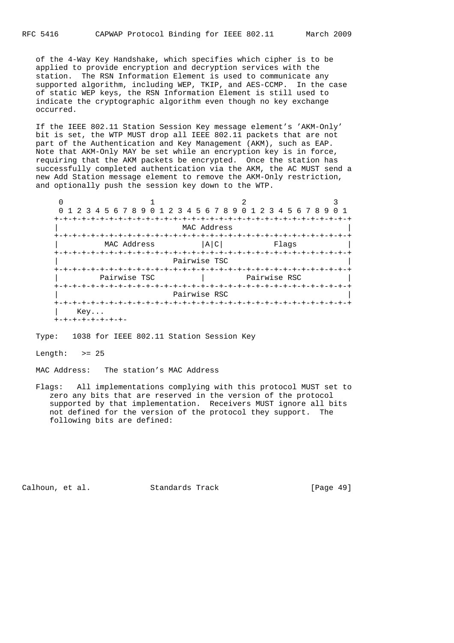of the 4-Way Key Handshake, which specifies which cipher is to be applied to provide encryption and decryption services with the station. The RSN Information Element is used to communicate any supported algorithm, including WEP, TKIP, and AES-CCMP. In the case of static WEP keys, the RSN Information Element is still used to indicate the cryptographic algorithm even though no key exchange occurred.

 If the IEEE 802.11 Station Session Key message element's 'AKM-Only' bit is set, the WTP MUST drop all IEEE 802.11 packets that are not part of the Authentication and Key Management (AKM), such as EAP. Note that AKM-Only MAY be set while an encryption key is in force, requiring that the AKM packets be encrypted. Once the station has successfully completed authentication via the AKM, the AC MUST send a new Add Station message element to remove the AKM-Only restriction, and optionally push the session key down to the WTP.

 $0$  1 2 3 0 1 2 3 4 5 6 7 8 9 0 1 2 3 4 5 6 7 8 9 0 1 2 3 4 5 6 7 8 9 0 1 +-+-+-+-+-+-+-+-+-+-+-+-+-+-+-+-+-+-+-+-+-+-+-+-+-+-+-+-+-+-+-+-+ MAC Address +-+-+-+-+-+-+-+-+-+-+-+-+-+-+-+-+-+-+-+-+-+-+-+-+-+-+-+-+-+-+-+-+ MAC Address  $|A|C|$  Flags +-+-+-+-+-+-+-+-+-+-+-+-+-+-+-+-+-+-+-+-+-+-+-+-+-+-+-+-+-+-+-+-+ Pairwise TSC +-+-+-+-+-+-+-+-+-+-+-+-+-+-+-+-+-+-+-+-+-+-+-+-+-+-+-+-+-+-+-+-+ | Pairwise TSC | Pairwise RSC | +-+-+-+-+-+-+-+-+-+-+-+-+-+-+-+-+-+-+-+-+-+-+-+-+-+-+-+-+-+-+-+-+ Pairwise RSC +-+-+-+-+-+-+-+-+-+-+-+-+-+-+-+-+-+-+-+-+-+-+-+-+-+-+-+-+-+-+-+-+ | Key... +-+-+-+-+-+-+-+-

Type: 1038 for IEEE 802.11 Station Session Key

Length:  $>= 25$ 

MAC Address: The station's MAC Address

 Flags: All implementations complying with this protocol MUST set to zero any bits that are reserved in the version of the protocol supported by that implementation. Receivers MUST ignore all bits not defined for the version of the protocol they support. The following bits are defined:

Calhoun, et al. Standards Track [Page 49]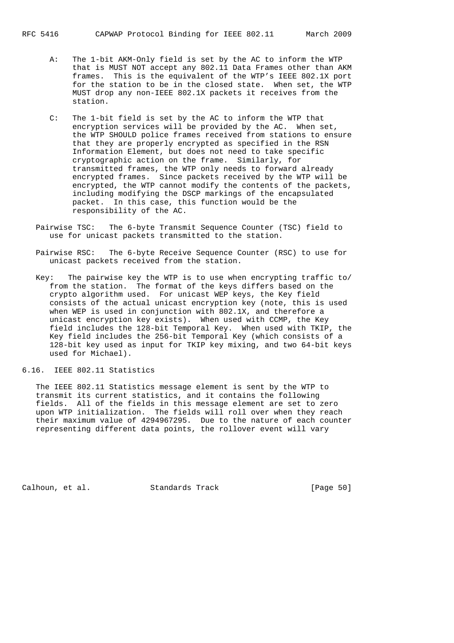- A: The 1-bit AKM-Only field is set by the AC to inform the WTP that is MUST NOT accept any 802.11 Data Frames other than AKM frames. This is the equivalent of the WTP's IEEE 802.1X port for the station to be in the closed state. When set, the WTP MUST drop any non-IEEE 802.1X packets it receives from the station.
- C: The 1-bit field is set by the AC to inform the WTP that encryption services will be provided by the AC. When set, the WTP SHOULD police frames received from stations to ensure that they are properly encrypted as specified in the RSN Information Element, but does not need to take specific cryptographic action on the frame. Similarly, for transmitted frames, the WTP only needs to forward already encrypted frames. Since packets received by the WTP will be encrypted, the WTP cannot modify the contents of the packets, including modifying the DSCP markings of the encapsulated packet. In this case, this function would be the responsibility of the AC.
- Pairwise TSC: The 6-byte Transmit Sequence Counter (TSC) field to use for unicast packets transmitted to the station.
- Pairwise RSC: The 6-byte Receive Sequence Counter (RSC) to use for unicast packets received from the station.
- Key: The pairwise key the WTP is to use when encrypting traffic to/ from the station. The format of the keys differs based on the crypto algorithm used. For unicast WEP keys, the Key field consists of the actual unicast encryption key (note, this is used when WEP is used in conjunction with 802.1X, and therefore a unicast encryption key exists). When used with CCMP, the Key field includes the 128-bit Temporal Key. When used with TKIP, the Key field includes the 256-bit Temporal Key (which consists of a 128-bit key used as input for TKIP key mixing, and two 64-bit keys used for Michael).
- 6.16. IEEE 802.11 Statistics

 The IEEE 802.11 Statistics message element is sent by the WTP to transmit its current statistics, and it contains the following fields. All of the fields in this message element are set to zero upon WTP initialization. The fields will roll over when they reach their maximum value of 4294967295. Due to the nature of each counter representing different data points, the rollover event will vary

Calhoun, et al. Standards Track [Page 50]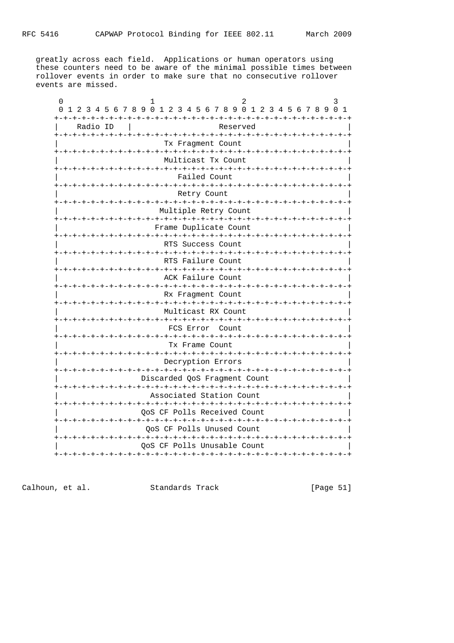greatly across each field. Applications or human operators using these counters need to be aware of the minimal possible times between rollover events in order to make sure that no consecutive rollover events are missed.

| 0 1 2 3 4 5 6 7 8 9 0 1 2 3 4 5 6 7 8 9 0 1 2 3 4 5 6 7 8 9 0 1 |                                         |                                                            |          |  |                    |  |
|-----------------------------------------------------------------|-----------------------------------------|------------------------------------------------------------|----------|--|--------------------|--|
| Radio ID                                                        | -+-+-+-+-+-+-+-+-+-+-+-+-+-             |                                                            | Reserved |  | -+-+-+-+-+-+-+-+-+ |  |
|                                                                 |                                         | Tx Fraqment Count                                          |          |  |                    |  |
|                                                                 |                                         | Multicast Tx Count                                         |          |  |                    |  |
|                                                                 |                                         | Failed Count                                               |          |  |                    |  |
|                                                                 | -+-+-+-+-+-+-+-+-+-+-+-+-+-+-+-+-+-+-+- | Retry Count                                                |          |  |                    |  |
|                                                                 |                                         | Multiple Retry Count                                       |          |  |                    |  |
|                                                                 |                                         | Frame Duplicate Count                                      |          |  |                    |  |
|                                                                 |                                         | RTS Success Count                                          |          |  |                    |  |
|                                                                 |                                         | RTS Failure Count                                          |          |  |                    |  |
|                                                                 |                                         | ACK Failure Count                                          |          |  |                    |  |
|                                                                 |                                         | Rx Fragment Count                                          |          |  |                    |  |
|                                                                 |                                         | Multicast RX Count                                         |          |  |                    |  |
|                                                                 |                                         | -+-+-+-+-+-+-+-+-+-+-+-+-+-+-+-+-+-+-+-<br>FCS Error Count |          |  |                    |  |
|                                                                 |                                         | Tx Frame Count                                             |          |  |                    |  |
|                                                                 |                                         | Decryption Errors                                          |          |  |                    |  |
|                                                                 |                                         | Discarded QoS Fragment Count                               |          |  |                    |  |
|                                                                 |                                         | Associated Station Count                                   |          |  |                    |  |
|                                                                 |                                         | OoS CF Polls Received Count                                |          |  |                    |  |
|                                                                 |                                         | OoS CF Polls Unused Count                                  |          |  |                    |  |
|                                                                 | -+-+-+-+-+-+-+-+-+-+-+-+-+-+-+-+-+-+-+  | OoS CF Polls Unusable Count                                |          |  |                    |  |
|                                                                 |                                         |                                                            |          |  |                    |  |

Calhoun, et al. Standards Track [Page 51]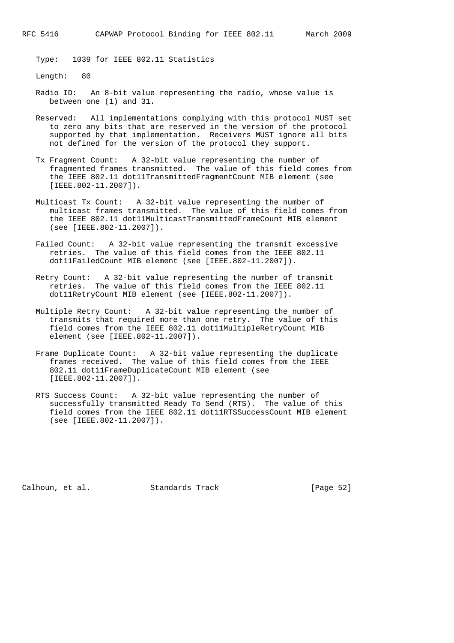Type: 1039 for IEEE 802.11 Statistics

Length: 80

- Radio ID: An 8-bit value representing the radio, whose value is between one (1) and 31.
- Reserved: All implementations complying with this protocol MUST set to zero any bits that are reserved in the version of the protocol supported by that implementation. Receivers MUST ignore all bits not defined for the version of the protocol they support.
- Tx Fragment Count: A 32-bit value representing the number of fragmented frames transmitted. The value of this field comes from the IEEE 802.11 dot11TransmittedFragmentCount MIB element (see [IEEE.802-11.2007]).
- Multicast Tx Count: A 32-bit value representing the number of multicast frames transmitted. The value of this field comes from the IEEE 802.11 dot11MulticastTransmittedFrameCount MIB element (see [IEEE.802-11.2007]).
- Failed Count: A 32-bit value representing the transmit excessive retries. The value of this field comes from the IEEE 802.11 dot11FailedCount MIB element (see [IEEE.802-11.2007]).
- Retry Count: A 32-bit value representing the number of transmit retries. The value of this field comes from the IEEE 802.11 dot11RetryCount MIB element (see [IEEE.802-11.2007]).
- Multiple Retry Count: A 32-bit value representing the number of transmits that required more than one retry. The value of this field comes from the IEEE 802.11 dot11MultipleRetryCount MIB element (see [IEEE.802-11.2007]).
- Frame Duplicate Count: A 32-bit value representing the duplicate frames received. The value of this field comes from the IEEE 802.11 dot11FrameDuplicateCount MIB element (see [IEEE.802-11.2007]).
- RTS Success Count: A 32-bit value representing the number of successfully transmitted Ready To Send (RTS). The value of this field comes from the IEEE 802.11 dot11RTSSuccessCount MIB element (see [IEEE.802-11.2007]).

Calhoun, et al. Standards Track [Page 52]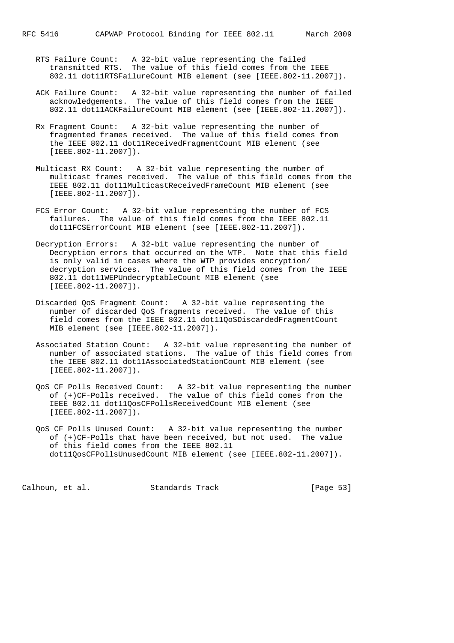- RTS Failure Count: A 32-bit value representing the failed transmitted RTS. The value of this field comes from the IEEE 802.11 dot11RTSFailureCount MIB element (see [IEEE.802-11.2007]).
- ACK Failure Count: A 32-bit value representing the number of failed acknowledgements. The value of this field comes from the IEEE 802.11 dot11ACKFailureCount MIB element (see [IEEE.802-11.2007]).
	- Rx Fragment Count: A 32-bit value representing the number of fragmented frames received. The value of this field comes from the IEEE 802.11 dot11ReceivedFragmentCount MIB element (see [IEEE.802-11.2007]).
	- Multicast RX Count: A 32-bit value representing the number of multicast frames received. The value of this field comes from the IEEE 802.11 dot11MulticastReceivedFrameCount MIB element (see [IEEE.802-11.2007]).
	- FCS Error Count: A 32-bit value representing the number of FCS failures. The value of this field comes from the IEEE 802.11 dot11FCSErrorCount MIB element (see [IEEE.802-11.2007]).
	- Decryption Errors: A 32-bit value representing the number of Decryption errors that occurred on the WTP. Note that this field is only valid in cases where the WTP provides encryption/ decryption services. The value of this field comes from the IEEE 802.11 dot11WEPUndecryptableCount MIB element (see [IEEE.802-11.2007]).
	- Discarded QoS Fragment Count: A 32-bit value representing the number of discarded QoS fragments received. The value of this field comes from the IEEE 802.11 dot11QoSDiscardedFragmentCount MIB element (see [IEEE.802-11.2007]).
	- Associated Station Count: A 32-bit value representing the number of number of associated stations. The value of this field comes from the IEEE 802.11 dot11AssociatedStationCount MIB element (see [IEEE.802-11.2007]).
	- QoS CF Polls Received Count: A 32-bit value representing the number of (+)CF-Polls received. The value of this field comes from the IEEE 802.11 dot11QosCFPollsReceivedCount MIB element (see [IEEE.802-11.2007]).
	- QoS CF Polls Unused Count: A 32-bit value representing the number of (+)CF-Polls that have been received, but not used. The value of this field comes from the IEEE 802.11 dot11QosCFPollsUnusedCount MIB element (see [IEEE.802-11.2007]).

Calhoun, et al. Standards Track [Page 53]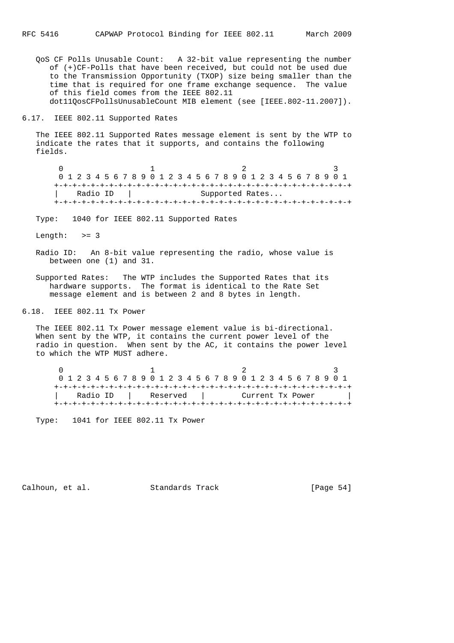QoS CF Polls Unusable Count: A 32-bit value representing the number of (+)CF-Polls that have been received, but could not be used due to the Transmission Opportunity (TXOP) size being smaller than the time that is required for one frame exchange sequence. The value of this field comes from the IEEE 802.11 dot11QosCFPollsUnusableCount MIB element (see [IEEE.802-11.2007]).

6.17. IEEE 802.11 Supported Rates

 The IEEE 802.11 Supported Rates message element is sent by the WTP to indicate the rates that it supports, and contains the following fields.

 $0$  1 2 3 0 1 2 3 4 5 6 7 8 9 0 1 2 3 4 5 6 7 8 9 0 1 2 3 4 5 6 7 8 9 0 1 +-+-+-+-+-+-+-+-+-+-+-+-+-+-+-+-+-+-+-+-+-+-+-+-+-+-+-+-+-+-+-+-+ | Radio ID | Supported Rates... +-+-+-+-+-+-+-+-+-+-+-+-+-+-+-+-+-+-+-+-+-+-+-+-+-+-+-+-+-+-+-+-+

Type: 1040 for IEEE 802.11 Supported Rates

Length:  $>= 3$ 

- Radio ID: An 8-bit value representing the radio, whose value is between one (1) and 31.
- Supported Rates: The WTP includes the Supported Rates that its hardware supports. The format is identical to the Rate Set message element and is between 2 and 8 bytes in length.

6.18. IEEE 802.11 Tx Power

 The IEEE 802.11 Tx Power message element value is bi-directional. When sent by the WTP, it contains the current power level of the radio in question. When sent by the AC, it contains the power level to which the WTP MUST adhere.

| 0 1 2 3 4 5 6 7 8 9 0 1 2 3 4 5 6 7 8 9 0 1 2 3 4 5 6 7 8 9 0 1 |  |          |  |            |  |  |  |  |  |                  |  |  |  |  |  |
|-----------------------------------------------------------------|--|----------|--|------------|--|--|--|--|--|------------------|--|--|--|--|--|
|                                                                 |  |          |  |            |  |  |  |  |  |                  |  |  |  |  |  |
|                                                                 |  | Radio ID |  | Reserved I |  |  |  |  |  | Current Tx Power |  |  |  |  |  |
|                                                                 |  |          |  |            |  |  |  |  |  |                  |  |  |  |  |  |

Type: 1041 for IEEE 802.11 Tx Power

Calhoun, et al. Standards Track [Page 54]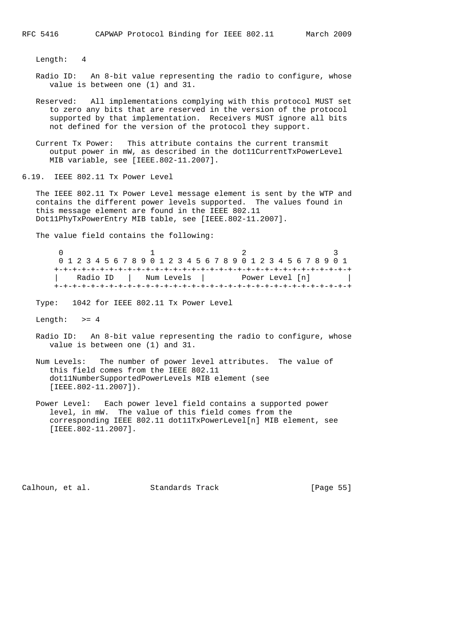Length: 4

- Radio ID: An 8-bit value representing the radio to configure, whose value is between one (1) and 31.
- Reserved: All implementations complying with this protocol MUST set to zero any bits that are reserved in the version of the protocol supported by that implementation. Receivers MUST ignore all bits not defined for the version of the protocol they support.
- Current Tx Power: This attribute contains the current transmit output power in mW, as described in the dot11CurrentTxPowerLevel MIB variable, see [IEEE.802-11.2007].

6.19. IEEE 802.11 Tx Power Level

 The IEEE 802.11 Tx Power Level message element is sent by the WTP and contains the different power levels supported. The values found in this message element are found in the IEEE 802.11 Dot11PhyTxPowerEntry MIB table, see [IEEE.802-11.2007].

The value field contains the following:

 $0$  1 2 3 0 1 2 3 4 5 6 7 8 9 0 1 2 3 4 5 6 7 8 9 0 1 2 3 4 5 6 7 8 9 0 1 +-+-+-+-+-+-+-+-+-+-+-+-+-+-+-+-+-+-+-+-+-+-+-+-+-+-+-+-+-+-+-+-+ | Radio ID | Num Levels | Power Level [n] | +-+-+-+-+-+-+-+-+-+-+-+-+-+-+-+-+-+-+-+-+-+-+-+-+-+-+-+-+-+-+-+-+

Type: 1042 for IEEE 802.11 Tx Power Level

Length:  $>= 4$ 

- Radio ID: An 8-bit value representing the radio to configure, whose value is between one (1) and 31.
- Num Levels: The number of power level attributes. The value of this field comes from the IEEE 802.11 dot11NumberSupportedPowerLevels MIB element (see [IEEE.802-11.2007]).
- Power Level: Each power level field contains a supported power level, in mW. The value of this field comes from the corresponding IEEE 802.11 dot11TxPowerLevel[n] MIB element, see [IEEE.802-11.2007].

Calhoun, et al. Standards Track [Page 55]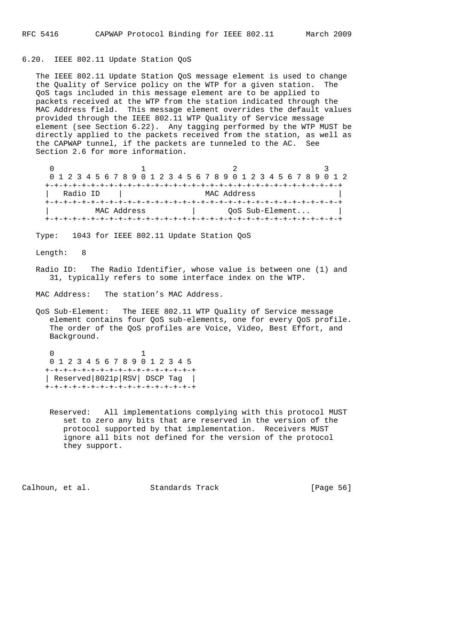6.20. IEEE 802.11 Update Station QoS

 The IEEE 802.11 Update Station QoS message element is used to change the Quality of Service policy on the WTP for a given station. The QoS tags included in this message element are to be applied to packets received at the WTP from the station indicated through the MAC Address field. This message element overrides the default values provided through the IEEE 802.11 WTP Quality of Service message element (see Section 6.22). Any tagging performed by the WTP MUST be directly applied to the packets received from the station, as well as the CAPWAP tunnel, if the packets are tunneled to the AC. See Section 2.6 for more information.

 $0$  and  $1$  and  $2$  3 0 1 2 3 4 5 6 7 8 9 0 1 2 3 4 5 6 7 8 9 0 1 2 3 4 5 6 7 8 9 0 1 2 +-+-+-+-+-+-+-+-+-+-+-+-+-+-+-+-+-+-+-+-+-+-+-+-+-+-+-+-+-+-+-+-+ | Radio ID | MAC Address +-+-+-+-+-+-+-+-+-+-+-+-+-+-+-+-+-+-+-+-+-+-+-+-+-+-+-+-+-+-+-+-+ | MAC Address | QoS Sub-Element... | +-+-+-+-+-+-+-+-+-+-+-+-+-+-+-+-+-+-+-+-+-+-+-+-+-+-+-+-+-+-+-+-+

Type: 1043 for IEEE 802.11 Update Station QoS

Length: 8

 Radio ID: The Radio Identifier, whose value is between one (1) and 31, typically refers to some interface index on the WTP.

MAC Address: The station's MAC Address.

 QoS Sub-Element: The IEEE 802.11 WTP Quality of Service message element contains four QoS sub-elements, one for every QoS profile. The order of the QoS profiles are Voice, Video, Best Effort, and Background.

 0 1 0 1 2 3 4 5 6 7 8 9 0 1 2 3 4 5 +-+-+-+-+-+-+-+-+-+-+-+-+-+-+-+-+ | Reserved|8021p|RSV| DSCP Tag | +-+-+-+-+-+-+-+-+-+-+-+-+-+-+-+-+

> Reserved: All implementations complying with this protocol MUST set to zero any bits that are reserved in the version of the protocol supported by that implementation. Receivers MUST ignore all bits not defined for the version of the protocol they support.

Calhoun, et al. Standards Track [Page 56]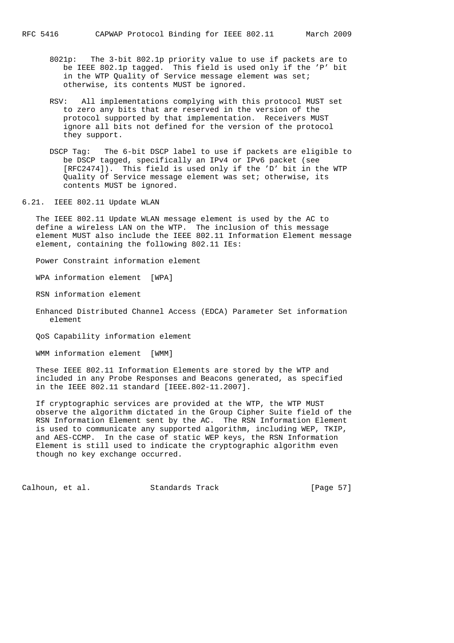- 8021p: The 3-bit 802.1p priority value to use if packets are to be IEEE 802.1p tagged. This field is used only if the 'P' bit in the WTP Quality of Service message element was set; otherwise, its contents MUST be ignored.
- RSV: All implementations complying with this protocol MUST set to zero any bits that are reserved in the version of the protocol supported by that implementation. Receivers MUST ignore all bits not defined for the version of the protocol they support.
- DSCP Tag: The 6-bit DSCP label to use if packets are eligible to be DSCP tagged, specifically an IPv4 or IPv6 packet (see [RFC2474]). This field is used only if the 'D' bit in the WTP Quality of Service message element was set; otherwise, its contents MUST be ignored.
- 6.21. IEEE 802.11 Update WLAN

 The IEEE 802.11 Update WLAN message element is used by the AC to define a wireless LAN on the WTP. The inclusion of this message element MUST also include the IEEE 802.11 Information Element message element, containing the following 802.11 IEs:

Power Constraint information element

WPA information element [WPA]

RSN information element

 Enhanced Distributed Channel Access (EDCA) Parameter Set information element

QoS Capability information element

WMM information element [WMM]

 These IEEE 802.11 Information Elements are stored by the WTP and included in any Probe Responses and Beacons generated, as specified in the IEEE 802.11 standard [IEEE.802-11.2007].

 If cryptographic services are provided at the WTP, the WTP MUST observe the algorithm dictated in the Group Cipher Suite field of the RSN Information Element sent by the AC. The RSN Information Element is used to communicate any supported algorithm, including WEP, TKIP, and AES-CCMP. In the case of static WEP keys, the RSN Information Element is still used to indicate the cryptographic algorithm even though no key exchange occurred.

Calhoun, et al. Standards Track [Page 57]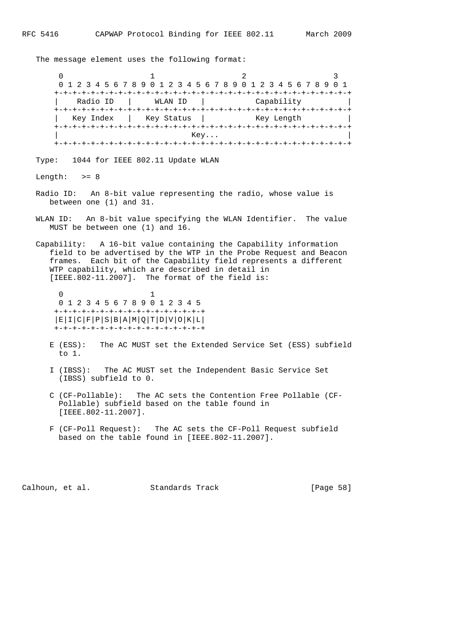The message element uses the following format:

 $0$  1 2 3 0 1 2 3 4 5 6 7 8 9 0 1 2 3 4 5 6 7 8 9 0 1 2 3 4 5 6 7 8 9 0 1 +-+-+-+-+-+-+-+-+-+-+-+-+-+-+-+-+-+-+-+-+-+-+-+-+-+-+-+-+-+-+-+-+ | Radio ID | WLAN ID | Capability | +-+-+-+-+-+-+-+-+-+-+-+-+-+-+-+-+-+-+-+-+-+-+-+-+-+-+-+-+-+-+-+-+ Key Index | Key Status | Key Length +-+-+-+-+-+-+-+-+-+-+-+-+-+-+-+-+-+-+-+-+-+-+-+-+-+-+-+-+-+-+-+-+  $\mathbb{R}$  Key...  $\blacksquare$  +-+-+-+-+-+-+-+-+-+-+-+-+-+-+-+-+-+-+-+-+-+-+-+-+-+-+-+-+-+-+-+-+ Type: 1044 for IEEE 802.11 Update WLAN Length:  $>= 8$  Radio ID: An 8-bit value representing the radio, whose value is between one (1) and 31. WLAN ID: An 8-bit value specifying the WLAN Identifier. The value MUST be between one (1) and 16. Capability: A 16-bit value containing the Capability information field to be advertised by the WTP in the Probe Request and Beacon frames. Each bit of the Capability field represents a different WTP capability, which are described in detail in [IEEE.802-11.2007]. The format of the field is: 0 1 0 1 2 3 4 5 6 7 8 9 0 1 2 3 4 5 +-+-+-+-+-+-+-+-+-+-+-+-+-+-+-+-+ |E|I|C|F|P|S|B|A|M|Q|T|D|V|O|K|L| +-+-+-+-+-+-+-+-+-+-+-+-+-+-+-+-+ E (ESS): The AC MUST set the Extended Service Set (ESS) subfield to 1. I (IBSS): The AC MUST set the Independent Basic Service Set (IBSS) subfield to 0.

- C (CF-Pollable): The AC sets the Contention Free Pollable (CF- Pollable) subfield based on the table found in [IEEE.802-11.2007].
- F (CF-Poll Request): The AC sets the CF-Poll Request subfield based on the table found in [IEEE.802-11.2007].

Calhoun, et al. Standards Track [Page 58]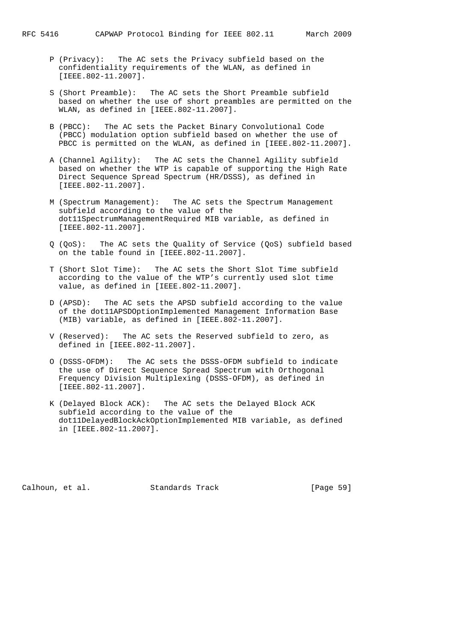- P (Privacy): The AC sets the Privacy subfield based on the confidentiality requirements of the WLAN, as defined in [IEEE.802-11.2007].
- S (Short Preamble): The AC sets the Short Preamble subfield based on whether the use of short preambles are permitted on the WLAN, as defined in [IEEE.802-11.2007].
- B (PBCC): The AC sets the Packet Binary Convolutional Code (PBCC) modulation option subfield based on whether the use of PBCC is permitted on the WLAN, as defined in [IEEE.802-11.2007].
- A (Channel Agility): The AC sets the Channel Agility subfield based on whether the WTP is capable of supporting the High Rate Direct Sequence Spread Spectrum (HR/DSSS), as defined in [IEEE.802-11.2007].
- M (Spectrum Management): The AC sets the Spectrum Management subfield according to the value of the dot11SpectrumManagementRequired MIB variable, as defined in [IEEE.802-11.2007].
- Q (QoS): The AC sets the Quality of Service (QoS) subfield based on the table found in [IEEE.802-11.2007].
- T (Short Slot Time): The AC sets the Short Slot Time subfield according to the value of the WTP's currently used slot time value, as defined in [IEEE.802-11.2007].
- D (APSD): The AC sets the APSD subfield according to the value of the dot11APSDOptionImplemented Management Information Base (MIB) variable, as defined in [IEEE.802-11.2007].
- V (Reserved): The AC sets the Reserved subfield to zero, as defined in [IEEE.802-11.2007].
- O (DSSS-OFDM): The AC sets the DSSS-OFDM subfield to indicate the use of Direct Sequence Spread Spectrum with Orthogonal Frequency Division Multiplexing (DSSS-OFDM), as defined in [IEEE.802-11.2007].
- K (Delayed Block ACK): The AC sets the Delayed Block ACK subfield according to the value of the dot11DelayedBlockAckOptionImplemented MIB variable, as defined in [IEEE.802-11.2007].

Calhoun, et al. Standards Track [Page 59]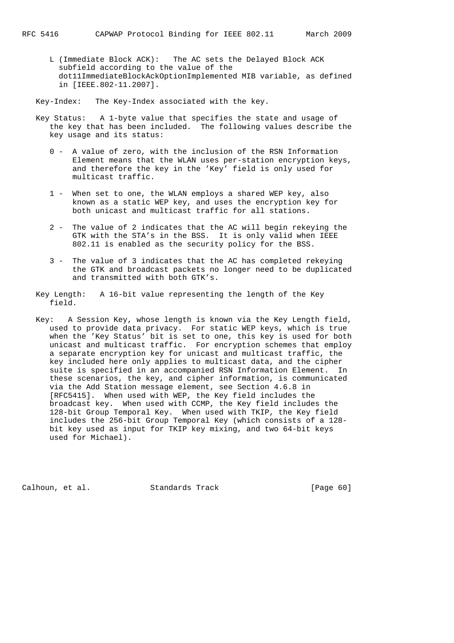L (Immediate Block ACK): The AC sets the Delayed Block ACK subfield according to the value of the dot11ImmediateBlockAckOptionImplemented MIB variable, as defined in [IEEE.802-11.2007].

Key-Index: The Key-Index associated with the key.

- Key Status: A 1-byte value that specifies the state and usage of the key that has been included. The following values describe the key usage and its status:
	- 0 A value of zero, with the inclusion of the RSN Information Element means that the WLAN uses per-station encryption keys, and therefore the key in the 'Key' field is only used for multicast traffic.
	- 1 When set to one, the WLAN employs a shared WEP key, also known as a static WEP key, and uses the encryption key for both unicast and multicast traffic for all stations.
	- 2 The value of 2 indicates that the AC will begin rekeying the GTK with the STA's in the BSS. It is only valid when IEEE 802.11 is enabled as the security policy for the BSS.
	- 3 The value of 3 indicates that the AC has completed rekeying the GTK and broadcast packets no longer need to be duplicated and transmitted with both GTK's.
- Key Length: A 16-bit value representing the length of the Key field.
- Key: A Session Key, whose length is known via the Key Length field, used to provide data privacy. For static WEP keys, which is true when the 'Key Status' bit is set to one, this key is used for both unicast and multicast traffic. For encryption schemes that employ a separate encryption key for unicast and multicast traffic, the key included here only applies to multicast data, and the cipher suite is specified in an accompanied RSN Information Element. In these scenarios, the key, and cipher information, is communicated via the Add Station message element, see Section 4.6.8 in [RFC5415]. When used with WEP, the Key field includes the broadcast key. When used with CCMP, the Key field includes the 128-bit Group Temporal Key. When used with TKIP, the Key field includes the 256-bit Group Temporal Key (which consists of a 128 bit key used as input for TKIP key mixing, and two 64-bit keys used for Michael).

Calhoun, et al. Standards Track [Page 60]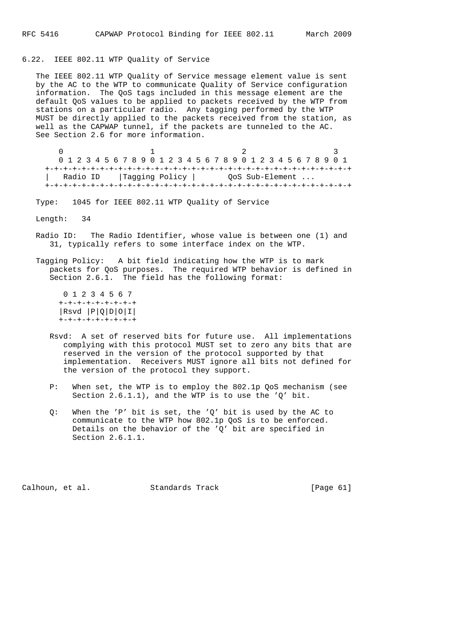# 6.22. IEEE 802.11 WTP Quality of Service

 The IEEE 802.11 WTP Quality of Service message element value is sent by the AC to the WTP to communicate Quality of Service configuration information. The QoS tags included in this message element are the default QoS values to be applied to packets received by the WTP from stations on a particular radio. Any tagging performed by the WTP MUST be directly applied to the packets received from the station, as well as the CAPWAP tunnel, if the packets are tunneled to the AC. See Section 2.6 for more information.

 $0$  1 2 3 0 1 2 3 4 5 6 7 8 9 0 1 2 3 4 5 6 7 8 9 0 1 2 3 4 5 6 7 8 9 0 1 +-+-+-+-+-+-+-+-+-+-+-+-+-+-+-+-+-+-+-+-+-+-+-+-+-+-+-+-+-+-+-+-+-+ | Radio ID | Tagging Policy | QoS Sub-Element ... +-+-+-+-+-+-+-+-+-+-+-+-+-+-+-+-+-+-+-+-+-+-+-+-+-+-+-+-+-+-+-+-+-+

Type: 1045 for IEEE 802.11 WTP Quality of Service

Length: 34

- Radio ID: The Radio Identifier, whose value is between one (1) and 31, typically refers to some interface index on the WTP.
- Tagging Policy: A bit field indicating how the WTP is to mark packets for QoS purposes. The required WTP behavior is defined in Section 2.6.1. The field has the following format:

 0 1 2 3 4 5 6 7 +-+-+-+-+-+-+-+-+ |Rsvd |P|Q|D|O|I| +-+-+-+-+-+-+-+-+

- Rsvd: A set of reserved bits for future use. All implementations complying with this protocol MUST set to zero any bits that are reserved in the version of the protocol supported by that implementation. Receivers MUST ignore all bits not defined for the version of the protocol they support.
- P: When set, the WTP is to employ the 802.1p QoS mechanism (see Section 2.6.1.1), and the WTP is to use the 'Q' bit.
- Q: When the 'P' bit is set, the 'Q' bit is used by the AC to communicate to the WTP how 802.1p QoS is to be enforced. Details on the behavior of the 'Q' bit are specified in Section 2.6.1.1.

Calhoun, et al. Standards Track [Page 61]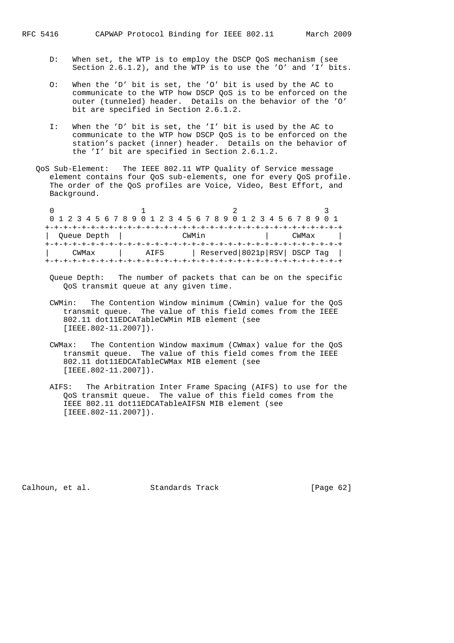- D: When set, the WTP is to employ the DSCP QoS mechanism (see Section 2.6.1.2), and the WTP is to use the 'O' and 'I' bits.
- O: When the 'D' bit is set, the 'O' bit is used by the AC to communicate to the WTP how DSCP QoS is to be enforced on the outer (tunneled) header. Details on the behavior of the 'O' bit are specified in Section 2.6.1.2.
- I: When the 'D' bit is set, the 'I' bit is used by the AC to communicate to the WTP how DSCP QoS is to be enforced on the station's packet (inner) header. Details on the behavior of the 'I' bit are specified in Section 2.6.1.2.
- QoS Sub-Element: The IEEE 802.11 WTP Quality of Service message element contains four QoS sub-elements, one for every QoS profile. The order of the QoS profiles are Voice, Video, Best Effort, and Background.

|             |  |  |  |       |  |  |  |      |  | 0 1 2 3 4 5 6 7 8 9 0 1 2 3 4 5 6 7 8 9 0 1 2 3 4 5 6 7 8 9 0 1 |  |                             |  |  |  |  |       |  |  |  |
|-------------|--|--|--|-------|--|--|--|------|--|-----------------------------------------------------------------|--|-----------------------------|--|--|--|--|-------|--|--|--|
|             |  |  |  |       |  |  |  |      |  | --+-+-+-+-+-+-+-+-+-+-+-+-+-+-+-+-+                             |  |                             |  |  |  |  |       |  |  |  |
| Queue Depth |  |  |  |       |  |  |  |      |  | CWMin                                                           |  |                             |  |  |  |  | CWMax |  |  |  |
|             |  |  |  |       |  |  |  |      |  | +-+-+-+-+-+-+-+-+-+-+-+-+-+-+-+-+-+-                            |  |                             |  |  |  |  |       |  |  |  |
|             |  |  |  | CWMax |  |  |  | ATFS |  |                                                                 |  | Reserved 8021p RSV DSCP Tag |  |  |  |  |       |  |  |  |
|             |  |  |  |       |  |  |  |      |  |                                                                 |  |                             |  |  |  |  |       |  |  |  |

- Queue Depth: The number of packets that can be on the specific QoS transmit queue at any given time.
- CWMin: The Contention Window minimum (CWmin) value for the QoS transmit queue. The value of this field comes from the IEEE 802.11 dot11EDCATableCWMin MIB element (see [IEEE.802-11.2007]).
- CWMax: The Contention Window maximum (CWmax) value for the QoS transmit queue. The value of this field comes from the IEEE 802.11 dot11EDCATableCWMax MIB element (see [IEEE.802-11.2007]).
- AIFS: The Arbitration Inter Frame Spacing (AIFS) to use for the QoS transmit queue. The value of this field comes from the IEEE 802.11 dot11EDCATableAIFSN MIB element (see [IEEE.802-11.2007]).

Calhoun, et al. Standards Track [Page 62]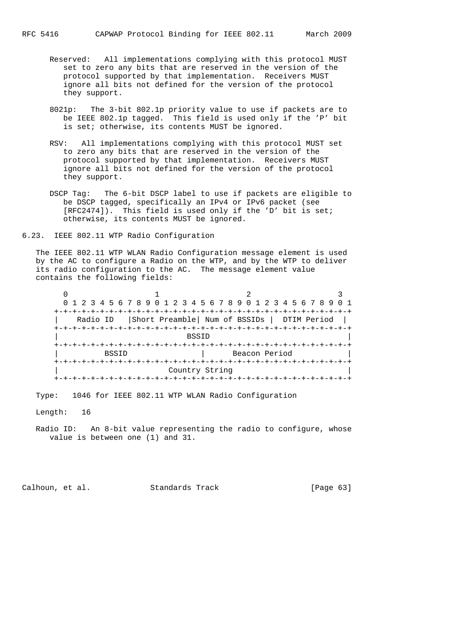- Reserved: All implementations complying with this protocol MUST set to zero any bits that are reserved in the version of the protocol supported by that implementation. Receivers MUST ignore all bits not defined for the version of the protocol they support.
- 8021p: The 3-bit 802.1p priority value to use if packets are to be IEEE 802.1p tagged. This field is used only if the 'P' bit is set; otherwise, its contents MUST be ignored.
- RSV: All implementations complying with this protocol MUST set to zero any bits that are reserved in the version of the protocol supported by that implementation. Receivers MUST ignore all bits not defined for the version of the protocol they support.
- DSCP Tag: The 6-bit DSCP label to use if packets are eligible to be DSCP tagged, specifically an IPv4 or IPv6 packet (see [RFC2474]). This field is used only if the 'D' bit is set; otherwise, its contents MUST be ignored.
- 6.23. IEEE 802.11 WTP Radio Configuration

 The IEEE 802.11 WTP WLAN Radio Configuration message element is used by the AC to configure a Radio on the WTP, and by the WTP to deliver its radio configuration to the AC. The message element value contains the following fields:

|              | 0 1 2 3 4 5 6 7 8 9 0 1 2 3 4 5 6 7 8 9 0 1 2 3 4 5 6 7 8 9 |  |
|--------------|-------------------------------------------------------------|--|
|              |                                                             |  |
|              | Radio ID   Short Preamble   Num of BSSIDs   DTIM Period     |  |
|              |                                                             |  |
|              | <b>BSSID</b>                                                |  |
|              |                                                             |  |
| <b>BSSID</b> | Beacon Period                                               |  |
|              |                                                             |  |
|              | Country String                                              |  |
|              |                                                             |  |

Type: 1046 for IEEE 802.11 WTP WLAN Radio Configuration

Length: 16

 Radio ID: An 8-bit value representing the radio to configure, whose value is between one (1) and 31.

Calhoun, et al. Standards Track [Page 63]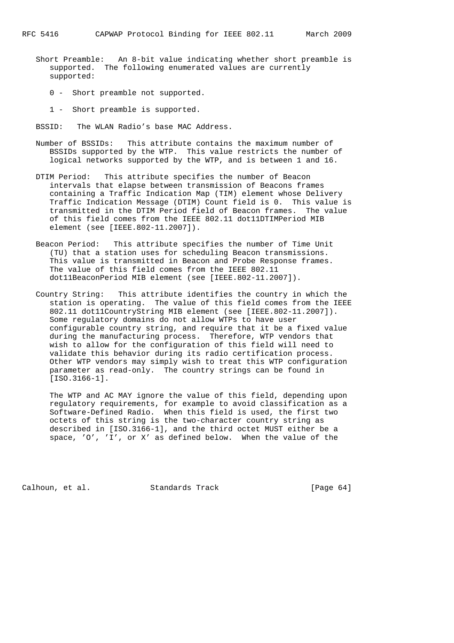- Short Preamble: An 8-bit value indicating whether short preamble is supported. The following enumerated values are currently supported:
	- 0 Short preamble not supported.
	- 1 Short preamble is supported.
- BSSID: The WLAN Radio's base MAC Address.
- Number of BSSIDs: This attribute contains the maximum number of BSSIDs supported by the WTP. This value restricts the number of logical networks supported by the WTP, and is between 1 and 16.
- DTIM Period: This attribute specifies the number of Beacon intervals that elapse between transmission of Beacons frames containing a Traffic Indication Map (TIM) element whose Delivery Traffic Indication Message (DTIM) Count field is 0. This value is transmitted in the DTIM Period field of Beacon frames. The value of this field comes from the IEEE 802.11 dot11DTIMPeriod MIB element (see [IEEE.802-11.2007]).
- Beacon Period: This attribute specifies the number of Time Unit (TU) that a station uses for scheduling Beacon transmissions. This value is transmitted in Beacon and Probe Response frames. The value of this field comes from the IEEE 802.11 dot11BeaconPeriod MIB element (see [IEEE.802-11.2007]).
- Country String: This attribute identifies the country in which the station is operating. The value of this field comes from the IEEE 802.11 dot11CountryString MIB element (see [IEEE.802-11.2007]). Some regulatory domains do not allow WTPs to have user configurable country string, and require that it be a fixed value during the manufacturing process. Therefore, WTP vendors that wish to allow for the configuration of this field will need to validate this behavior during its radio certification process. Other WTP vendors may simply wish to treat this WTP configuration parameter as read-only. The country strings can be found in [ISO.3166-1].

 The WTP and AC MAY ignore the value of this field, depending upon regulatory requirements, for example to avoid classification as a Software-Defined Radio. When this field is used, the first two octets of this string is the two-character country string as described in [ISO.3166-1], and the third octet MUST either be a space, 'O', 'I', or X' as defined below. When the value of the

Calhoun, et al. Standards Track [Page 64]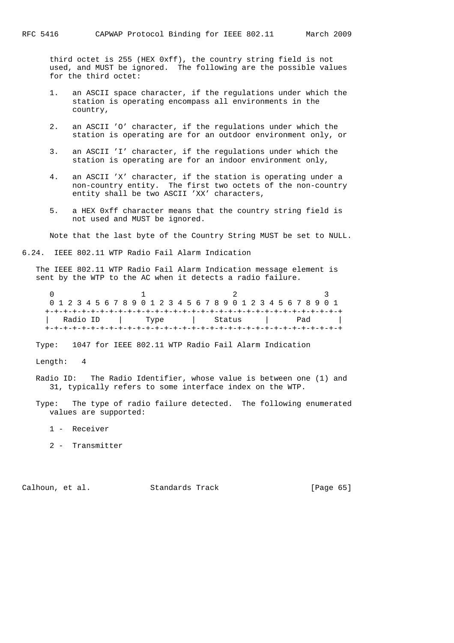third octet is 255 (HEX 0xff), the country string field is not used, and MUST be ignored. The following are the possible values for the third octet:

- 1. an ASCII space character, if the regulations under which the station is operating encompass all environments in the country,
- 2. an ASCII 'O' character, if the regulations under which the station is operating are for an outdoor environment only, or
- 3. an ASCII 'I' character, if the regulations under which the station is operating are for an indoor environment only,
- 4. an ASCII 'X' character, if the station is operating under a non-country entity. The first two octets of the non-country entity shall be two ASCII 'XX' characters,
- 5. a HEX 0xff character means that the country string field is not used and MUST be ignored.

Note that the last byte of the Country String MUST be set to NULL.

6.24. IEEE 802.11 WTP Radio Fail Alarm Indication

 The IEEE 802.11 WTP Radio Fail Alarm Indication message element is sent by the WTP to the AC when it detects a radio failure.

|  |  |          |  |  | 0 1 2 3 4 5 6 7 8 9 0 1 2 3 4 5 6 7 8 9 0 1 2 3 4 5 6 7 8 9 0 1 |  |      |  |  |  |  |        |  |  |  |     |  |  |
|--|--|----------|--|--|-----------------------------------------------------------------|--|------|--|--|--|--|--------|--|--|--|-----|--|--|
|  |  |          |  |  |                                                                 |  |      |  |  |  |  |        |  |  |  |     |  |  |
|  |  | Radio ID |  |  |                                                                 |  | Type |  |  |  |  | Status |  |  |  | Pad |  |  |
|  |  |          |  |  |                                                                 |  |      |  |  |  |  |        |  |  |  |     |  |  |

Type: 1047 for IEEE 802.11 WTP Radio Fail Alarm Indication

Length: 4

 Radio ID: The Radio Identifier, whose value is between one (1) and 31, typically refers to some interface index on the WTP.

 Type: The type of radio failure detected. The following enumerated values are supported:

- 1 Receiver
- 2 Transmitter

Calhoun, et al. Standards Track [Page 65]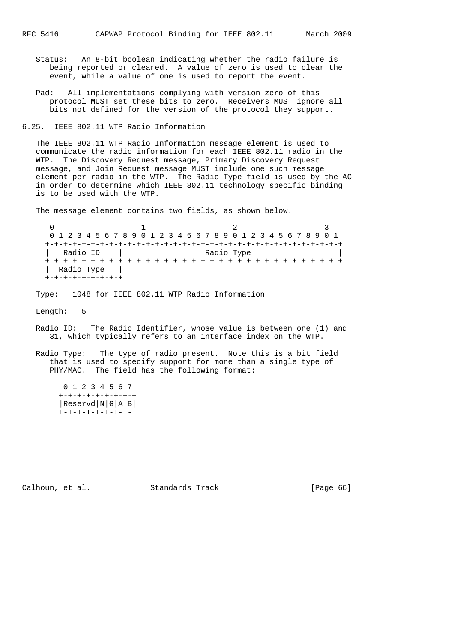Status: An 8-bit boolean indicating whether the radio failure is being reported or cleared. A value of zero is used to clear the event, while a value of one is used to report the event.

 Pad: All implementations complying with version zero of this protocol MUST set these bits to zero. Receivers MUST ignore all bits not defined for the version of the protocol they support.

6.25. IEEE 802.11 WTP Radio Information

 The IEEE 802.11 WTP Radio Information message element is used to communicate the radio information for each IEEE 802.11 radio in the WTP. The Discovery Request message, Primary Discovery Request message, and Join Request message MUST include one such message element per radio in the WTP. The Radio-Type field is used by the AC in order to determine which IEEE 802.11 technology specific binding is to be used with the WTP.

The message element contains two fields, as shown below.

 $0$  and  $1$  and  $2$  3 0 1 2 3 4 5 6 7 8 9 0 1 2 3 4 5 6 7 8 9 0 1 2 3 4 5 6 7 8 9 0 1 +-+-+-+-+-+-+-+-+-+-+-+-+-+-+-+-+-+-+-+-+-+-+-+-+-+-+-+-+-+-+-+-+ | Radio ID | Radio Type +-+-+-+-+-+-+-+-+-+-+-+-+-+-+-+-+-+-+-+-+-+-+-+-+-+-+-+-+-+-+-+-+ | Radio Type | +-+-+-+-+-+-+-+-+

Type: 1048 for IEEE 802.11 WTP Radio Information

Length: 5

- Radio ID: The Radio Identifier, whose value is between one (1) and 31, which typically refers to an interface index on the WTP.
- Radio Type: The type of radio present. Note this is a bit field that is used to specify support for more than a single type of PHY/MAC. The field has the following format:

 0 1 2 3 4 5 6 7 +-+-+-+-+-+-+-+-+ |Reservd|N|G|A|B| +-+-+-+-+-+-+-+-+

Calhoun, et al. Standards Track [Page 66]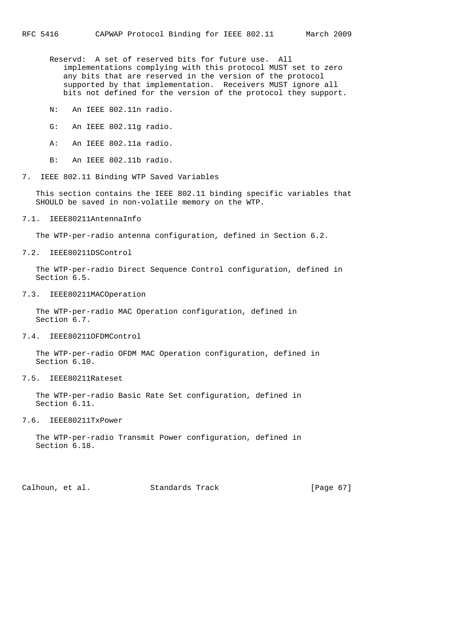Reservd: A set of reserved bits for future use. All implementations complying with this protocol MUST set to zero any bits that are reserved in the version of the protocol supported by that implementation. Receivers MUST ignore all bits not defined for the version of the protocol they support.

- N: An IEEE 802.11n radio.
- G: An IEEE 802.11g radio.
- A: An IEEE 802.11a radio.
- B: An IEEE 802.11b radio.
- 7. IEEE 802.11 Binding WTP Saved Variables

 This section contains the IEEE 802.11 binding specific variables that SHOULD be saved in non-volatile memory on the WTP.

7.1. IEEE80211AntennaInfo

The WTP-per-radio antenna configuration, defined in Section 6.2.

7.2. IEEE80211DSControl

 The WTP-per-radio Direct Sequence Control configuration, defined in Section 6.5.

7.3. IEEE80211MACOperation

 The WTP-per-radio MAC Operation configuration, defined in Section 6.7.

#### 7.4. IEEE80211OFDMControl

 The WTP-per-radio OFDM MAC Operation configuration, defined in Section 6.10.

7.5. IEEE80211Rateset

 The WTP-per-radio Basic Rate Set configuration, defined in Section 6.11.

# 7.6. IEEE80211TxPower

 The WTP-per-radio Transmit Power configuration, defined in Section 6.18.

Calhoun, et al. Standards Track [Page 67]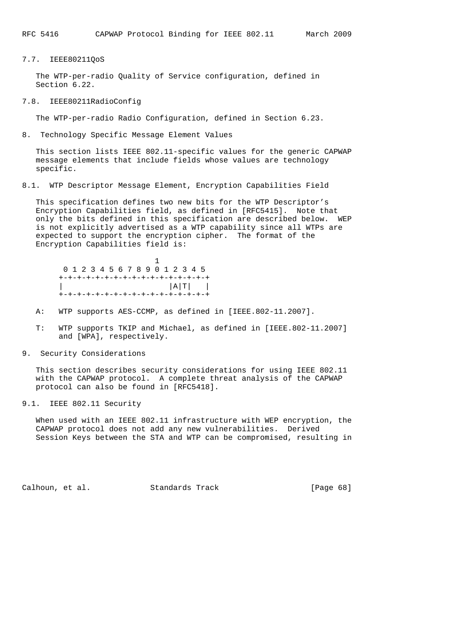# 7.7. IEEE80211QoS

 The WTP-per-radio Quality of Service configuration, defined in Section 6.22.

# 7.8. IEEE80211RadioConfig

The WTP-per-radio Radio Configuration, defined in Section 6.23.

8. Technology Specific Message Element Values

 This section lists IEEE 802.11-specific values for the generic CAPWAP message elements that include fields whose values are technology specific.

8.1. WTP Descriptor Message Element, Encryption Capabilities Field

 This specification defines two new bits for the WTP Descriptor's Encryption Capabilities field, as defined in [RFC5415]. Note that only the bits defined in this specification are described below. WEP is not explicitly advertised as a WTP capability since all WTPs are expected to support the encryption cipher. The format of the Encryption Capabilities field is:

|  |  |  |  | 0 1 2 3 4 5 6 7 8 9 0 1 2 3 4 5 |  |  |  |                                    |
|--|--|--|--|---------------------------------|--|--|--|------------------------------------|
|  |  |  |  |                                 |  |  |  | +-+-+-+-+-+-+-+-+-+-+-+-+-+-+-+-+- |
|  |  |  |  |                                 |  |  |  | A T                                |
|  |  |  |  |                                 |  |  |  | +-+-+-+-+-+-+-+-+-+-+-+-+-+-+-+-+- |

- A: WTP supports AES-CCMP, as defined in [IEEE.802-11.2007].
- T: WTP supports TKIP and Michael, as defined in [IEEE.802-11.2007] and [WPA], respectively.
- 9. Security Considerations

 This section describes security considerations for using IEEE 802.11 with the CAPWAP protocol. A complete threat analysis of the CAPWAP protocol can also be found in [RFC5418].

9.1. IEEE 802.11 Security

 When used with an IEEE 802.11 infrastructure with WEP encryption, the CAPWAP protocol does not add any new vulnerabilities. Derived Session Keys between the STA and WTP can be compromised, resulting in

Calhoun, et al. Standards Track [Page 68]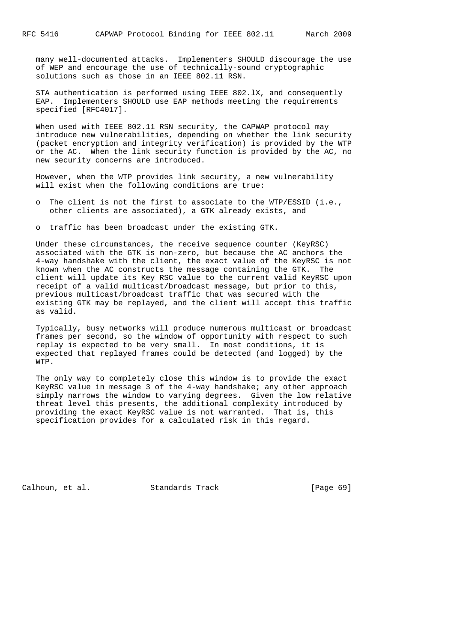many well-documented attacks. Implementers SHOULD discourage the use of WEP and encourage the use of technically-sound cryptographic solutions such as those in an IEEE 802.11 RSN.

 STA authentication is performed using IEEE 802.lX, and consequently EAP. Implementers SHOULD use EAP methods meeting the requirements specified [RFC4017].

 When used with IEEE 802.11 RSN security, the CAPWAP protocol may introduce new vulnerabilities, depending on whether the link security (packet encryption and integrity verification) is provided by the WTP or the AC. When the link security function is provided by the AC, no new security concerns are introduced.

 However, when the WTP provides link security, a new vulnerability will exist when the following conditions are true:

 o The client is not the first to associate to the WTP/ESSID (i.e., other clients are associated), a GTK already exists, and

o traffic has been broadcast under the existing GTK.

 Under these circumstances, the receive sequence counter (KeyRSC) associated with the GTK is non-zero, but because the AC anchors the 4-way handshake with the client, the exact value of the KeyRSC is not known when the AC constructs the message containing the GTK. The client will update its Key RSC value to the current valid KeyRSC upon receipt of a valid multicast/broadcast message, but prior to this, previous multicast/broadcast traffic that was secured with the existing GTK may be replayed, and the client will accept this traffic as valid.

 Typically, busy networks will produce numerous multicast or broadcast frames per second, so the window of opportunity with respect to such replay is expected to be very small. In most conditions, it is expected that replayed frames could be detected (and logged) by the WTP.

 The only way to completely close this window is to provide the exact KeyRSC value in message 3 of the 4-way handshake; any other approach simply narrows the window to varying degrees. Given the low relative threat level this presents, the additional complexity introduced by providing the exact KeyRSC value is not warranted. That is, this specification provides for a calculated risk in this regard.

Calhoun, et al. Standards Track [Page 69]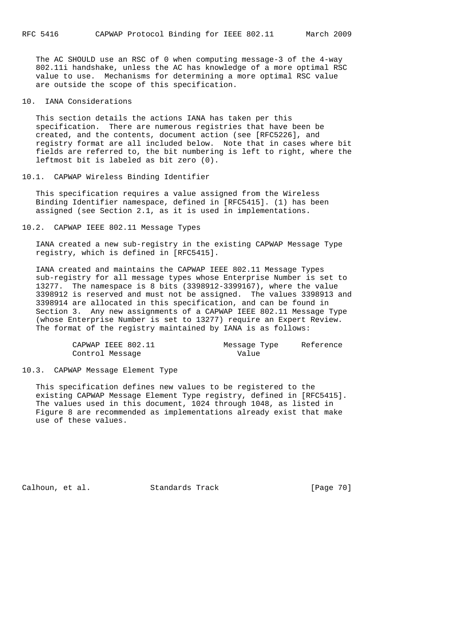The AC SHOULD use an RSC of 0 when computing message-3 of the 4-way 802.11i handshake, unless the AC has knowledge of a more optimal RSC value to use. Mechanisms for determining a more optimal RSC value are outside the scope of this specification.

10. IANA Considerations

 This section details the actions IANA has taken per this specification. There are numerous registries that have been be created, and the contents, document action (see [RFC5226], and registry format are all included below. Note that in cases where bit fields are referred to, the bit numbering is left to right, where the leftmost bit is labeled as bit zero (0).

# 10.1. CAPWAP Wireless Binding Identifier

 This specification requires a value assigned from the Wireless Binding Identifier namespace, defined in [RFC5415]. (1) has been assigned (see Section 2.1, as it is used in implementations.

10.2. CAPWAP IEEE 802.11 Message Types

 IANA created a new sub-registry in the existing CAPWAP Message Type registry, which is defined in [RFC5415].

 IANA created and maintains the CAPWAP IEEE 802.11 Message Types sub-registry for all message types whose Enterprise Number is set to 13277. The namespace is 8 bits (3398912-3399167), where the value 3398912 is reserved and must not be assigned. The values 3398913 and 3398914 are allocated in this specification, and can be found in Section 3. Any new assignments of a CAPWAP IEEE 802.11 Message Type (whose Enterprise Number is set to 13277) require an Expert Review. The format of the registry maintained by IANA is as follows:

| CAPWAP IEEE 802.11 | Message Type | Reference |
|--------------------|--------------|-----------|
| Control Message    | Value        |           |

#### 10.3. CAPWAP Message Element Type

 This specification defines new values to be registered to the existing CAPWAP Message Element Type registry, defined in [RFC5415]. The values used in this document, 1024 through 1048, as listed in Figure 8 are recommended as implementations already exist that make use of these values.

Calhoun, et al. Standards Track [Page 70]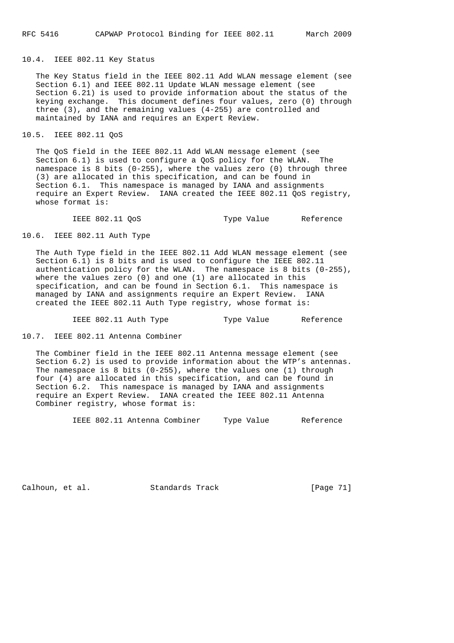# 10.4. IEEE 802.11 Key Status

 The Key Status field in the IEEE 802.11 Add WLAN message element (see Section 6.1) and IEEE 802.11 Update WLAN message element (see Section 6.21) is used to provide information about the status of the keying exchange. This document defines four values, zero (0) through three (3), and the remaining values (4-255) are controlled and maintained by IANA and requires an Expert Review.

# 10.5. IEEE 802.11 QoS

 The QoS field in the IEEE 802.11 Add WLAN message element (see Section 6.1) is used to configure a QoS policy for the WLAN. The namespace is 8 bits (0-255), where the values zero (0) through three (3) are allocated in this specification, and can be found in Section 6.1. This namespace is managed by IANA and assignments require an Expert Review. IANA created the IEEE 802.11 QoS registry, whose format is:

IEEE 802.11 QoS Type Value Reference

10.6. IEEE 802.11 Auth Type

 The Auth Type field in the IEEE 802.11 Add WLAN message element (see Section 6.1) is 8 bits and is used to configure the IEEE 802.11 authentication policy for the WLAN. The namespace is 8 bits  $(0-255)$ , where the values zero (0) and one (1) are allocated in this specification, and can be found in Section 6.1. This namespace is managed by IANA and assignments require an Expert Review. IANA created the IEEE 802.11 Auth Type registry, whose format is:

IEEE 802.11 Auth Type Type Value Reference

10.7. IEEE 802.11 Antenna Combiner

 The Combiner field in the IEEE 802.11 Antenna message element (see Section 6.2) is used to provide information about the WTP's antennas. The namespace is 8 bits  $(0-255)$ , where the values one  $(1)$  through four (4) are allocated in this specification, and can be found in Section 6.2. This namespace is managed by IANA and assignments require an Expert Review. IANA created the IEEE 802.11 Antenna Combiner registry, whose format is:

IEEE 802.11 Antenna Combiner Type Value Reference

Calhoun, et al. Standards Track [Page 71]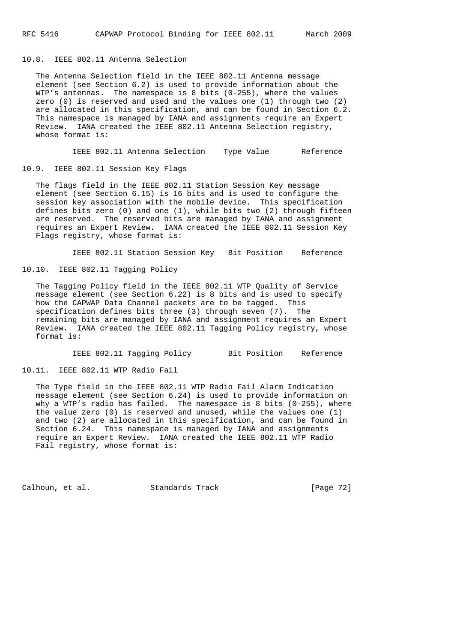10.8. IEEE 802.11 Antenna Selection

 The Antenna Selection field in the IEEE 802.11 Antenna message element (see Section 6.2) is used to provide information about the WTP's antennas. The namespace is 8 bits (0-255), where the values zero (0) is reserved and used and the values one (1) through two (2) are allocated in this specification, and can be found in Section 6.2. This namespace is managed by IANA and assignments require an Expert Review. IANA created the IEEE 802.11 Antenna Selection registry, whose format is:

IEEE 802.11 Antenna Selection Type Value Reference

10.9. IEEE 802.11 Session Key Flags

 The flags field in the IEEE 802.11 Station Session Key message element (see Section 6.15) is 16 bits and is used to configure the session key association with the mobile device. This specification defines bits zero (0) and one (1), while bits two (2) through fifteen are reserved. The reserved bits are managed by IANA and assignment requires an Expert Review. IANA created the IEEE 802.11 Session Key Flags registry, whose format is:

IEEE 802.11 Station Session Key Bit Position Reference

10.10. IEEE 802.11 Tagging Policy

 The Tagging Policy field in the IEEE 802.11 WTP Quality of Service message element (see Section 6.22) is 8 bits and is used to specify how the CAPWAP Data Channel packets are to be tagged. This specification defines bits three (3) through seven (7). The remaining bits are managed by IANA and assignment requires an Expert Review. IANA created the IEEE 802.11 Tagging Policy registry, whose format is:

IEEE 802.11 Tagging Policy Bit Position Reference

10.11. IEEE 802.11 WTP Radio Fail

 The Type field in the IEEE 802.11 WTP Radio Fail Alarm Indication message element (see Section 6.24) is used to provide information on why a WTP's radio has failed. The namespace is 8 bits (0-255), where the value zero (0) is reserved and unused, while the values one (1) and two (2) are allocated in this specification, and can be found in Section 6.24. This namespace is managed by IANA and assignments require an Expert Review. IANA created the IEEE 802.11 WTP Radio Fail registry, whose format is:

Calhoun, et al. Standards Track [Page 72]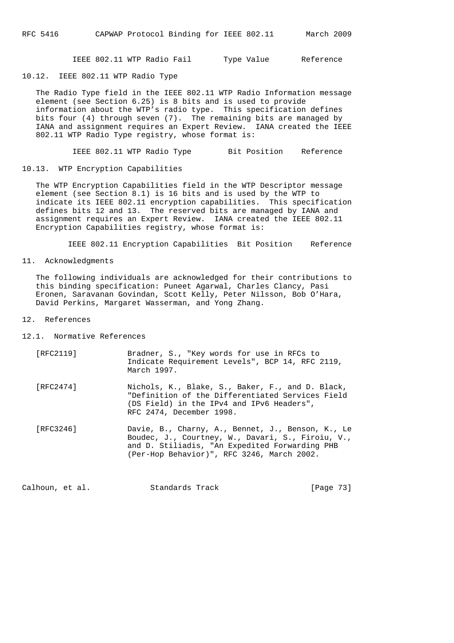IEEE 802.11 WTP Radio Fail Type Value Reference

10.12. IEEE 802.11 WTP Radio Type

 The Radio Type field in the IEEE 802.11 WTP Radio Information message element (see Section 6.25) is 8 bits and is used to provide information about the WTP's radio type. This specification defines bits four (4) through seven (7). The remaining bits are managed by IANA and assignment requires an Expert Review. IANA created the IEEE 802.11 WTP Radio Type registry, whose format is:

IEEE 802.11 WTP Radio Type Bit Position Reference

10.13. WTP Encryption Capabilities

 The WTP Encryption Capabilities field in the WTP Descriptor message element (see Section 8.1) is 16 bits and is used by the WTP to indicate its IEEE 802.11 encryption capabilities. This specification defines bits 12 and 13. The reserved bits are managed by IANA and assignment requires an Expert Review. IANA created the IEEE 802.11 Encryption Capabilities registry, whose format is:

IEEE 802.11 Encryption Capabilities Bit Position Reference

11. Acknowledgments

 The following individuals are acknowledged for their contributions to this binding specification: Puneet Agarwal, Charles Clancy, Pasi Eronen, Saravanan Govindan, Scott Kelly, Peter Nilsson, Bob O'Hara, David Perkins, Margaret Wasserman, and Yong Zhang.

## 12. References

12.1. Normative References

| [RFC2119] | Bradner, S., "Key words for use in RFCs to<br>Indicate Requirement Levels", BCP 14, RFC 2119,<br>March 1997.                                                                                           |
|-----------|--------------------------------------------------------------------------------------------------------------------------------------------------------------------------------------------------------|
| [RFC2474] | Nichols, K., Blake, S., Baker, F., and D. Black,<br>"Definition of the Differentiated Services Field<br>(DS Field) in the IPv4 and IPv6 Headers",<br>RFC 2474, December 1998.                          |
| [RFC3246] | Davie, B., Charny, A., Bennet, J., Benson, K., Le<br>Boudec, J., Courtney, W., Davari, S., Firoiu, V.,<br>and D. Stiliadis, "An Expedited Forwarding PHB<br>(Per-Hop Behavior)", RFC 3246, March 2002. |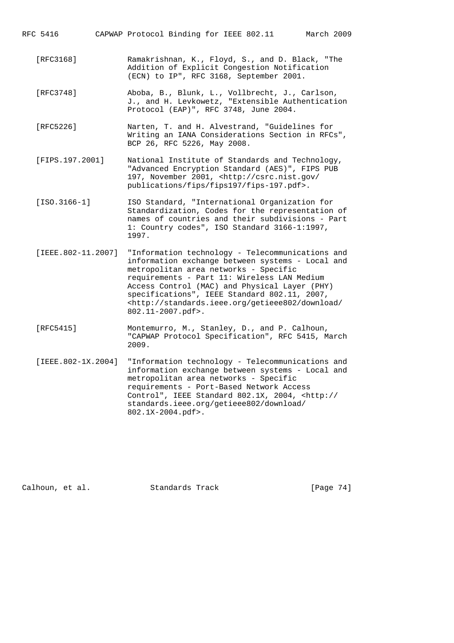RFC 5416 CAPWAP Protocol Binding for IEEE 802.11 March 2009

- [RFC3168] Ramakrishnan, K., Floyd, S., and D. Black, "The Addition of Explicit Congestion Notification (ECN) to IP", RFC 3168, September 2001.
- [RFC3748] Aboba, B., Blunk, L., Vollbrecht, J., Carlson, J., and H. Levkowetz, "Extensible Authentication Protocol (EAP)", RFC 3748, June 2004.
- [RFC5226] Narten, T. and H. Alvestrand, "Guidelines for Writing an IANA Considerations Section in RFCs", BCP 26, RFC 5226, May 2008.
- [FIPS.197.2001] National Institute of Standards and Technology, "Advanced Encryption Standard (AES)", FIPS PUB 197, November 2001, <http://csrc.nist.gov/ publications/fips/fips197/fips-197.pdf>.
- [ISO.3166-1] ISO Standard, "International Organization for Standardization, Codes for the representation of names of countries and their subdivisions - Part 1: Country codes", ISO Standard 3166-1:1997, 1997.
- [IEEE.802-11.2007] "Information technology Telecommunications and information exchange between systems - Local and metropolitan area networks - Specific requirements - Part 11: Wireless LAN Medium Access Control (MAC) and Physical Layer (PHY) specifications", IEEE Standard 802.11, 2007, <http://standards.ieee.org/getieee802/download/ 802.11-2007.pdf>.
- [RFC5415] Montemurro, M., Stanley, D., and P. Calhoun, "CAPWAP Protocol Specification", RFC 5415, March 2009.
- [IEEE.802-1X.2004] "Information technology Telecommunications and information exchange between systems - Local and metropolitan area networks - Specific requirements - Port-Based Network Access Control", IEEE Standard 802.1X, 2004, <http:// standards.ieee.org/getieee802/download/ 802.1X-2004.pdf>.

Calhoun, et al. Standards Track [Page 74]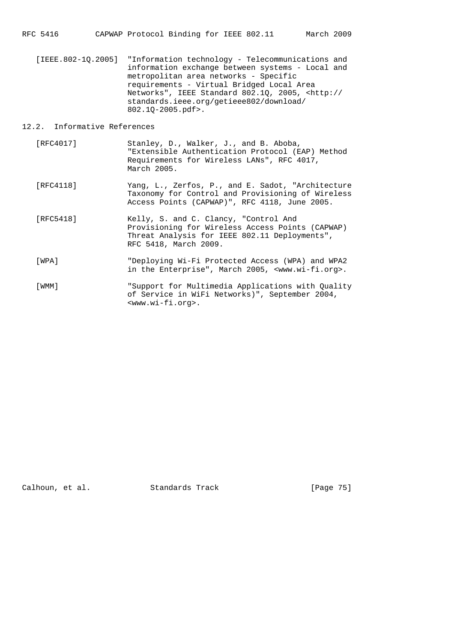[IEEE.802-1Q.2005] "Information technology - Telecommunications and information exchange between systems - Local and metropolitan area networks - Specific requirements - Virtual Bridged Local Area Networks", IEEE Standard 802.1Q, 2005, <http:// standards.ieee.org/getieee802/download/ 802.1Q-2005.pdf>.

## 12.2. Informative References

- [RFC4017] Stanley, D., Walker, J., and B. Aboba, "Extensible Authentication Protocol (EAP) Method Requirements for Wireless LANs", RFC 4017, March 2005.
- [RFC4118] Yang, L., Zerfos, P., and E. Sadot, "Architecture Taxonomy for Control and Provisioning of Wireless Access Points (CAPWAP)", RFC 4118, June 2005.
- [RFC5418] Kelly, S. and C. Clancy, "Control And Provisioning for Wireless Access Points (CAPWAP) Threat Analysis for IEEE 802.11 Deployments", RFC 5418, March 2009.
- [WPA] "Deploying Wi-Fi Protected Access (WPA) and WPA2 in the Enterprise", March 2005, <www.wi-fi.org>.
- [WMM] "Support for Multimedia Applications with Quality of Service in WiFi Networks)", September 2004, <www.wi-fi.org>.

Calhoun, et al. Standards Track [Page 75]